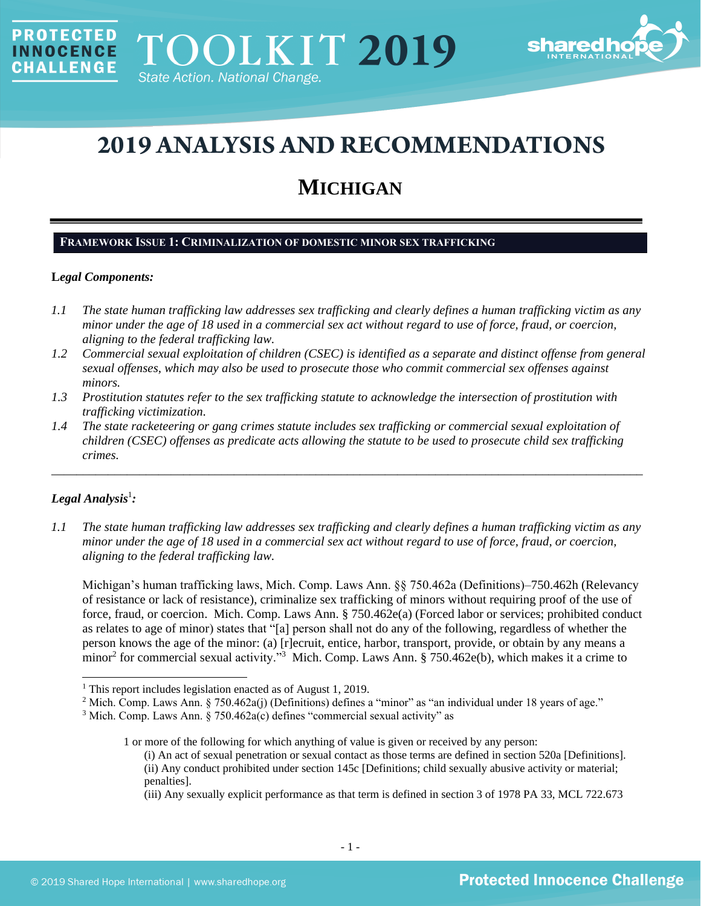

# **2019 ANALYSIS AND RECOMMENDATIONS**

## **MICHIGAN**

## **FRAMEWORK ISSUE 1: CRIMINALIZATION OF DOMESTIC MINOR SEX TRAFFICKING**

#### **L***egal Components:*

**PROTECTED** 

**INNOCENCE CHALLENGE** 

- *1.1 The state human trafficking law addresses sex trafficking and clearly defines a human trafficking victim as any minor under the age of 18 used in a commercial sex act without regard to use of force, fraud, or coercion, aligning to the federal trafficking law.*
- *1.2 Commercial sexual exploitation of children (CSEC) is identified as a separate and distinct offense from general sexual offenses, which may also be used to prosecute those who commit commercial sex offenses against minors.*
- *1.3 Prostitution statutes refer to the sex trafficking statute to acknowledge the intersection of prostitution with trafficking victimization.*
- *1.4 The state racketeering or gang crimes statute includes sex trafficking or commercial sexual exploitation of children (CSEC) offenses as predicate acts allowing the statute to be used to prosecute child sex trafficking crimes.*

\_\_\_\_\_\_\_\_\_\_\_\_\_\_\_\_\_\_\_\_\_\_\_\_\_\_\_\_\_\_\_\_\_\_\_\_\_\_\_\_\_\_\_\_\_\_\_\_\_\_\_\_\_\_\_\_\_\_\_\_\_\_\_\_\_\_\_\_\_\_\_\_\_\_\_\_\_\_\_\_\_\_\_\_\_\_\_\_\_\_\_\_\_\_

## $Legal$  Analysis<sup>1</sup>:

*1.1 The state human trafficking law addresses sex trafficking and clearly defines a human trafficking victim as any minor under the age of 18 used in a commercial sex act without regard to use of force, fraud, or coercion, aligning to the federal trafficking law.*

Michigan's human trafficking laws, Mich. Comp. Laws Ann. §§ 750.462a (Definitions)–750.462h (Relevancy of resistance or lack of resistance), criminalize sex trafficking of minors without requiring proof of the use of force, fraud, or coercion. Mich. Comp. Laws Ann. § 750.462e(a) (Forced labor or services; prohibited conduct as relates to age of minor) states that "[a] person shall not do any of the following, regardless of whether the person knows the age of the minor: (a) [r]ecruit, entice, harbor, transport, provide, or obtain by any means a  $\mu$ minor<sup>2</sup> for commercial sexual activity."<sup>3</sup> Mich. Comp. Laws Ann. § 750.462e(b), which makes it a crime to

<sup>1</sup> This report includes legislation enacted as of August 1, 2019.

<sup>&</sup>lt;sup>2</sup> Mich. Comp. Laws Ann. § 750.462a(j) (Definitions) defines a "minor" as "an individual under 18 years of age."

<sup>3</sup> Mich. Comp. Laws Ann. § 750.462a(c) defines "commercial sexual activity" as

<sup>1</sup> or more of the following for which anything of value is given or received by any person:

<sup>(</sup>i) An act of sexual penetration or sexual contact as those terms are defined in section 520a [Definitions]. (ii) Any conduct prohibited under section 145c [Definitions; child sexually abusive activity or material; penalties].

<sup>(</sup>iii) Any sexually explicit performance as that term is defined in section 3 of 1978 PA 33, MCL 722.673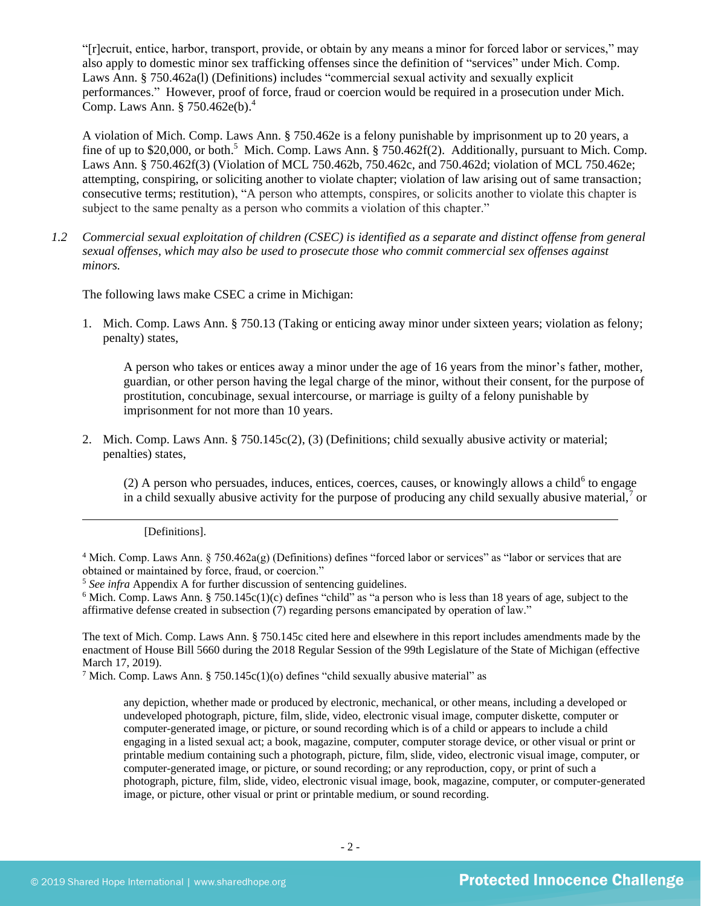"[r]ecruit, entice, harbor, transport, provide, or obtain by any means a minor for forced labor or services," may also apply to domestic minor sex trafficking offenses since the definition of "services" under Mich. Comp. Laws Ann. § 750.462a(l) (Definitions) includes "commercial sexual activity and sexually explicit performances." However, proof of force, fraud or coercion would be required in a prosecution under Mich. Comp. Laws Ann. § 750.462e(b). 4

A violation of Mich. Comp. Laws Ann. § 750.462e is a felony punishable by imprisonment up to 20 years, a fine of up to \$20,000, or both.<sup>5</sup> Mich. Comp. Laws Ann. § 750.462f(2). Additionally, pursuant to Mich. Comp. Laws Ann. § 750.462f(3) (Violation of MCL 750.462b, 750.462c, and 750.462d; violation of MCL 750.462e; attempting, conspiring, or soliciting another to violate chapter; violation of law arising out of same transaction; consecutive terms; restitution), "A person who attempts, conspires, or solicits another to violate this chapter is subject to the same penalty as a person who commits a violation of this chapter."

*1.2 Commercial sexual exploitation of children (CSEC) is identified as a separate and distinct offense from general sexual offenses, which may also be used to prosecute those who commit commercial sex offenses against minors.*

The following laws make CSEC a crime in Michigan:

1. Mich. Comp. Laws Ann. § 750.13 (Taking or enticing away minor under sixteen years; violation as felony; penalty) states,

A person who takes or entices away a minor under the age of 16 years from the minor's father, mother, guardian, or other person having the legal charge of the minor, without their consent, for the purpose of prostitution, concubinage, sexual intercourse, or marriage is guilty of a felony punishable by imprisonment for not more than 10 years.

2. Mich. Comp. Laws Ann. § 750.145c(2), (3) (Definitions; child sexually abusive activity or material; penalties) states,

 $(2)$  A person who persuades, induces, entices, coerces, causes, or knowingly allows a child<sup>6</sup> to engage in a child sexually abusive activity for the purpose of producing any child sexually abusive material, $\frac{7}{1}$  or

#### <span id="page-1-0"></span>[Definitions].

<sup>4</sup> Mich. Comp. Laws Ann. § 750.462a(g) (Definitions) defines "forced labor or services" as "labor or services that are obtained or maintained by force, fraud, or coercion."

<sup>5</sup> *See infra* Appendix A for further discussion of sentencing guidelines.

 $6$  Mich. Comp. Laws Ann. § 750.145c(1)(c) defines "child" as "a person who is less than 18 years of age, subject to the affirmative defense created in subsection (7) regarding persons emancipated by operation of law."

The text of Mich. Comp. Laws Ann. § 750.145c cited here and elsewhere in this report includes amendments made by the enactment of House Bill 5660 during the 2018 Regular Session of the 99th Legislature of the State of Michigan (effective March 17, 2019).

<sup>7</sup> Mich. Comp. Laws Ann. § 750.145c(1)(o) defines "child sexually abusive material" as

any depiction, whether made or produced by electronic, mechanical, or other means, including a developed or undeveloped photograph, picture, film, slide, video, electronic visual image, computer diskette, computer or computer-generated image, or picture, or sound recording which is of a child or appears to include a child engaging in a listed sexual act; a book, magazine, computer, computer storage device, or other visual or print or printable medium containing such a photograph, picture, film, slide, video, electronic visual image, computer, or computer-generated image, or picture, or sound recording; or any reproduction, copy, or print of such a photograph, picture, film, slide, video, electronic visual image, book, magazine, computer, or computer-generated image, or picture, other visual or print or printable medium, or sound recording.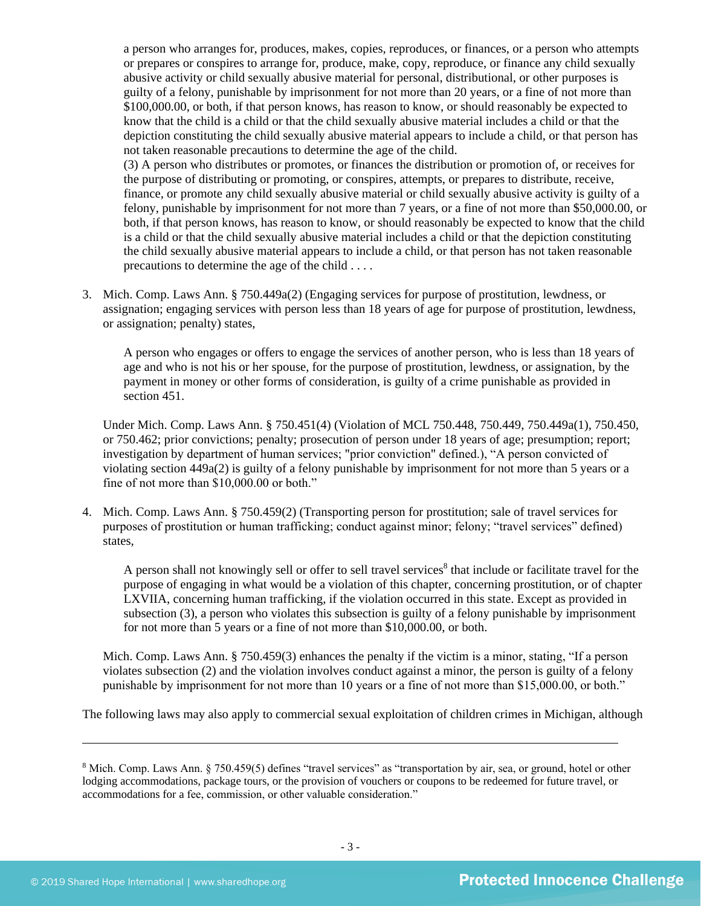a person who arranges for, produces, makes, copies, reproduces, or finances, or a person who attempts or prepares or conspires to arrange for, produce, make, copy, reproduce, or finance any child sexually abusive activity or child sexually abusive material for personal, distributional, or other purposes is guilty of a felony, punishable by imprisonment for not more than 20 years, or a fine of not more than \$100,000.00, or both, if that person knows, has reason to know, or should reasonably be expected to know that the child is a child or that the child sexually abusive material includes a child or that the depiction constituting the child sexually abusive material appears to include a child, or that person has not taken reasonable precautions to determine the age of the child.

(3) A person who distributes or promotes, or finances the distribution or promotion of, or receives for the purpose of distributing or promoting, or conspires, attempts, or prepares to distribute, receive, finance, or promote any child sexually abusive material or child sexually abusive activity is guilty of a felony, punishable by imprisonment for not more than 7 years, or a fine of not more than \$50,000.00, or both, if that person knows, has reason to know, or should reasonably be expected to know that the child is a child or that the child sexually abusive material includes a child or that the depiction constituting the child sexually abusive material appears to include a child, or that person has not taken reasonable precautions to determine the age of the child . . . .

3. Mich. Comp. Laws Ann. § 750.449a(2) (Engaging services for purpose of prostitution, lewdness, or assignation; engaging services with person less than 18 years of age for purpose of prostitution, lewdness, or assignation; penalty) states,

A person who engages or offers to engage the services of another person, who is less than 18 years of age and who is not his or her spouse, for the purpose of prostitution, lewdness, or assignation, by the payment in money or other forms of consideration, is guilty of a crime punishable as provided in section 451.

Under Mich. Comp. Laws Ann. § 750.451(4) (Violation of MCL 750.448, 750.449, 750.449a(1), 750.450, or 750.462; prior convictions; penalty; prosecution of person under 18 years of age; presumption; report; investigation by department of human services; "prior conviction" defined.), "A person convicted of violating section 449a(2) is guilty of a felony punishable by imprisonment for not more than 5 years or a fine of not more than \$10,000.00 or both."

4. Mich. Comp. Laws Ann. § 750.459(2) (Transporting person for prostitution; sale of travel services for purposes of prostitution or human trafficking; conduct against minor; felony; "travel services" defined) states,

A person shall not knowingly sell or offer to sell travel services<sup>8</sup> that include or facilitate travel for the purpose of engaging in what would be a violation of this chapter, concerning prostitution, or of chapter LXVIIA, concerning human trafficking, if the violation occurred in this state. Except as provided in subsection (3), a person who violates this subsection is guilty of a felony punishable by imprisonment for not more than 5 years or a fine of not more than \$10,000.00, or both.

Mich. Comp. Laws Ann. § 750.459(3) enhances the penalty if the victim is a minor, stating, "If a person violates subsection (2) and the violation involves conduct against a minor, the person is guilty of a felony punishable by imprisonment for not more than 10 years or a fine of not more than \$15,000.00, or both."

The following laws may also apply to commercial sexual exploitation of children crimes in Michigan, although

<sup>&</sup>lt;sup>8</sup> Mich. Comp. Laws Ann. § 750.459(5) defines "travel services" as "transportation by air, sea, or ground, hotel or other lodging accommodations, package tours, or the provision of vouchers or coupons to be redeemed for future travel, or accommodations for a fee, commission, or other valuable consideration."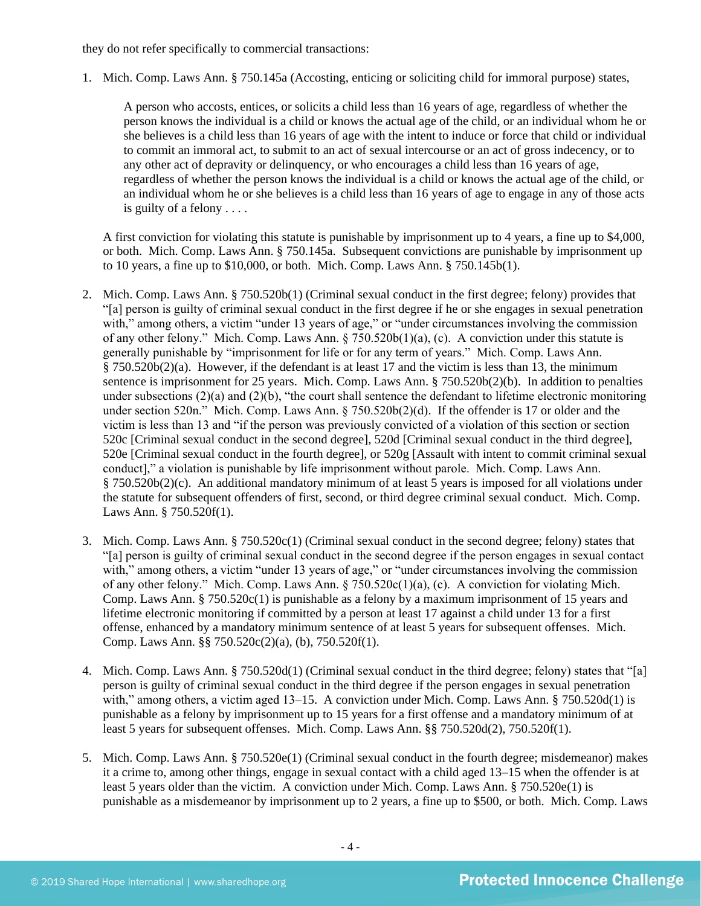they do not refer specifically to commercial transactions:

1. Mich. Comp. Laws Ann. § 750.145a (Accosting, enticing or soliciting child for immoral purpose) states,

A person who accosts, entices, or solicits a child less than 16 years of age, regardless of whether the person knows the individual is a child or knows the actual age of the child, or an individual whom he or she believes is a child less than 16 years of age with the intent to induce or force that child or individual to commit an immoral act, to submit to an act of sexual intercourse or an act of gross indecency, or to any other act of depravity or delinquency, or who encourages a child less than 16 years of age, regardless of whether the person knows the individual is a child or knows the actual age of the child, or an individual whom he or she believes is a child less than 16 years of age to engage in any of those acts is guilty of a felony . . . .

A first conviction for violating this statute is punishable by imprisonment up to 4 years, a fine up to \$4,000, or both. Mich. Comp. Laws Ann. § 750.145a. Subsequent convictions are punishable by imprisonment up to 10 years, a fine up to \$10,000, or both. Mich. Comp. Laws Ann. § 750.145b(1).

- 2. Mich. Comp. Laws Ann. § 750.520b(1) (Criminal sexual conduct in the first degree; felony) provides that "[a] person is guilty of criminal sexual conduct in the first degree if he or she engages in sexual penetration with," among others, a victim "under 13 years of age," or "under circumstances involving the commission of any other felony." Mich. Comp. Laws Ann. § 750.520b(1)(a), (c). A conviction under this statute is generally punishable by "imprisonment for life or for any term of years." Mich. Comp. Laws Ann. § 750.520b(2)(a). However, if the defendant is at least 17 and the victim is less than 13, the minimum sentence is imprisonment for 25 years. Mich. Comp. Laws Ann. § 750.520b(2)(b). In addition to penalties under subsections (2)(a) and (2)(b), "the court shall sentence the defendant to lifetime electronic monitoring under section 520n." Mich. Comp. Laws Ann. § 750.520b(2)(d). If the offender is 17 or older and the victim is less than 13 and "if the person was previously convicted of a violation of this section or section 520c [Criminal sexual conduct in the second degree], 520d [Criminal sexual conduct in the third degree], 520e [Criminal sexual conduct in the fourth degree], or 520g [Assault with intent to commit criminal sexual conduct]," a violation is punishable by life imprisonment without parole. Mich. Comp. Laws Ann. § 750.520b(2)(c). An additional mandatory minimum of at least 5 years is imposed for all violations under the statute for subsequent offenders of first, second, or third degree criminal sexual conduct. Mich. Comp. Laws Ann. § 750.520f(1).
- 3. Mich. Comp. Laws Ann. § 750.520c(1) (Criminal sexual conduct in the second degree; felony) states that "[a] person is guilty of criminal sexual conduct in the second degree if the person engages in sexual contact with," among others, a victim "under 13 years of age," or "under circumstances involving the commission of any other felony." Mich. Comp. Laws Ann. § 750.520c(1)(a), (c). A conviction for violating Mich. Comp. Laws Ann. § 750.520c(1) is punishable as a felony by a maximum imprisonment of 15 years and lifetime electronic monitoring if committed by a person at least 17 against a child under 13 for a first offense, enhanced by a mandatory minimum sentence of at least 5 years for subsequent offenses. Mich. Comp. Laws Ann. §§ 750.520c(2)(a), (b), 750.520f(1).
- 4. Mich. Comp. Laws Ann. § 750.520d(1) (Criminal sexual conduct in the third degree; felony) states that "[a] person is guilty of criminal sexual conduct in the third degree if the person engages in sexual penetration with," among others, a victim aged 13–15. A conviction under Mich. Comp. Laws Ann. § 750.520d(1) is punishable as a felony by imprisonment up to 15 years for a first offense and a mandatory minimum of at least 5 years for subsequent offenses. Mich. Comp. Laws Ann. §§ 750.520d(2), 750.520f(1).
- 5. Mich. Comp. Laws Ann. § 750.520e(1) (Criminal sexual conduct in the fourth degree; misdemeanor) makes it a crime to, among other things, engage in sexual contact with a child aged 13–15 when the offender is at least 5 years older than the victim. A conviction under Mich. Comp. Laws Ann. § 750.520e(1) is punishable as a misdemeanor by imprisonment up to 2 years, a fine up to \$500, or both. Mich. Comp. Laws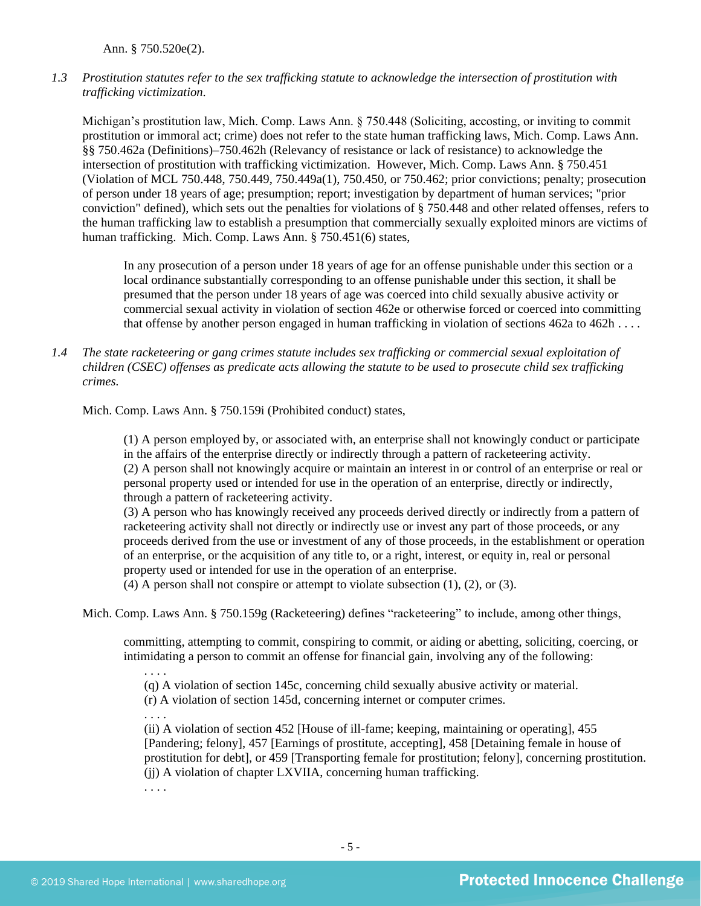Ann. § 750.520e(2).

*1.3 Prostitution statutes refer to the sex trafficking statute to acknowledge the intersection of prostitution with trafficking victimization.* 

Michigan's prostitution law, Mich. Comp. Laws Ann. § 750.448 (Soliciting, accosting, or inviting to commit prostitution or immoral act; crime) does not refer to the state human trafficking laws, Mich. Comp. Laws Ann. §§ 750.462a (Definitions)–750.462h (Relevancy of resistance or lack of resistance) to acknowledge the intersection of prostitution with trafficking victimization. However, Mich. Comp. Laws Ann. § 750.451 (Violation of MCL 750.448, 750.449, 750.449a(1), 750.450, or 750.462; prior convictions; penalty; prosecution of person under 18 years of age; presumption; report; investigation by department of human services; "prior conviction" defined), which sets out the penalties for violations of § 750.448 and other related offenses, refers to the human trafficking law to establish a presumption that commercially sexually exploited minors are victims of human trafficking. Mich. Comp. Laws Ann. § 750.451(6) states,

In any prosecution of a person under 18 years of age for an offense punishable under this section or a local ordinance substantially corresponding to an offense punishable under this section, it shall be presumed that the person under 18 years of age was coerced into child sexually abusive activity or commercial sexual activity in violation of section 462e or otherwise forced or coerced into committing that offense by another person engaged in human trafficking in violation of sections  $462a$  to  $462h$ ...

*1.4 The state racketeering or gang crimes statute includes sex trafficking or commercial sexual exploitation of children (CSEC) offenses as predicate acts allowing the statute to be used to prosecute child sex trafficking crimes.* 

Mich. Comp. Laws Ann. § 750.159i (Prohibited conduct) states,

(1) A person employed by, or associated with, an enterprise shall not knowingly conduct or participate in the affairs of the enterprise directly or indirectly through a pattern of racketeering activity. (2) A person shall not knowingly acquire or maintain an interest in or control of an enterprise or real or personal property used or intended for use in the operation of an enterprise, directly or indirectly, through a pattern of racketeering activity.

(3) A person who has knowingly received any proceeds derived directly or indirectly from a pattern of racketeering activity shall not directly or indirectly use or invest any part of those proceeds, or any proceeds derived from the use or investment of any of those proceeds, in the establishment or operation of an enterprise, or the acquisition of any title to, or a right, interest, or equity in, real or personal property used or intended for use in the operation of an enterprise.

(4) A person shall not conspire or attempt to violate subsection (1), (2), or (3).

Mich. Comp. Laws Ann. § 750.159g (Racketeering) defines "racketeering" to include, among other things,

committing, attempting to commit, conspiring to commit, or aiding or abetting, soliciting, coercing, or intimidating a person to commit an offense for financial gain, involving any of the following:

(q) A violation of section 145c, concerning child sexually abusive activity or material.

(r) A violation of section 145d, concerning internet or computer crimes.

. . . .

. . . .

(ii) A violation of section 452 [House of ill-fame; keeping, maintaining or operating], 455 [Pandering; felony], 457 [Earnings of prostitute, accepting], 458 [Detaining female in house of prostitution for debt], or 459 [Transporting female for prostitution; felony], concerning prostitution. (jj) A violation of chapter LXVIIA, concerning human trafficking.

. . . .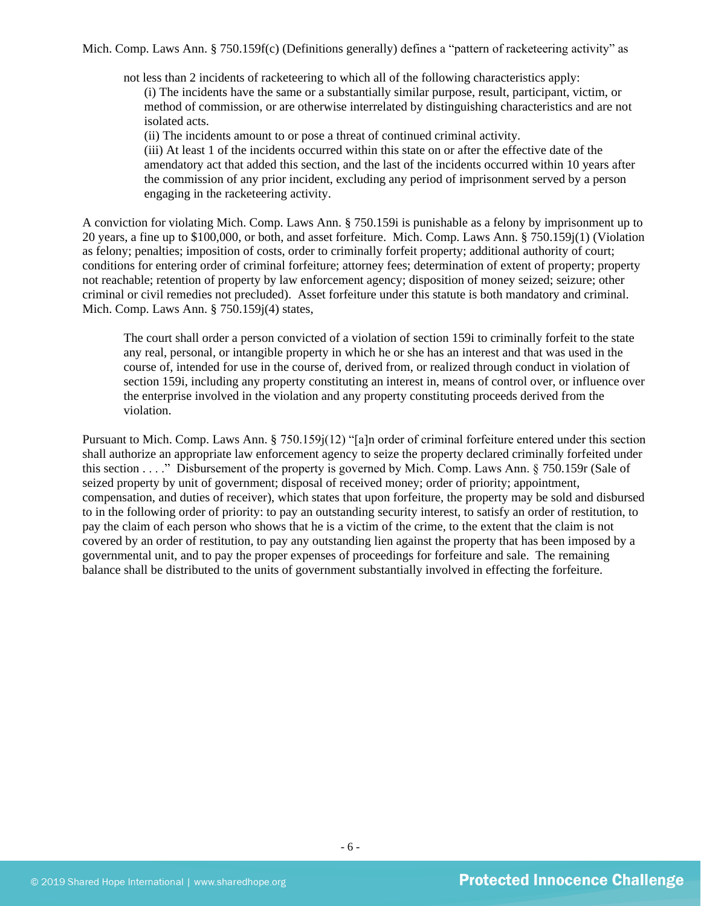Mich. Comp. Laws Ann. § 750.159f(c) (Definitions generally) defines a "pattern of racketeering activity" as

not less than 2 incidents of racketeering to which all of the following characteristics apply: (i) The incidents have the same or a substantially similar purpose, result, participant, victim, or method of commission, or are otherwise interrelated by distinguishing characteristics and are not isolated acts.

(ii) The incidents amount to or pose a threat of continued criminal activity.

(iii) At least 1 of the incidents occurred within this state on or after the effective date of the amendatory act that added this section, and the last of the incidents occurred within 10 years after the commission of any prior incident, excluding any period of imprisonment served by a person engaging in the racketeering activity.

A conviction for violating Mich. Comp. Laws Ann. § 750.159i is punishable as a felony by imprisonment up to 20 years, a fine up to \$100,000, or both, and asset forfeiture. Mich. Comp. Laws Ann. § 750.159j(1) (Violation as felony; penalties; imposition of costs, order to criminally forfeit property; additional authority of court; conditions for entering order of criminal forfeiture; attorney fees; determination of extent of property; property not reachable; retention of property by law enforcement agency; disposition of money seized; seizure; other criminal or civil remedies not precluded). Asset forfeiture under this statute is both mandatory and criminal. Mich. Comp. Laws Ann. § 750.159j(4) states,

The court shall order a person convicted of a violation of section 159i to criminally forfeit to the state any real, personal, or intangible property in which he or she has an interest and that was used in the course of, intended for use in the course of, derived from, or realized through conduct in violation of section 159i, including any property constituting an interest in, means of control over, or influence over the enterprise involved in the violation and any property constituting proceeds derived from the violation.

Pursuant to Mich. Comp. Laws Ann. § 750.159j(12) "[a]n order of criminal forfeiture entered under this section shall authorize an appropriate law enforcement agency to seize the property declared criminally forfeited under this section . . . ." Disbursement of the property is governed by Mich. Comp. Laws Ann. § 750.159r (Sale of seized property by unit of government; disposal of received money; order of priority; appointment, compensation, and duties of receiver), which states that upon forfeiture, the property may be sold and disbursed to in the following order of priority: to pay an outstanding security interest, to satisfy an order of restitution, to pay the claim of each person who shows that he is a victim of the crime, to the extent that the claim is not covered by an order of restitution, to pay any outstanding lien against the property that has been imposed by a governmental unit, and to pay the proper expenses of proceedings for forfeiture and sale. The remaining balance shall be distributed to the units of government substantially involved in effecting the forfeiture.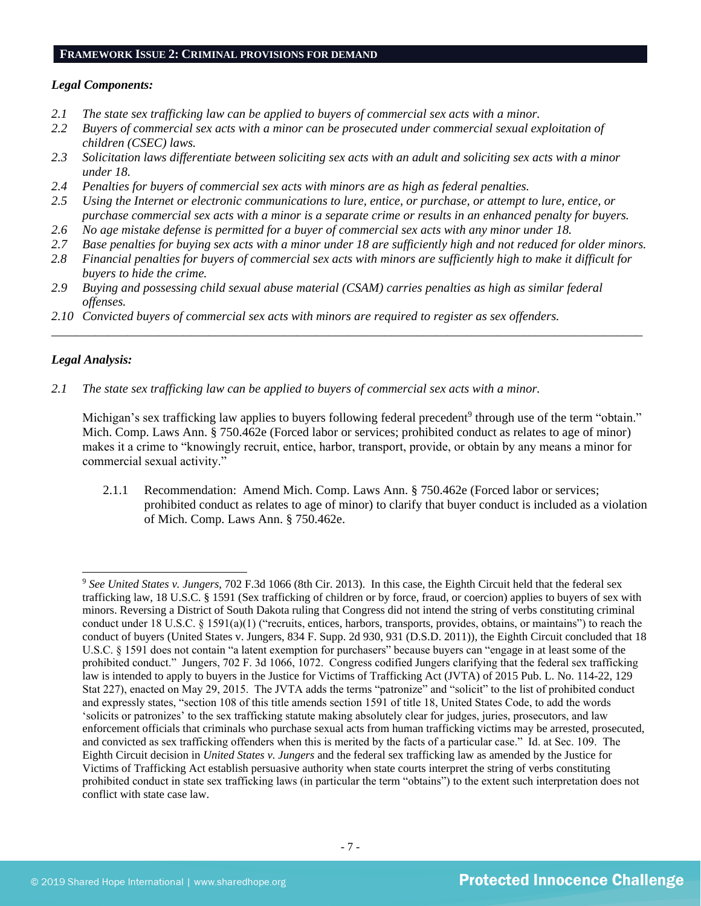#### **FRAMEWORK ISSUE 2: CRIMINAL PROVISIONS FOR DEMAND**

## *Legal Components:*

- *2.1 The state sex trafficking law can be applied to buyers of commercial sex acts with a minor.*
- *2.2 Buyers of commercial sex acts with a minor can be prosecuted under commercial sexual exploitation of children (CSEC) laws.*
- *2.3 Solicitation laws differentiate between soliciting sex acts with an adult and soliciting sex acts with a minor under 18.*
- *2.4 Penalties for buyers of commercial sex acts with minors are as high as federal penalties.*
- *2.5 Using the Internet or electronic communications to lure, entice, or purchase, or attempt to lure, entice, or purchase commercial sex acts with a minor is a separate crime or results in an enhanced penalty for buyers.*
- *2.6 No age mistake defense is permitted for a buyer of commercial sex acts with any minor under 18.*
- *2.7 Base penalties for buying sex acts with a minor under 18 are sufficiently high and not reduced for older minors.*
- *2.8 Financial penalties for buyers of commercial sex acts with minors are sufficiently high to make it difficult for buyers to hide the crime.*

\_\_\_\_\_\_\_\_\_\_\_\_\_\_\_\_\_\_\_\_\_\_\_\_\_\_\_\_\_\_\_\_\_\_\_\_\_\_\_\_\_\_\_\_\_\_\_\_\_\_\_\_\_\_\_\_\_\_\_\_\_\_\_\_\_\_\_\_\_\_\_\_\_\_\_\_\_\_\_\_\_\_\_\_\_\_\_\_\_\_\_\_\_\_

- *2.9 Buying and possessing child sexual abuse material (CSAM) carries penalties as high as similar federal offenses.*
- *2.10 Convicted buyers of commercial sex acts with minors are required to register as sex offenders.*

## *Legal Analysis:*

*2.1 The state sex trafficking law can be applied to buyers of commercial sex acts with a minor.*

Michigan's sex trafficking law applies to buyers following federal precedent<sup>9</sup> through use of the term "obtain." Mich. Comp. Laws Ann. § 750.462e (Forced labor or services; prohibited conduct as relates to age of minor) makes it a crime to "knowingly recruit, entice, harbor, transport, provide, or obtain by any means a minor for commercial sexual activity."

2.1.1 Recommendation: Amend Mich. Comp. Laws Ann. § 750.462e (Forced labor or services; prohibited conduct as relates to age of minor) to clarify that buyer conduct is included as a violation of Mich. Comp. Laws Ann. § 750.462e.

<sup>9</sup> *See United States v. Jungers*, 702 F.3d 1066 (8th Cir. 2013). In this case, the Eighth Circuit held that the federal sex trafficking law, 18 U.S.C. § 1591 (Sex trafficking of children or by force, fraud, or coercion) applies to buyers of sex with minors. Reversing a District of South Dakota ruling that Congress did not intend the string of verbs constituting criminal conduct under 18 U.S.C. § 1591(a)(1) ("recruits, entices, harbors, transports, provides, obtains, or maintains") to reach the conduct of buyers (United States v. Jungers, 834 F. Supp. 2d 930, 931 (D.S.D. 2011)), the Eighth Circuit concluded that 18 U.S.C. § 1591 does not contain "a latent exemption for purchasers" because buyers can "engage in at least some of the prohibited conduct." Jungers, 702 F. 3d 1066, 1072. Congress codified Jungers clarifying that the federal sex trafficking law is intended to apply to buyers in the Justice for Victims of Trafficking Act (JVTA) of 2015 Pub. L. No. 114-22, 129 Stat 227), enacted on May 29, 2015. The JVTA adds the terms "patronize" and "solicit" to the list of prohibited conduct and expressly states, "section 108 of this title amends section 1591 of title 18, United States Code, to add the words 'solicits or patronizes' to the sex trafficking statute making absolutely clear for judges, juries, prosecutors, and law enforcement officials that criminals who purchase sexual acts from human trafficking victims may be arrested, prosecuted, and convicted as sex trafficking offenders when this is merited by the facts of a particular case." Id. at Sec. 109. The Eighth Circuit decision in *United States v. Jungers* and the federal sex trafficking law as amended by the Justice for Victims of Trafficking Act establish persuasive authority when state courts interpret the string of verbs constituting prohibited conduct in state sex trafficking laws (in particular the term "obtains") to the extent such interpretation does not conflict with state case law.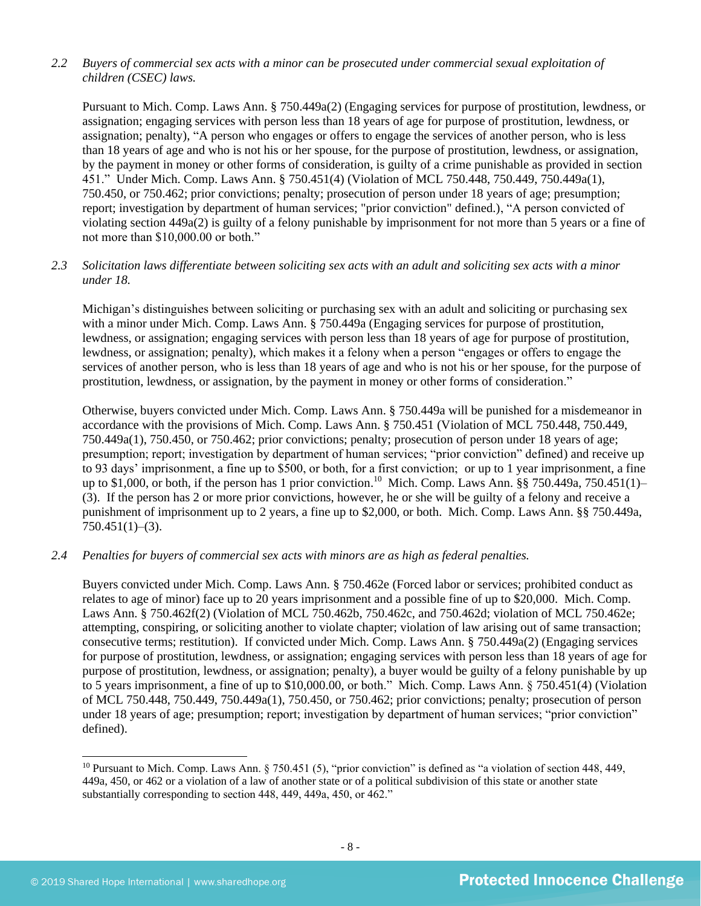## *2.2 Buyers of commercial sex acts with a minor can be prosecuted under commercial sexual exploitation of children (CSEC) laws.*

Pursuant to Mich. Comp. Laws Ann. § 750.449a(2) (Engaging services for purpose of prostitution, lewdness, or assignation; engaging services with person less than 18 years of age for purpose of prostitution, lewdness, or assignation; penalty), "A person who engages or offers to engage the services of another person, who is less than 18 years of age and who is not his or her spouse, for the purpose of prostitution, lewdness, or assignation, by the payment in money or other forms of consideration, is guilty of a crime punishable as provided in section 451." Under Mich. Comp. Laws Ann. § 750.451(4) (Violation of MCL 750.448, 750.449, 750.449a(1), 750.450, or 750.462; prior convictions; penalty; prosecution of person under 18 years of age; presumption; report; investigation by department of human services; "prior conviction" defined.), "A person convicted of violating section 449a(2) is guilty of a felony punishable by imprisonment for not more than 5 years or a fine of not more than \$10,000.00 or both."

## *2.3 Solicitation laws differentiate between soliciting sex acts with an adult and soliciting sex acts with a minor under 18.*

Michigan's distinguishes between soliciting or purchasing sex with an adult and soliciting or purchasing sex with a minor under Mich. Comp. Laws Ann. § 750.449a (Engaging services for purpose of prostitution, lewdness, or assignation; engaging services with person less than 18 years of age for purpose of prostitution, lewdness, or assignation; penalty), which makes it a felony when a person "engages or offers to engage the services of another person, who is less than 18 years of age and who is not his or her spouse, for the purpose of prostitution, lewdness, or assignation, by the payment in money or other forms of consideration."

Otherwise, buyers convicted under Mich. Comp. Laws Ann. § 750.449a will be punished for a misdemeanor in accordance with the provisions of Mich. Comp. Laws Ann. § 750.451 (Violation of MCL 750.448, 750.449, 750.449a(1), 750.450, or 750.462; prior convictions; penalty; prosecution of person under 18 years of age; presumption; report; investigation by department of human services; "prior conviction" defined) and receive up to 93 days' imprisonment, a fine up to \$500, or both, for a first conviction; or up to 1 year imprisonment, a fine up to \$1,000, or both, if the person has 1 prior conviction.<sup>10</sup> Mich. Comp. Laws Ann. §§ 750.449a, 750.451(1)– (3). If the person has 2 or more prior convictions, however, he or she will be guilty of a felony and receive a punishment of imprisonment up to 2 years, a fine up to \$2,000, or both. Mich. Comp. Laws Ann. §§ 750.449a,  $750.451(1)–(3)$ .

## *2.4 Penalties for buyers of commercial sex acts with minors are as high as federal penalties.*

Buyers convicted under Mich. Comp. Laws Ann. § 750.462e (Forced labor or services; prohibited conduct as relates to age of minor) face up to 20 years imprisonment and a possible fine of up to \$20,000. Mich. Comp. Laws Ann. § 750.462f(2) (Violation of MCL 750.462b, 750.462c, and 750.462d; violation of MCL 750.462e; attempting, conspiring, or soliciting another to violate chapter; violation of law arising out of same transaction; consecutive terms; restitution). If convicted under Mich. Comp. Laws Ann. § 750.449a(2) (Engaging services for purpose of prostitution, lewdness, or assignation; engaging services with person less than 18 years of age for purpose of prostitution, lewdness, or assignation; penalty), a buyer would be guilty of a felony punishable by up to 5 years imprisonment, a fine of up to \$10,000.00, or both." Mich. Comp. Laws Ann. § 750.451(4) (Violation of MCL 750.448, 750.449, 750.449a(1), 750.450, or 750.462; prior convictions; penalty; prosecution of person under 18 years of age; presumption; report; investigation by department of human services; "prior conviction" defined).

<sup>&</sup>lt;sup>10</sup> Pursuant to Mich. Comp. Laws Ann. § 750.451 (5), "prior conviction" is defined as "a violation of section 448, 449, 449a, 450, or 462 or a violation of a law of another state or of a political subdivision of this state or another state substantially corresponding to section 448, 449, 449a, 450, or 462."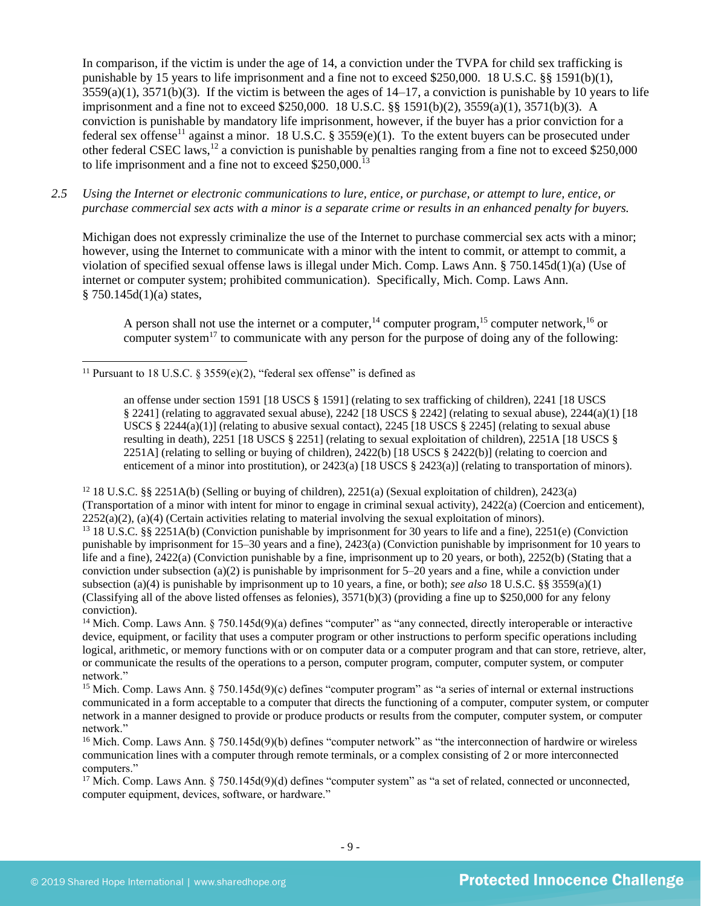<span id="page-8-0"></span>In comparison, if the victim is under the age of 14, a conviction under the TVPA for child sex trafficking is punishable by 15 years to life imprisonment and a fine not to exceed \$250,000. 18 U.S.C. §§ 1591(b)(1),  $3559(a)(1)$ ,  $3571(b)(3)$ . If the victim is between the ages of  $14-17$ , a conviction is punishable by 10 years to life imprisonment and a fine not to exceed \$250,000. 18 U.S.C. §§ 1591(b)(2), 3559(a)(1), 3571(b)(3). A conviction is punishable by mandatory life imprisonment, however, if the buyer has a prior conviction for a federal sex offense<sup>11</sup> against a minor. 18 U.S.C. § 3559(e)(1). To the extent buyers can be prosecuted under other federal CSEC laws,<sup>12</sup> a conviction is punishable by penalties ranging from a fine not to exceed \$250,000 to life imprisonment and a fine not to exceed  $$250,000$ <sup>13</sup>

*2.5 Using the Internet or electronic communications to lure, entice, or purchase, or attempt to lure, entice, or purchase commercial sex acts with a minor is a separate crime or results in an enhanced penalty for buyers.*

Michigan does not expressly criminalize the use of the Internet to purchase commercial sex acts with a minor; however, using the Internet to communicate with a minor with the intent to commit, or attempt to commit, a violation of specified sexual offense laws is illegal under Mich. Comp. Laws Ann. § 750.145d(1)(a) (Use of internet or computer system; prohibited communication). Specifically, Mich. Comp. Laws Ann.  $§ 750.145d(1)(a) states,$ 

<span id="page-8-4"></span><span id="page-8-3"></span><span id="page-8-2"></span><span id="page-8-1"></span>A person shall not use the internet or a computer,  $14$  computer program,  $15$  computer network,  $16$  or computer system<sup>17</sup> to communicate with any person for the purpose of doing any of the following:

<sup>12</sup> 18 U.S.C. §§ 2251A(b) (Selling or buying of children), 2251(a) (Sexual exploitation of children), 2423(a) (Transportation of a minor with intent for minor to engage in criminal sexual activity), 2422(a) (Coercion and enticement),  $2252(a)(2)$ , (a)(4) (Certain activities relating to material involving the sexual exploitation of minors). <sup>13</sup> 18 U.S.C. §§ 2251A(b) (Conviction punishable by imprisonment for 30 years to life and a fine), 2251(e) (Conviction punishable by imprisonment for 15–30 years and a fine), 2423(a) (Conviction punishable by imprisonment for 10 years to life and a fine), 2422(a) (Conviction punishable by a fine, imprisonment up to 20 years, or both), 2252(b) (Stating that a conviction under subsection (a)(2) is punishable by imprisonment for 5–20 years and a fine, while a conviction under subsection (a)(4) is punishable by imprisonment up to 10 years, a fine, or both); *see also* 18 U.S.C. §§ 3559(a)(1) (Classifying all of the above listed offenses as felonies),  $3571(b)(3)$  (providing a fine up to \$250,000 for any felony conviction).

<sup>14</sup> Mich. Comp. Laws Ann. § 750.145d(9)(a) defines "computer" as "any connected, directly interoperable or interactive device, equipment, or facility that uses a computer program or other instructions to perform specific operations including logical, arithmetic, or memory functions with or on computer data or a computer program and that can store, retrieve, alter, or communicate the results of the operations to a person, computer program, computer, computer system, or computer network."

<sup>15</sup> Mich. Comp. Laws Ann.  $\S 750.145d(9)(c)$  defines "computer program" as "a series of internal or external instructions communicated in a form acceptable to a computer that directs the functioning of a computer, computer system, or computer network in a manner designed to provide or produce products or results from the computer, computer system, or computer network."

<sup>17</sup> Mich. Comp. Laws Ann. § 750.145d(9)(d) defines "computer system" as "a set of related, connected or unconnected, computer equipment, devices, software, or hardware."

<sup>&</sup>lt;sup>11</sup> Pursuant to 18 U.S.C. § 3559(e)(2), "federal sex offense" is defined as

an offense under section 1591 [18 USCS § 1591] (relating to sex trafficking of children), 2241 [18 USCS  $\S$  2241] (relating to aggravated sexual abuse), 2242 [18 USCS  $\S$  2242] (relating to sexual abuse), 2244(a)(1) [18 USCS  $\S$  2244(a)(1)] (relating to abusive sexual contact), 2245 [18 USCS  $\S$  2245] (relating to sexual abuse resulting in death), 2251 [18 USCS § 2251] (relating to sexual exploitation of children), 2251A [18 USCS § 2251A] (relating to selling or buying of children), 2422(b) [18 USCS  $\S$  2422(b)] (relating to coercion and enticement of a minor into prostitution), or 2423(a) [18 USCS § 2423(a)] (relating to transportation of minors).

<sup>&</sup>lt;sup>16</sup> Mich. Comp. Laws Ann.  $\S 750.145d(9)$ (b) defines "computer network" as "the interconnection of hardwire or wireless communication lines with a computer through remote terminals, or a complex consisting of 2 or more interconnected computers."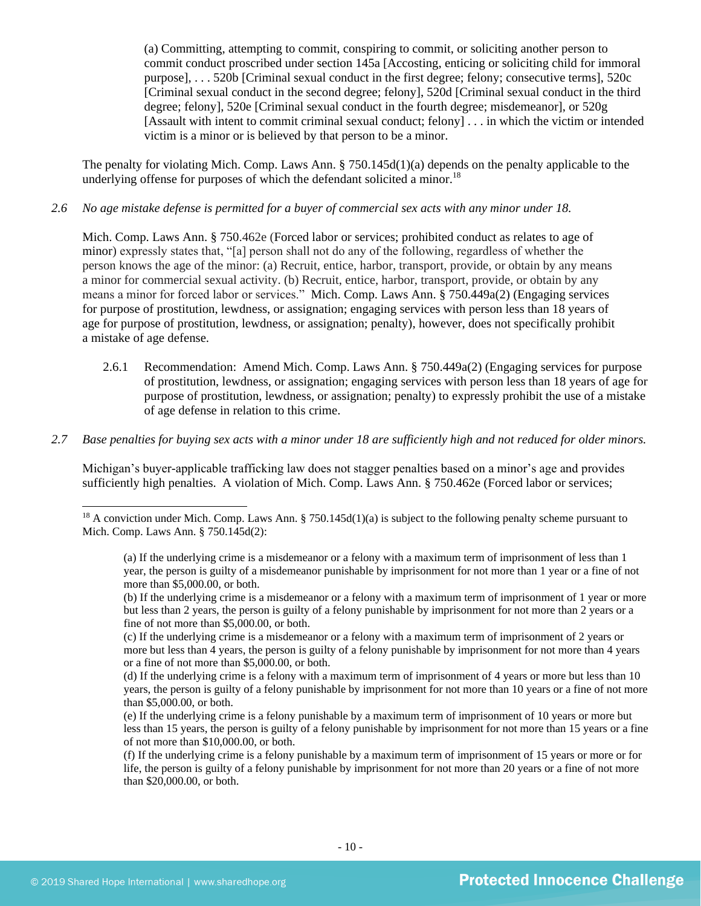<span id="page-9-0"></span>(a) Committing, attempting to commit, conspiring to commit, or soliciting another person to commit conduct proscribed under section 145a [Accosting, enticing or soliciting child for immoral purpose], . . . 520b [Criminal sexual conduct in the first degree; felony; consecutive terms], 520c [Criminal sexual conduct in the second degree; felony], 520d [Criminal sexual conduct in the third degree; felony], 520e [Criminal sexual conduct in the fourth degree; misdemeanor], or 520g [Assault with intent to commit criminal sexual conduct; felony] . . . in which the victim or intended victim is a minor or is believed by that person to be a minor.

The penalty for violating Mich. Comp. Laws Ann. § 750.145d(1)(a) depends on the penalty applicable to the underlying offense for purposes of which the defendant solicited a minor.<sup>18</sup>

#### *2.6 No age mistake defense is permitted for a buyer of commercial sex acts with any minor under 18.*

Mich. Comp. Laws Ann. § 750.462e (Forced labor or services; prohibited conduct as relates to age of minor) expressly states that, "[a] person shall not do any of the following, regardless of whether the person knows the age of the minor: (a) Recruit, entice, harbor, transport, provide, or obtain by any means a minor for commercial sexual activity. (b) Recruit, entice, harbor, transport, provide, or obtain by any means a minor for forced labor or services." Mich. Comp. Laws Ann. § 750.449a(2) (Engaging services for purpose of prostitution, lewdness, or assignation; engaging services with person less than 18 years of age for purpose of prostitution, lewdness, or assignation; penalty), however, does not specifically prohibit a mistake of age defense.

- 2.6.1 Recommendation: Amend Mich. Comp. Laws Ann. § 750.449a(2) (Engaging services for purpose of prostitution, lewdness, or assignation; engaging services with person less than 18 years of age for purpose of prostitution, lewdness, or assignation; penalty) to expressly prohibit the use of a mistake of age defense in relation to this crime.
- *2.7 Base penalties for buying sex acts with a minor under 18 are sufficiently high and not reduced for older minors.*

Michigan's buyer-applicable trafficking law does not stagger penalties based on a minor's age and provides sufficiently high penalties. A violation of Mich. Comp. Laws Ann. § 750.462e (Forced labor or services;

<sup>&</sup>lt;sup>18</sup> A conviction under Mich. Comp. Laws Ann. § 750.145d(1)(a) is subject to the following penalty scheme pursuant to Mich. Comp. Laws Ann. § 750.145d(2):

<sup>(</sup>a) If the underlying crime is a misdemeanor or a felony with a maximum term of imprisonment of less than 1 year, the person is guilty of a misdemeanor punishable by imprisonment for not more than 1 year or a fine of not more than \$5,000.00, or both.

<sup>(</sup>b) If the underlying crime is a misdemeanor or a felony with a maximum term of imprisonment of 1 year or more but less than 2 years, the person is guilty of a felony punishable by imprisonment for not more than 2 years or a fine of not more than \$5,000.00, or both.

<sup>(</sup>c) If the underlying crime is a misdemeanor or a felony with a maximum term of imprisonment of 2 years or more but less than 4 years, the person is guilty of a felony punishable by imprisonment for not more than 4 years or a fine of not more than \$5,000.00, or both.

<sup>(</sup>d) If the underlying crime is a felony with a maximum term of imprisonment of 4 years or more but less than 10 years, the person is guilty of a felony punishable by imprisonment for not more than 10 years or a fine of not more than \$5,000.00, or both.

<sup>(</sup>e) If the underlying crime is a felony punishable by a maximum term of imprisonment of 10 years or more but less than 15 years, the person is guilty of a felony punishable by imprisonment for not more than 15 years or a fine of not more than \$10,000.00, or both.

<sup>(</sup>f) If the underlying crime is a felony punishable by a maximum term of imprisonment of 15 years or more or for life, the person is guilty of a felony punishable by imprisonment for not more than 20 years or a fine of not more than \$20,000.00, or both.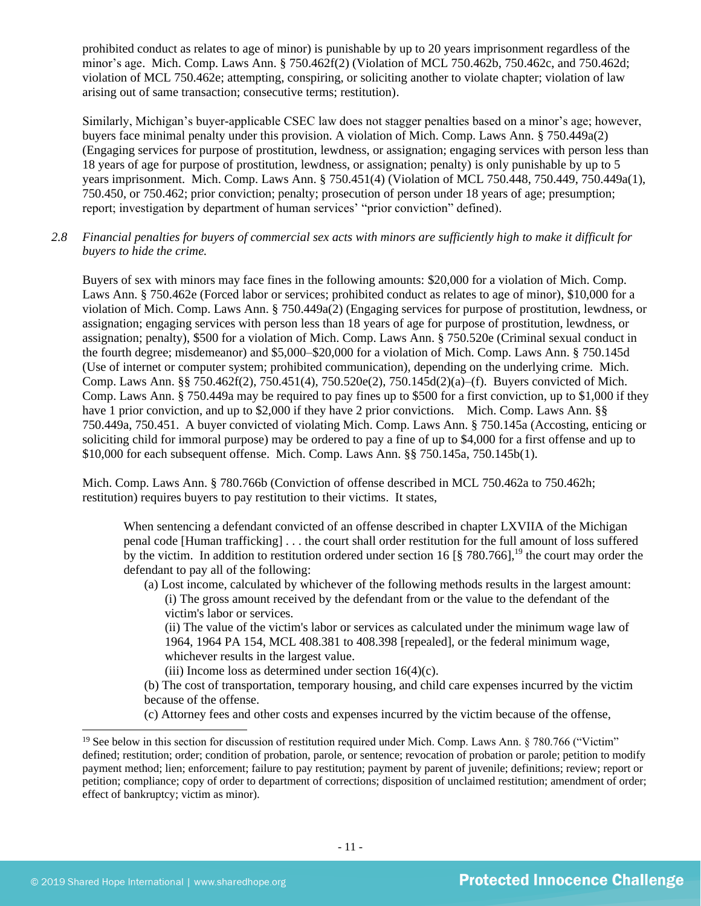prohibited conduct as relates to age of minor) is punishable by up to 20 years imprisonment regardless of the minor's age. Mich. Comp. Laws Ann. § 750.462f(2) (Violation of MCL 750.462b, 750.462c, and 750.462d; violation of MCL 750.462e; attempting, conspiring, or soliciting another to violate chapter; violation of law arising out of same transaction; consecutive terms; restitution).

Similarly, Michigan's buyer-applicable CSEC law does not stagger penalties based on a minor's age; however, buyers face minimal penalty under this provision. A violation of Mich. Comp. Laws Ann. § 750.449a(2) (Engaging services for purpose of prostitution, lewdness, or assignation; engaging services with person less than 18 years of age for purpose of prostitution, lewdness, or assignation; penalty) is only punishable by up to 5 years imprisonment. Mich. Comp. Laws Ann. § 750.451(4) (Violation of MCL 750.448, 750.449, 750.449a(1), 750.450, or 750.462; prior conviction; penalty; prosecution of person under 18 years of age; presumption; report; investigation by department of human services' "prior conviction" defined).

*2.8 Financial penalties for buyers of commercial sex acts with minors are sufficiently high to make it difficult for buyers to hide the crime.* 

Buyers of sex with minors may face fines in the following amounts: \$20,000 for a violation of Mich. Comp. Laws Ann. § 750.462e (Forced labor or services; prohibited conduct as relates to age of minor), \$10,000 for a violation of Mich. Comp. Laws Ann. § 750.449a(2) (Engaging services for purpose of prostitution, lewdness, or assignation; engaging services with person less than 18 years of age for purpose of prostitution, lewdness, or assignation; penalty), \$500 for a violation of Mich. Comp. Laws Ann. § 750.520e (Criminal sexual conduct in the fourth degree; misdemeanor) and \$5,000–\$20,000 for a violation of Mich. Comp. Laws Ann. § 750.145d (Use of internet or computer system; prohibited communication), depending on the underlying crime. Mich. Comp. Laws Ann. §§ 750.462f(2), 750.451(4), 750.520e(2), 750.145d(2)(a)–(f). Buyers convicted of Mich. Comp. Laws Ann. § 750.449a may be required to pay fines up to \$500 for a first conviction, up to \$1,000 if they have 1 prior conviction, and up to \$2,000 if they have 2 prior convictions. Mich. Comp. Laws Ann. §§ 750.449a, 750.451. A buyer convicted of violating Mich. Comp. Laws Ann. § 750.145a (Accosting, enticing or soliciting child for immoral purpose) may be ordered to pay a fine of up to \$4,000 for a first offense and up to \$10,000 for each subsequent offense. Mich. Comp. Laws Ann. §§ 750.145a, 750.145b(1).

Mich. Comp. Laws Ann. § 780.766b (Conviction of offense described in MCL 750.462a to 750.462h; restitution) requires buyers to pay restitution to their victims. It states,

When sentencing a defendant convicted of an offense described in chapter LXVIIA of the Michigan penal code [Human trafficking] . . . the court shall order restitution for the full amount of loss suffered by the victim. In addition to restitution ordered under section 16  $\left[\frac{8}{3}\right]$  780.766],<sup>19</sup> the court may order the defendant to pay all of the following:

(a) Lost income, calculated by whichever of the following methods results in the largest amount: (i) The gross amount received by the defendant from or the value to the defendant of the victim's labor or services.

(ii) The value of the victim's labor or services as calculated under the minimum wage law of 1964, 1964 PA 154, MCL 408.381 to 408.398 [repealed], or the federal minimum wage, whichever results in the largest value.

(iii) Income loss as determined under section  $16(4)(c)$ .

(b) The cost of transportation, temporary housing, and child care expenses incurred by the victim because of the offense.

(c) Attorney fees and other costs and expenses incurred by the victim because of the offense,

<sup>&</sup>lt;sup>19</sup> See below in this section for discussion of restitution required under Mich. Comp. Laws Ann.  $\S 780.766$  ("Victim" defined; restitution; order; condition of probation, parole, or sentence; revocation of probation or parole; petition to modify payment method; lien; enforcement; failure to pay restitution; payment by parent of juvenile; definitions; review; report or petition; compliance; copy of order to department of corrections; disposition of unclaimed restitution; amendment of order; effect of bankruptcy; victim as minor).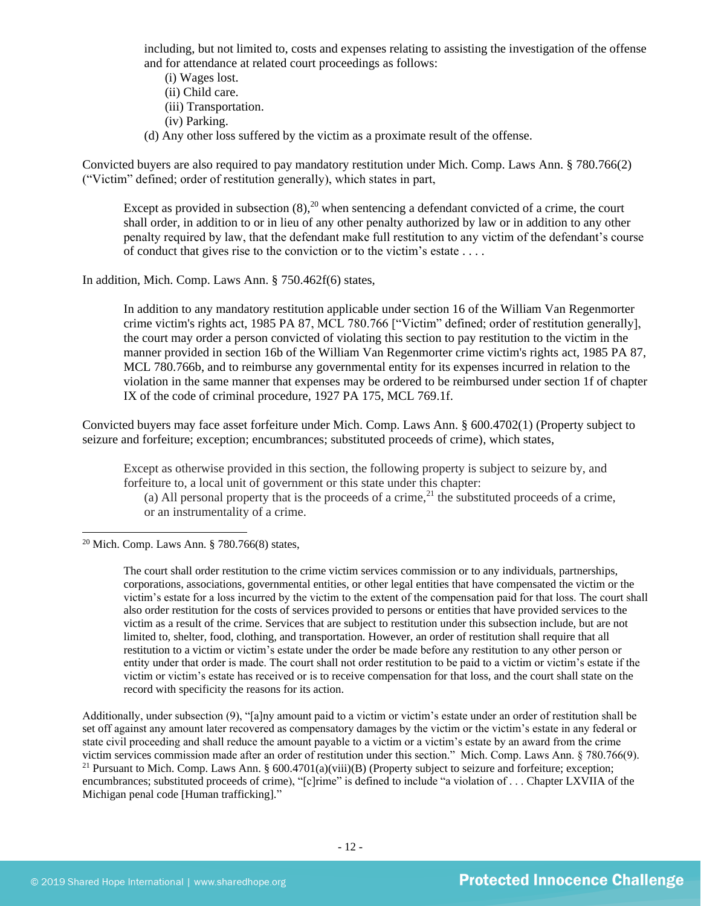including, but not limited to, costs and expenses relating to assisting the investigation of the offense and for attendance at related court proceedings as follows:

- (i) Wages lost.
- (ii) Child care.
- (iii) Transportation.
- <span id="page-11-0"></span>(iv) Parking.
- (d) Any other loss suffered by the victim as a proximate result of the offense.

Convicted buyers are also required to pay mandatory restitution under Mich. Comp. Laws Ann. § 780.766(2) ("Victim" defined; order of restitution generally), which states in part,

Except as provided in subsection  $(8)$ ,<sup>20</sup> when sentencing a defendant convicted of a crime, the court shall order, in addition to or in lieu of any other penalty authorized by law or in addition to any other penalty required by law, that the defendant make full restitution to any victim of the defendant's course of conduct that gives rise to the conviction or to the victim's estate . . . .

In addition, Mich. Comp. Laws Ann. § 750.462f(6) states,

In addition to any mandatory restitution applicable under section 16 of the William Van Regenmorter crime victim's rights act, 1985 PA 87, MCL 780.766 ["Victim" defined; order of restitution generally], the court may order a person convicted of violating this section to pay restitution to the victim in the manner provided in section 16b of the William Van Regenmorter crime victim's rights act, 1985 PA 87, MCL 780.766b, and to reimburse any governmental entity for its expenses incurred in relation to the violation in the same manner that expenses may be ordered to be reimbursed under section 1f of chapter IX of the code of criminal procedure, 1927 PA 175, MCL 769.1f.

Convicted buyers may face asset forfeiture under Mich. Comp. Laws Ann. § 600.4702(1) (Property subject to seizure and forfeiture; exception; encumbrances; substituted proceeds of crime), which states,

Except as otherwise provided in this section, the following property is subject to seizure by, and forfeiture to, a local unit of government or this state under this chapter:

<span id="page-11-1"></span>(a) All personal property that is the proceeds of a crime,<sup>21</sup> the substituted proceeds of a crime, or an instrumentality of a crime.

<sup>20</sup> Mich. Comp. Laws Ann. § 780.766(8) states,

The court shall order restitution to the crime victim services commission or to any individuals, partnerships, corporations, associations, governmental entities, or other legal entities that have compensated the victim or the victim's estate for a loss incurred by the victim to the extent of the compensation paid for that loss. The court shall also order restitution for the costs of services provided to persons or entities that have provided services to the victim as a result of the crime. Services that are subject to restitution under this subsection include, but are not limited to, shelter, food, clothing, and transportation. However, an order of restitution shall require that all restitution to a victim or victim's estate under the order be made before any restitution to any other person or entity under that order is made. The court shall not order restitution to be paid to a victim or victim's estate if the victim or victim's estate has received or is to receive compensation for that loss, and the court shall state on the record with specificity the reasons for its action.

Additionally, under subsection (9), "[a]ny amount paid to a victim or victim's estate under an order of restitution shall be set off against any amount later recovered as compensatory damages by the victim or the victim's estate in any federal or state civil proceeding and shall reduce the amount payable to a victim or a victim's estate by an award from the crime victim services commission made after an order of restitution under this section." Mich. Comp. Laws Ann. § 780.766(9). <sup>21</sup> Pursuant to Mich. Comp. Laws Ann. §  $600.4701(a)(viii)(B)$  (Property subject to seizure and forfeiture; exception; encumbrances; substituted proceeds of crime), "[c]rime" is defined to include "a violation of . . . Chapter LXVIIA of the Michigan penal code [Human trafficking]."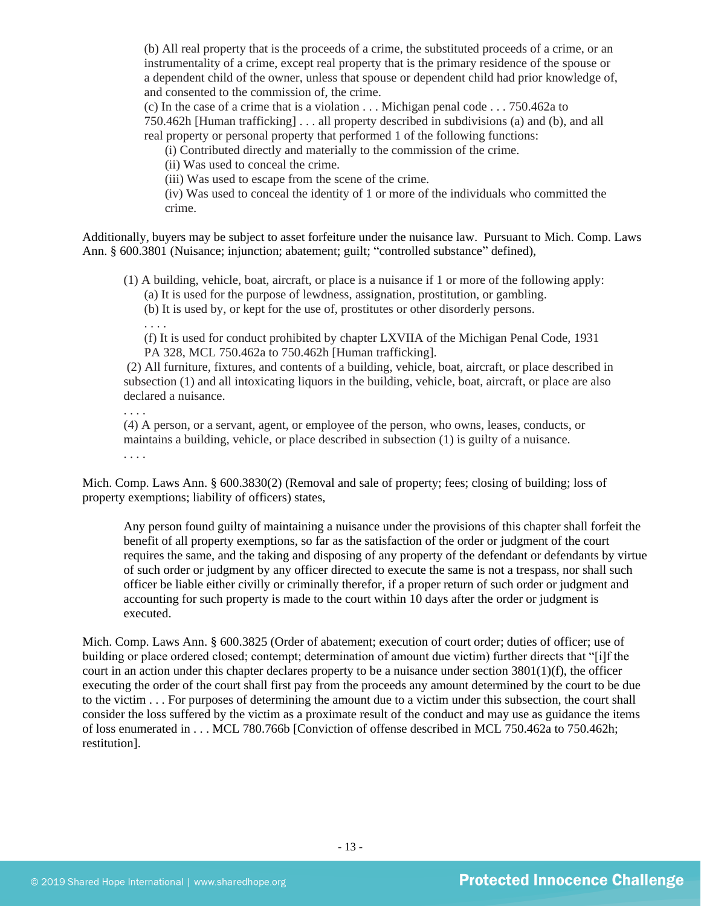(b) All real property that is the proceeds of a crime, the substituted proceeds of a crime, or an instrumentality of a crime, except real property that is the primary residence of the spouse or a dependent child of the owner, unless that spouse or dependent child had prior knowledge of, and consented to the commission of, the crime.

(c) In the case of a crime that is a violation . . . Michigan penal code . . . 750.462a to

750.462h [Human trafficking] . . . all property described in subdivisions (a) and (b), and all real property or personal property that performed 1 of the following functions:

(i) Contributed directly and materially to the commission of the crime.

(ii) Was used to conceal the crime.

(iii) Was used to escape from the scene of the crime.

(iv) Was used to conceal the identity of 1 or more of the individuals who committed the crime.

Additionally, buyers may be subject to asset forfeiture under the nuisance law. Pursuant to Mich. Comp. Laws Ann. § 600.3801 (Nuisance; injunction; abatement; guilt; "controlled substance" defined),

(1) A building, vehicle, boat, aircraft, or place is a nuisance if 1 or more of the following apply: (a) It is used for the purpose of lewdness, assignation, prostitution, or gambling.

(b) It is used by, or kept for the use of, prostitutes or other disorderly persons.

. . . .

(f) It is used for conduct prohibited by chapter LXVIIA of the Michigan Penal Code, 1931 PA 328, MCL 750.462a to 750.462h [Human trafficking].

(2) All furniture, fixtures, and contents of a building, vehicle, boat, aircraft, or place described in subsection (1) and all intoxicating liquors in the building, vehicle, boat, aircraft, or place are also declared a nuisance.

. . . .

(4) A person, or a servant, agent, or employee of the person, who owns, leases, conducts, or maintains a building, vehicle, or place described in subsection (1) is guilty of a nuisance.

. . . .

Mich. Comp. Laws Ann. § 600.3830(2) (Removal and sale of property; fees; closing of building; loss of property exemptions; liability of officers) states,

Any person found guilty of maintaining a nuisance under the provisions of this chapter shall forfeit the benefit of all property exemptions, so far as the satisfaction of the order or judgment of the court requires the same, and the taking and disposing of any property of the defendant or defendants by virtue of such order or judgment by any officer directed to execute the same is not a trespass, nor shall such officer be liable either civilly or criminally therefor, if a proper return of such order or judgment and accounting for such property is made to the court within 10 days after the order or judgment is executed.

Mich. Comp. Laws Ann. § 600.3825 (Order of abatement; execution of court order; duties of officer; use of building or place ordered closed; contempt; determination of amount due victim) further directs that "[i]f the court in an action under this chapter declares property to be a nuisance under section  $3801(1)(f)$ , the officer executing the order of the court shall first pay from the proceeds any amount determined by the court to be due to the victim . . . For purposes of determining the amount due to a victim under this subsection, the court shall consider the loss suffered by the victim as a proximate result of the conduct and may use as guidance the items of loss enumerated in . . . MCL 780.766b [Conviction of offense described in MCL 750.462a to 750.462h; restitution].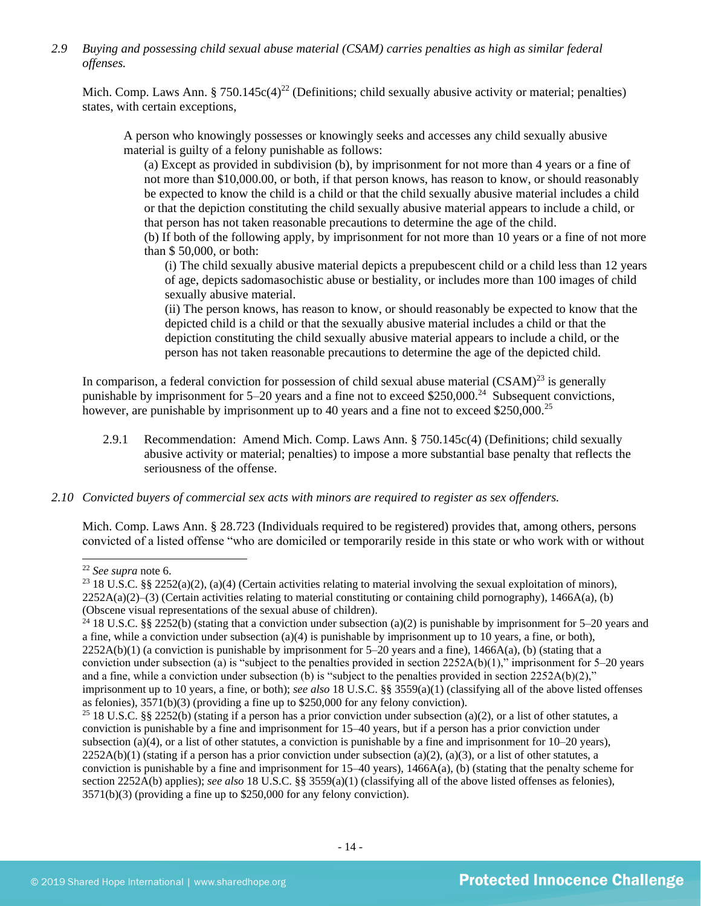*2.9 Buying and possessing child sexual abuse material (CSAM) carries penalties as high as similar federal offenses.*

Mich. Comp. Laws Ann. § 750.145c(4)<sup>22</sup> (Definitions; child sexually abusive activity or material; penalties) states, with certain exceptions,

A person who knowingly possesses or knowingly seeks and accesses any child sexually abusive material is guilty of a felony punishable as follows:

(a) Except as provided in subdivision (b), by imprisonment for not more than 4 years or a fine of not more than \$10,000.00, or both, if that person knows, has reason to know, or should reasonably be expected to know the child is a child or that the child sexually abusive material includes a child or that the depiction constituting the child sexually abusive material appears to include a child, or that person has not taken reasonable precautions to determine the age of the child.

(b) If both of the following apply, by imprisonment for not more than 10 years or a fine of not more than \$ 50,000, or both:

(i) The child sexually abusive material depicts a prepubescent child or a child less than 12 years of age, depicts sadomasochistic abuse or bestiality, or includes more than 100 images of child sexually abusive material.

(ii) The person knows, has reason to know, or should reasonably be expected to know that the depicted child is a child or that the sexually abusive material includes a child or that the depiction constituting the child sexually abusive material appears to include a child, or the person has not taken reasonable precautions to determine the age of the depicted child.

In comparison, a federal conviction for possession of child sexual abuse material  $(CSAM)^{23}$  is generally punishable by imprisonment for  $5-20$  years and a fine not to exceed \$250,000.<sup>24</sup> Subsequent convictions, however, are punishable by imprisonment up to 40 years and a fine not to exceed \$250,000.<sup>25</sup>

- 2.9.1 Recommendation: Amend Mich. Comp. Laws Ann. § 750.145c(4) (Definitions; child sexually abusive activity or material; penalties) to impose a more substantial base penalty that reflects the seriousness of the offense.
- *2.10 Convicted buyers of commercial sex acts with minors are required to register as sex offenders.*

Mich. Comp. Laws Ann. § 28.723 (Individuals required to be registered) provides that, among others, persons convicted of a listed offense "who are domiciled or temporarily reside in this state or who work with or without

<sup>22</sup> *See supra* note [6.](#page-1-0)

<sup>&</sup>lt;sup>23</sup> 18 U.S.C. §§ 2252(a)(2), (a)(4) (Certain activities relating to material involving the sexual exploitation of minors),  $2252A(a)(2)$ –(3) (Certain activities relating to material constituting or containing child pornography), 1466A(a), (b) (Obscene visual representations of the sexual abuse of children).

<sup>&</sup>lt;sup>24</sup> 18 U.S.C. §§ 2252(b) (stating that a conviction under subsection (a)(2) is punishable by imprisonment for 5–20 years and a fine, while a conviction under subsection  $(a)(4)$  is punishable by imprisonment up to 10 years, a fine, or both),  $2252A(b)(1)$  (a conviction is punishable by imprisonment for  $5-20$  years and a fine),  $1466A(a)$ , (b) (stating that a conviction under subsection (a) is "subject to the penalties provided in section  $2252A(b)(1)$ ," imprisonment for 5–20 years and a fine, while a conviction under subsection (b) is "subject to the penalties provided in section  $2252A(b)(2)$ ," imprisonment up to 10 years, a fine, or both); *see also* 18 U.S.C. §§ 3559(a)(1) (classifying all of the above listed offenses as felonies), 3571(b)(3) (providing a fine up to \$250,000 for any felony conviction).

<sup>&</sup>lt;sup>25</sup> 18 U.S.C. §§ 2252(b) (stating if a person has a prior conviction under subsection (a)(2), or a list of other statutes, a conviction is punishable by a fine and imprisonment for 15–40 years, but if a person has a prior conviction under subsection (a)(4), or a list of other statutes, a conviction is punishable by a fine and imprisonment for 10–20 years),  $2252A(b)(1)$  (stating if a person has a prior conviction under subsection (a)(2), (a)(3), or a list of other statutes, a conviction is punishable by a fine and imprisonment for 15–40 years), 1466A(a), (b) (stating that the penalty scheme for section 2252A(b) applies); *see also* 18 U.S.C. §§ 3559(a)(1) (classifying all of the above listed offenses as felonies), 3571(b)(3) (providing a fine up to \$250,000 for any felony conviction).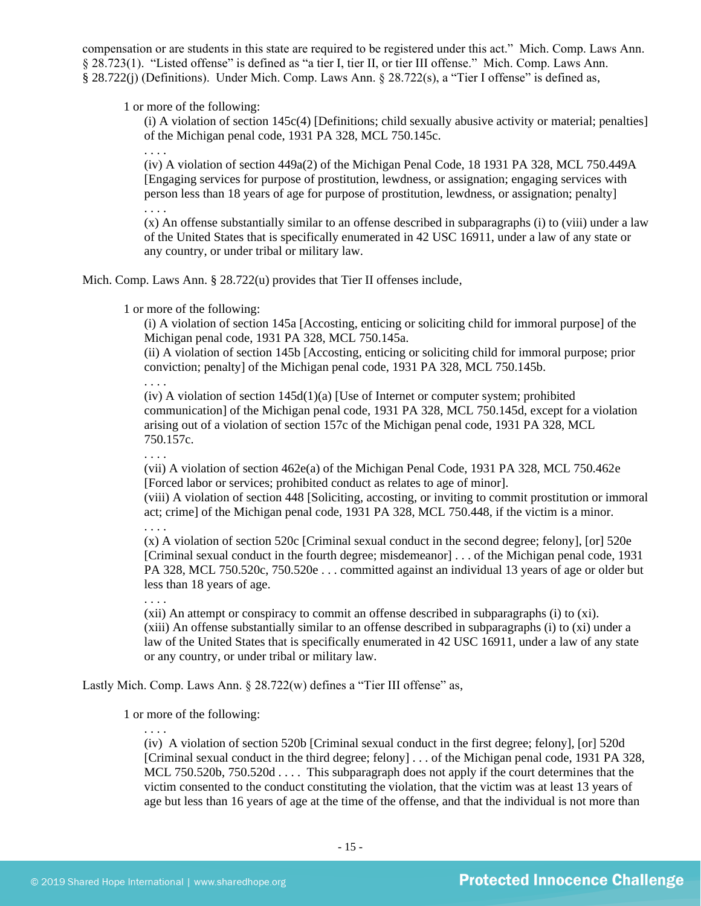compensation or are students in this state are required to be registered under this act." Mich. Comp. Laws Ann. § 28.723(1). "Listed offense" is defined as "a tier I, tier II, or tier III offense." Mich. Comp. Laws Ann. § 28.722(j) (Definitions). Under Mich. Comp. Laws Ann. § 28.722(s), a "Tier I offense" is defined as,

1 or more of the following:

(i) A violation of section 145c(4) [Definitions; child sexually abusive activity or material; penalties] of the Michigan penal code, 1931 PA 328, MCL 750.145c.

. . . .

(iv) A violation of section 449a(2) of the Michigan Penal Code, 18 1931 PA 328, MCL 750.449A [Engaging services for purpose of prostitution, lewdness, or assignation; engaging services with person less than 18 years of age for purpose of prostitution, lewdness, or assignation; penalty] . . . .

(x) An offense substantially similar to an offense described in subparagraphs (i) to (viii) under a law of the United States that is specifically enumerated in 42 USC 16911, under a law of any state or any country, or under tribal or military law.

Mich. Comp. Laws Ann. § 28.722(u) provides that Tier II offenses include,

1 or more of the following:

(i) A violation of section 145a [Accosting, enticing or soliciting child for immoral purpose] of the Michigan penal code, 1931 PA 328, MCL 750.145a.

(ii) A violation of section 145b [Accosting, enticing or soliciting child for immoral purpose; prior conviction; penalty] of the Michigan penal code, 1931 PA 328, MCL 750.145b.

. . . .

(iv) A violation of section 145d(1)(a) [Use of Internet or computer system; prohibited communication] of the Michigan penal code, 1931 PA 328, MCL 750.145d, except for a violation arising out of a violation of section 157c of the Michigan penal code, 1931 PA 328, MCL 750.157c.

. . . .

(vii) A violation of section 462e(a) of the Michigan Penal Code, 1931 PA 328, MCL 750.462e [Forced labor or services; prohibited conduct as relates to age of minor].

(viii) A violation of section 448 [Soliciting, accosting, or inviting to commit prostitution or immoral act; crime] of the Michigan penal code, 1931 PA 328, MCL 750.448, if the victim is a minor.

. . . .

. . . .

(x) A violation of section 520c [Criminal sexual conduct in the second degree; felony], [or] 520e [Criminal sexual conduct in the fourth degree; misdemeanor] . . . of the Michigan penal code, 1931 PA 328, MCL 750.520c, 750.520e . . . committed against an individual 13 years of age or older but less than 18 years of age.

(xii) An attempt or conspiracy to commit an offense described in subparagraphs (i) to (xi). (xiii) An offense substantially similar to an offense described in subparagraphs (i) to (xi) under a law of the United States that is specifically enumerated in 42 USC 16911, under a law of any state or any country, or under tribal or military law.

Lastly Mich. Comp. Laws Ann. § 28.722(w) defines a "Tier III offense" as,

1 or more of the following:

. . . .

(iv) A violation of section 520b [Criminal sexual conduct in the first degree; felony], [or] 520d [Criminal sexual conduct in the third degree; felony] . . . of the Michigan penal code, 1931 PA 328, MCL 750.520b, 750.520d . . . . This subparagraph does not apply if the court determines that the victim consented to the conduct constituting the violation, that the victim was at least 13 years of age but less than 16 years of age at the time of the offense, and that the individual is not more than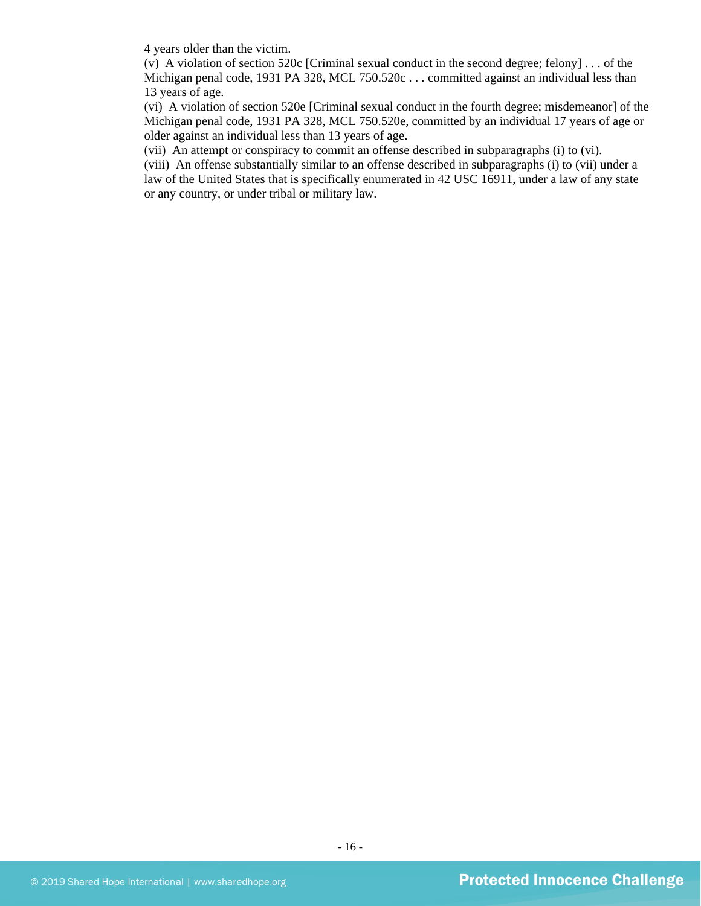4 years older than the victim.

(v) A violation of section 520c [Criminal sexual conduct in the second degree; felony] . . . of the Michigan penal code, 1931 PA 328, MCL 750.520c . . . committed against an individual less than 13 years of age.

(vi) A violation of section 520e [Criminal sexual conduct in the fourth degree; misdemeanor] of the Michigan penal code, 1931 PA 328, MCL 750.520e, committed by an individual 17 years of age or older against an individual less than 13 years of age.

(vii) An attempt or conspiracy to commit an offense described in subparagraphs (i) to (vi).

(viii) An offense substantially similar to an offense described in subparagraphs (i) to (vii) under a law of the United States that is specifically enumerated in 42 USC 16911, under a law of any state or any country, or under tribal or military law.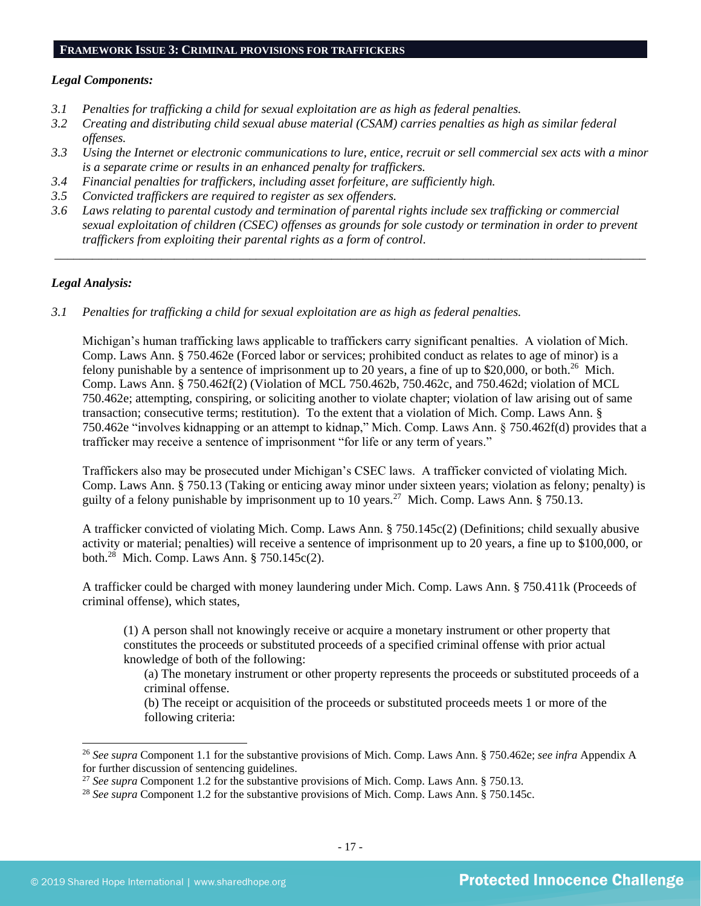#### **FRAMEWORK ISSUE 3: CRIMINAL PROVISIONS FOR TRAFFICKERS**

#### *Legal Components:*

- *3.1 Penalties for trafficking a child for sexual exploitation are as high as federal penalties.*
- *3.2 Creating and distributing child sexual abuse material (CSAM) carries penalties as high as similar federal offenses.*
- *3.3 Using the Internet or electronic communications to lure, entice, recruit or sell commercial sex acts with a minor is a separate crime or results in an enhanced penalty for traffickers.*
- *3.4 Financial penalties for traffickers, including asset forfeiture, are sufficiently high.*
- *3.5 Convicted traffickers are required to register as sex offenders.*
- *3.6 Laws relating to parental custody and termination of parental rights include sex trafficking or commercial sexual exploitation of children (CSEC) offenses as grounds for sole custody or termination in order to prevent traffickers from exploiting their parental rights as a form of control.*

*\_\_\_\_\_\_\_\_\_\_\_\_\_\_\_\_\_\_\_\_\_\_\_\_\_\_\_\_\_\_\_\_\_\_\_\_\_\_\_\_\_\_\_\_\_\_\_\_\_\_\_\_\_\_\_\_\_\_\_\_\_\_\_\_\_\_\_\_\_\_\_\_\_\_\_\_\_\_\_\_\_\_\_\_\_\_\_\_\_\_\_\_\_\_*

## *Legal Analysis:*

*3.1 Penalties for trafficking a child for sexual exploitation are as high as federal penalties.* 

Michigan's human trafficking laws applicable to traffickers carry significant penalties. A violation of Mich. Comp. Laws Ann. § 750.462e (Forced labor or services; prohibited conduct as relates to age of minor) is a felony punishable by a sentence of imprisonment up to 20 years, a fine of up to \$20,000, or both.<sup>26</sup> Mich. Comp. Laws Ann. § 750.462f(2) (Violation of MCL 750.462b, 750.462c, and 750.462d; violation of MCL 750.462e; attempting, conspiring, or soliciting another to violate chapter; violation of law arising out of same transaction; consecutive terms; restitution). To the extent that a violation of Mich. Comp. Laws Ann. § 750.462e "involves kidnapping or an attempt to kidnap," Mich. Comp. Laws Ann. § 750.462f(d) provides that a trafficker may receive a sentence of imprisonment "for life or any term of years."

Traffickers also may be prosecuted under Michigan's CSEC laws. A trafficker convicted of violating Mich. Comp. Laws Ann. § 750.13 (Taking or enticing away minor under sixteen years; violation as felony; penalty) is guilty of a felony punishable by imprisonment up to 10 years.<sup>27</sup> Mich. Comp. Laws Ann. § 750.13.

A trafficker convicted of violating Mich. Comp. Laws Ann. § 750.145c(2) (Definitions; child sexually abusive activity or material; penalties) will receive a sentence of imprisonment up to 20 years, a fine up to \$100,000, or both.<sup>28</sup> Mich. Comp. Laws Ann. § 750.145c(2).

A trafficker could be charged with money laundering under Mich. Comp. Laws Ann. § 750.411k (Proceeds of criminal offense), which states,

(1) A person shall not knowingly receive or acquire a monetary instrument or other property that constitutes the proceeds or substituted proceeds of a specified criminal offense with prior actual knowledge of both of the following:

(a) The monetary instrument or other property represents the proceeds or substituted proceeds of a criminal offense.

(b) The receipt or acquisition of the proceeds or substituted proceeds meets 1 or more of the following criteria:

<sup>26</sup> *See supra* Component 1.1 for the substantive provisions of Mich. Comp. Laws Ann. § 750.462e; *see infra* Appendix A for further discussion of sentencing guidelines.

<sup>27</sup> *See supra* Component 1.2 for the substantive provisions of Mich. Comp. Laws Ann. § 750.13.

<sup>28</sup> *See supra* Component 1.2 for the substantive provisions of Mich. Comp. Laws Ann. § 750.145c.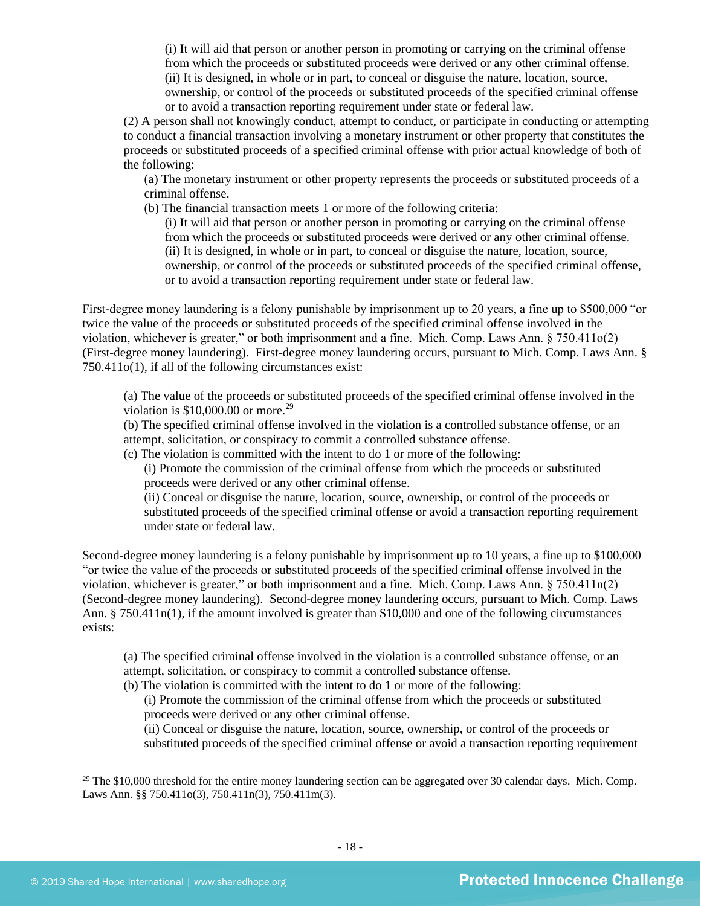(i) It will aid that person or another person in promoting or carrying on the criminal offense from which the proceeds or substituted proceeds were derived or any other criminal offense. (ii) It is designed, in whole or in part, to conceal or disguise the nature, location, source, ownership, or control of the proceeds or substituted proceeds of the specified criminal offense or to avoid a transaction reporting requirement under state or federal law.

(2) A person shall not knowingly conduct, attempt to conduct, or participate in conducting or attempting to conduct a financial transaction involving a monetary instrument or other property that constitutes the proceeds or substituted proceeds of a specified criminal offense with prior actual knowledge of both of the following:

(a) The monetary instrument or other property represents the proceeds or substituted proceeds of a criminal offense.

(b) The financial transaction meets 1 or more of the following criteria:

(i) It will aid that person or another person in promoting or carrying on the criminal offense from which the proceeds or substituted proceeds were derived or any other criminal offense. (ii) It is designed, in whole or in part, to conceal or disguise the nature, location, source, ownership, or control of the proceeds or substituted proceeds of the specified criminal offense, or to avoid a transaction reporting requirement under state or federal law.

First-degree money laundering is a felony punishable by imprisonment up to 20 years, a fine up to \$500,000 "or twice the value of the proceeds or substituted proceeds of the specified criminal offense involved in the violation, whichever is greater," or both imprisonment and a fine. Mich. Comp. Laws Ann. § 750.411o(2) (First-degree money laundering). First-degree money laundering occurs, pursuant to Mich. Comp. Laws Ann. § 750.411o(1), if all of the following circumstances exist:

(a) The value of the proceeds or substituted proceeds of the specified criminal offense involved in the violation is  $$10,000.00$  or more.<sup>29</sup>

(b) The specified criminal offense involved in the violation is a controlled substance offense, or an attempt, solicitation, or conspiracy to commit a controlled substance offense.

(c) The violation is committed with the intent to do 1 or more of the following:

(i) Promote the commission of the criminal offense from which the proceeds or substituted proceeds were derived or any other criminal offense.

(ii) Conceal or disguise the nature, location, source, ownership, or control of the proceeds or substituted proceeds of the specified criminal offense or avoid a transaction reporting requirement under state or federal law.

Second-degree money laundering is a felony punishable by imprisonment up to 10 years, a fine up to \$100,000 "or twice the value of the proceeds or substituted proceeds of the specified criminal offense involved in the violation, whichever is greater," or both imprisonment and a fine. Mich. Comp. Laws Ann. § 750.411n(2) (Second-degree money laundering). Second-degree money laundering occurs, pursuant to Mich. Comp. Laws Ann. § 750.411n(1), if the amount involved is greater than \$10,000 and one of the following circumstances exists:

(a) The specified criminal offense involved in the violation is a controlled substance offense, or an attempt, solicitation, or conspiracy to commit a controlled substance offense.

(b) The violation is committed with the intent to do 1 or more of the following:

(i) Promote the commission of the criminal offense from which the proceeds or substituted proceeds were derived or any other criminal offense.

(ii) Conceal or disguise the nature, location, source, ownership, or control of the proceeds or substituted proceeds of the specified criminal offense or avoid a transaction reporting requirement

 $^{29}$  The \$10,000 threshold for the entire money laundering section can be aggregated over 30 calendar days. Mich. Comp. Laws Ann. §§ 750.411o(3), 750.411n(3), 750.411m(3).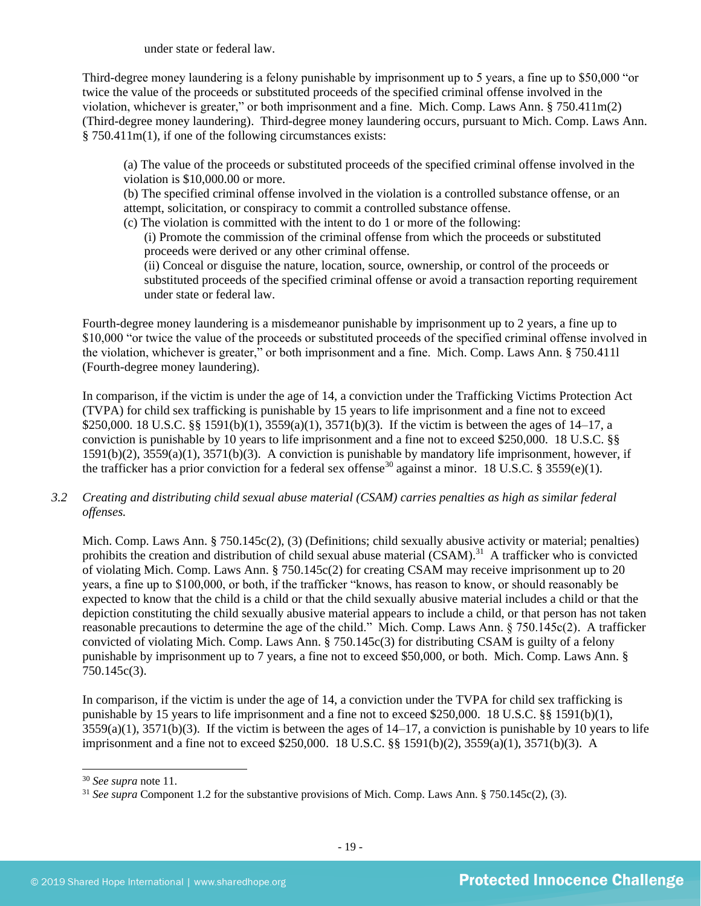under state or federal law.

Third-degree money laundering is a felony punishable by imprisonment up to 5 years, a fine up to \$50,000 "or twice the value of the proceeds or substituted proceeds of the specified criminal offense involved in the violation, whichever is greater," or both imprisonment and a fine. Mich. Comp. Laws Ann. § 750.411m(2) (Third-degree money laundering). Third-degree money laundering occurs, pursuant to Mich. Comp. Laws Ann. § 750.411m(1), if one of the following circumstances exists:

(a) The value of the proceeds or substituted proceeds of the specified criminal offense involved in the violation is \$10,000.00 or more.

(b) The specified criminal offense involved in the violation is a controlled substance offense, or an attempt, solicitation, or conspiracy to commit a controlled substance offense.

(c) The violation is committed with the intent to do 1 or more of the following:

(i) Promote the commission of the criminal offense from which the proceeds or substituted proceeds were derived or any other criminal offense.

(ii) Conceal or disguise the nature, location, source, ownership, or control of the proceeds or substituted proceeds of the specified criminal offense or avoid a transaction reporting requirement under state or federal law.

Fourth-degree money laundering is a misdemeanor punishable by imprisonment up to 2 years, a fine up to \$10,000 "or twice the value of the proceeds or substituted proceeds of the specified criminal offense involved in the violation, whichever is greater," or both imprisonment and a fine. Mich. Comp. Laws Ann. § 750.411l (Fourth-degree money laundering).

In comparison, if the victim is under the age of 14, a conviction under the Trafficking Victims Protection Act (TVPA) for child sex trafficking is punishable by 15 years to life imprisonment and a fine not to exceed \$250,000. 18 U.S.C. §§ 1591(b)(1), 3559(a)(1), 3571(b)(3). If the victim is between the ages of 14–17, a conviction is punishable by 10 years to life imprisonment and a fine not to exceed \$250,000. 18 U.S.C. §§ 1591(b)(2), 3559(a)(1), 3571(b)(3). A conviction is punishable by mandatory life imprisonment, however, if the trafficker has a prior conviction for a federal sex offense<sup>30</sup> against a minor. 18 U.S.C. § 3559(e)(1).

*3.2 Creating and distributing child sexual abuse material (CSAM) carries penalties as high as similar federal offenses.*

Mich. Comp. Laws Ann. § 750.145c(2), (3) (Definitions; child sexually abusive activity or material; penalties) prohibits the creation and distribution of child sexual abuse material (CSAM).<sup>31</sup> A trafficker who is convicted of violating Mich. Comp. Laws Ann. § 750.145c(2) for creating CSAM may receive imprisonment up to 20 years, a fine up to \$100,000, or both, if the trafficker "knows, has reason to know, or should reasonably be expected to know that the child is a child or that the child sexually abusive material includes a child or that the depiction constituting the child sexually abusive material appears to include a child, or that person has not taken reasonable precautions to determine the age of the child." Mich. Comp. Laws Ann. § 750.145c(2). A trafficker convicted of violating Mich. Comp. Laws Ann. § 750.145c(3) for distributing CSAM is guilty of a felony punishable by imprisonment up to 7 years, a fine not to exceed \$50,000, or both. Mich. Comp. Laws Ann. § 750.145c(3).

In comparison, if the victim is under the age of 14, a conviction under the TVPA for child sex trafficking is punishable by 15 years to life imprisonment and a fine not to exceed \$250,000. 18 U.S.C. §§ 1591(b)(1),  $3559(a)(1)$ ,  $3571(b)(3)$ . If the victim is between the ages of  $14-17$ , a conviction is punishable by 10 years to life imprisonment and a fine not to exceed \$250,000. 18 U.S.C. §§ 1591(b)(2), 3559(a)(1), 3571(b)(3). A

<sup>30</sup> *See supra* note [11.](#page-8-0) 

<sup>31</sup> *See supra* Component 1.2 for the substantive provisions of Mich. Comp. Laws Ann. § 750.145c(2), (3).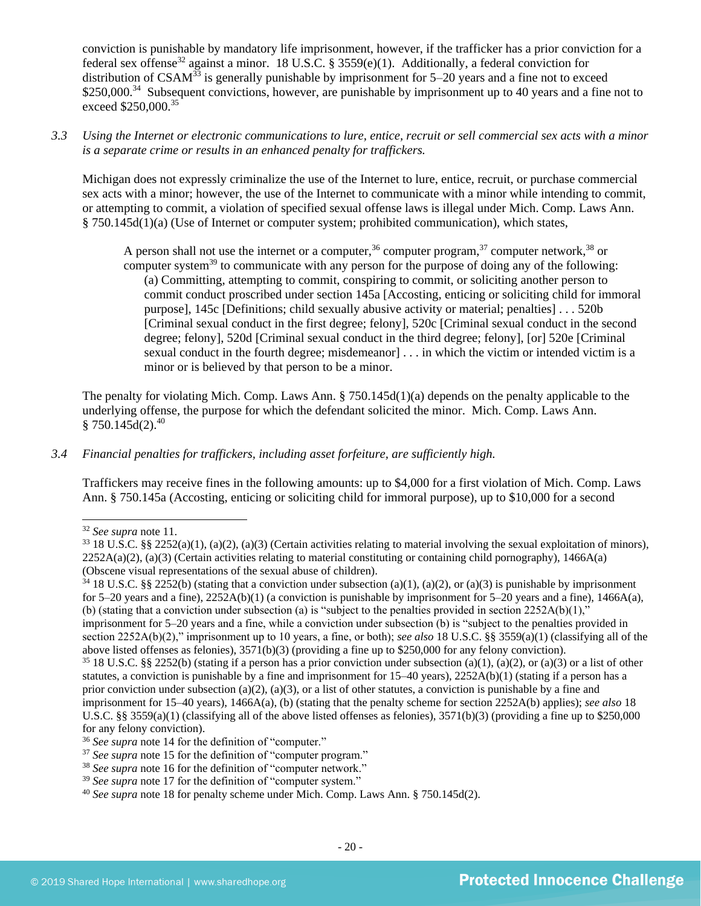conviction is punishable by mandatory life imprisonment, however, if the trafficker has a prior conviction for a federal sex offense<sup>32</sup> against a minor. 18 U.S.C. § 3559(e)(1). Additionally, a federal conviction for distribution of  $CSAM^{33}$  is generally punishable by imprisonment for 5–20 years and a fine not to exceed \$250,000.<sup>34</sup> Subsequent convictions, however, are punishable by imprisonment up to 40 years and a fine not to exceed \$250,000.<sup>35</sup>

*3.3 Using the Internet or electronic communications to lure, entice, recruit or sell commercial sex acts with a minor is a separate crime or results in an enhanced penalty for traffickers.*

Michigan does not expressly criminalize the use of the Internet to lure, entice, recruit, or purchase commercial sex acts with a minor; however, the use of the Internet to communicate with a minor while intending to commit, or attempting to commit, a violation of specified sexual offense laws is illegal under Mich. Comp. Laws Ann. § 750.145d(1)(a) (Use of Internet or computer system; prohibited communication), which states,

A person shall not use the internet or a computer,  $36$  computer program,  $37$  computer network,  $38$  or computer system<sup>39</sup> to communicate with any person for the purpose of doing any of the following: (a) Committing, attempting to commit, conspiring to commit, or soliciting another person to commit conduct proscribed under section 145a [Accosting, enticing or soliciting child for immoral purpose], 145c [Definitions; child sexually abusive activity or material; penalties] . . . 520b [Criminal sexual conduct in the first degree; felony], 520c [Criminal sexual conduct in the second degree; felony], 520d [Criminal sexual conduct in the third degree; felony], [or] 520e [Criminal sexual conduct in the fourth degree; misdemeanor] . . . in which the victim or intended victim is a minor or is believed by that person to be a minor.

The penalty for violating Mich. Comp. Laws Ann. § 750.145d(1)(a) depends on the penalty applicable to the underlying offense, the purpose for which the defendant solicited the minor. Mich. Comp. Laws Ann.  $§ 750.145d(2).^{40}$ 

## *3.4 Financial penalties for traffickers, including asset forfeiture, are sufficiently high.*

Traffickers may receive fines in the following amounts: up to \$4,000 for a first violation of Mich. Comp. Laws Ann. § 750.145a (Accosting, enticing or soliciting child for immoral purpose), up to \$10,000 for a second

section 2252A(b)(2)," imprisonment up to 10 years, a fine, or both); *see also* 18 U.S.C. §§ 3559(a)(1) (classifying all of the above listed offenses as felonies), 3571(b)(3) (providing a fine up to \$250,000 for any felony conviction).

<sup>32</sup> *See supra* note [11.](#page-8-0) 

 $33\,18$  U.S.C. §§ 2252(a)(1), (a)(2), (a)(3) (Certain activities relating to material involving the sexual exploitation of minors),  $2252A(a)(2)$ ,  $(a)(3)$  (Certain activities relating to material constituting or containing child pornography), 1466A(a) (Obscene visual representations of the sexual abuse of children).

 $34\,18$  U.S.C. §§ 2252(b) (stating that a conviction under subsection (a)(1), (a)(2), or (a)(3) is punishable by imprisonment for 5–20 years and a fine),  $2252A(b)(1)$  (a conviction is punishable by imprisonment for 5–20 years and a fine),  $1466A(a)$ , (b) (stating that a conviction under subsection (a) is "subject to the penalties provided in section  $2252A(b)(1)$ ," imprisonment for 5–20 years and a fine, while a conviction under subsection (b) is "subject to the penalties provided in

<sup>&</sup>lt;sup>35</sup> 18 U.S.C. §§ 2252(b) (stating if a person has a prior conviction under subsection (a)(1), (a)(2), or (a)(3) or a list of other statutes, a conviction is punishable by a fine and imprisonment for  $15-40$  years),  $2252A(b)(1)$  (stating if a person has a prior conviction under subsection (a)(2), (a)(3), or a list of other statutes, a conviction is punishable by a fine and imprisonment for 15–40 years), 1466A(a), (b) (stating that the penalty scheme for section 2252A(b) applies); *see also* 18 U.S.C. §§ 3559(a)(1) (classifying all of the above listed offenses as felonies),  $3571(b)(3)$  (providing a fine up to \$250,000 for any felony conviction).

<sup>36</sup> *See supra* note [14](#page-8-1) for the definition of "computer."

<sup>&</sup>lt;sup>37</sup> See supra note [15](#page-8-2) for the definition of "computer program."

<sup>&</sup>lt;sup>38</sup> See supra note [16](#page-8-3) for the definition of "computer network."

<sup>&</sup>lt;sup>39</sup> *See supra* note [17](#page-8-4) for the definition of "computer system."

<sup>40</sup> *See supra* note [18](#page-9-0) for penalty scheme under Mich. Comp. Laws Ann. § 750.145d(2).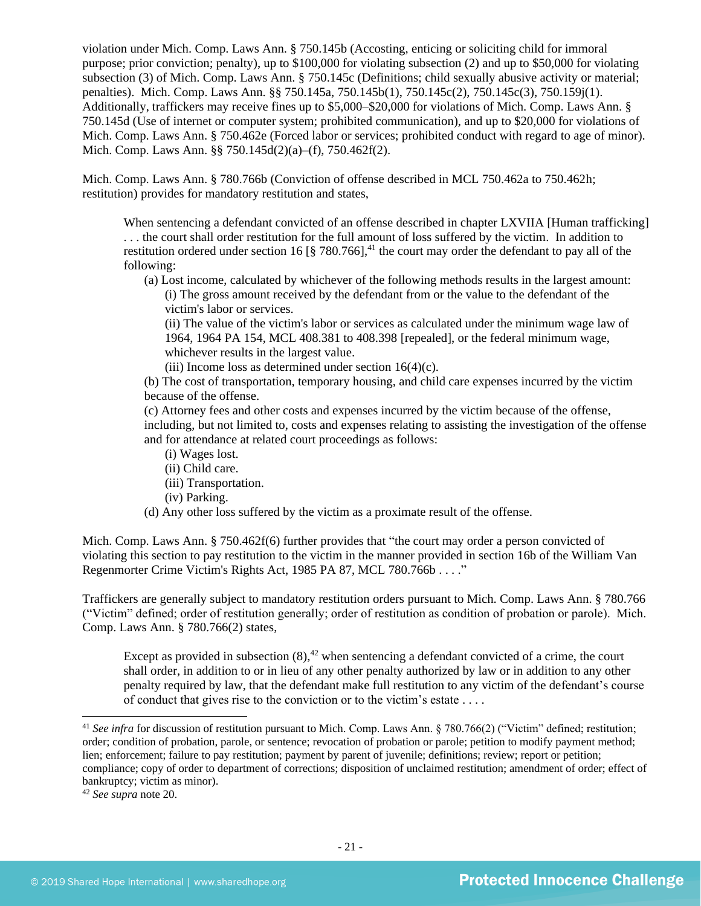violation under Mich. Comp. Laws Ann. § 750.145b (Accosting, enticing or soliciting child for immoral purpose; prior conviction; penalty), up to \$100,000 for violating subsection (2) and up to \$50,000 for violating subsection (3) of Mich. Comp. Laws Ann. § 750.145c (Definitions; child sexually abusive activity or material; penalties). Mich. Comp. Laws Ann. §§ 750.145a, 750.145b(1), 750.145c(2), 750.145c(3), 750.159j(1). Additionally, traffickers may receive fines up to \$5,000–\$20,000 for violations of Mich. Comp. Laws Ann. § 750.145d (Use of internet or computer system; prohibited communication), and up to \$20,000 for violations of Mich. Comp. Laws Ann. § 750.462e (Forced labor or services; prohibited conduct with regard to age of minor). Mich. Comp. Laws Ann. §§ 750.145d(2)(a)–(f), 750.462f(2).

Mich. Comp. Laws Ann. § 780.766b (Conviction of offense described in MCL 750.462a to 750.462h; restitution) provides for mandatory restitution and states,

When sentencing a defendant convicted of an offense described in chapter LXVIIA [Human trafficking] . . . the court shall order restitution for the full amount of loss suffered by the victim. In addition to restitution ordered under section 16 [§ 780.766],<sup>41</sup> the court may order the defendant to pay all of the following:

(a) Lost income, calculated by whichever of the following methods results in the largest amount: (i) The gross amount received by the defendant from or the value to the defendant of the victim's labor or services.

(ii) The value of the victim's labor or services as calculated under the minimum wage law of 1964, 1964 PA 154, MCL 408.381 to 408.398 [repealed], or the federal minimum wage, whichever results in the largest value.

(iii) Income loss as determined under section  $16(4)(c)$ .

(b) The cost of transportation, temporary housing, and child care expenses incurred by the victim because of the offense.

(c) Attorney fees and other costs and expenses incurred by the victim because of the offense, including, but not limited to, costs and expenses relating to assisting the investigation of the offense and for attendance at related court proceedings as follows:

- (i) Wages lost.
- (ii) Child care.
- (iii) Transportation.
- (iv) Parking.
- (d) Any other loss suffered by the victim as a proximate result of the offense.

Mich. Comp. Laws Ann. § 750.462f(6) further provides that "the court may order a person convicted of violating this section to pay restitution to the victim in the manner provided in section 16b of the William Van Regenmorter Crime Victim's Rights Act, 1985 PA 87, MCL 780.766b . . . ."

Traffickers are generally subject to mandatory restitution orders pursuant to Mich. Comp. Laws Ann. § 780.766 ("Victim" defined; order of restitution generally; order of restitution as condition of probation or parole). Mich. Comp. Laws Ann. § 780.766(2) states,

Except as provided in subsection  $(8)$ ,<sup>42</sup> when sentencing a defendant convicted of a crime, the court shall order, in addition to or in lieu of any other penalty authorized by law or in addition to any other penalty required by law, that the defendant make full restitution to any victim of the defendant's course of conduct that gives rise to the conviction or to the victim's estate . . . .

<sup>&</sup>lt;sup>41</sup> See infra for discussion of restitution pursuant to Mich. Comp. Laws Ann. § 780.766(2) ("Victim" defined; restitution; order; condition of probation, parole, or sentence; revocation of probation or parole; petition to modify payment method; lien; enforcement; failure to pay restitution; payment by parent of juvenile; definitions; review; report or petition; compliance; copy of order to department of corrections; disposition of unclaimed restitution; amendment of order; effect of bankruptcy; victim as minor).

<sup>42</sup> *See supra* note [20.](#page-11-0)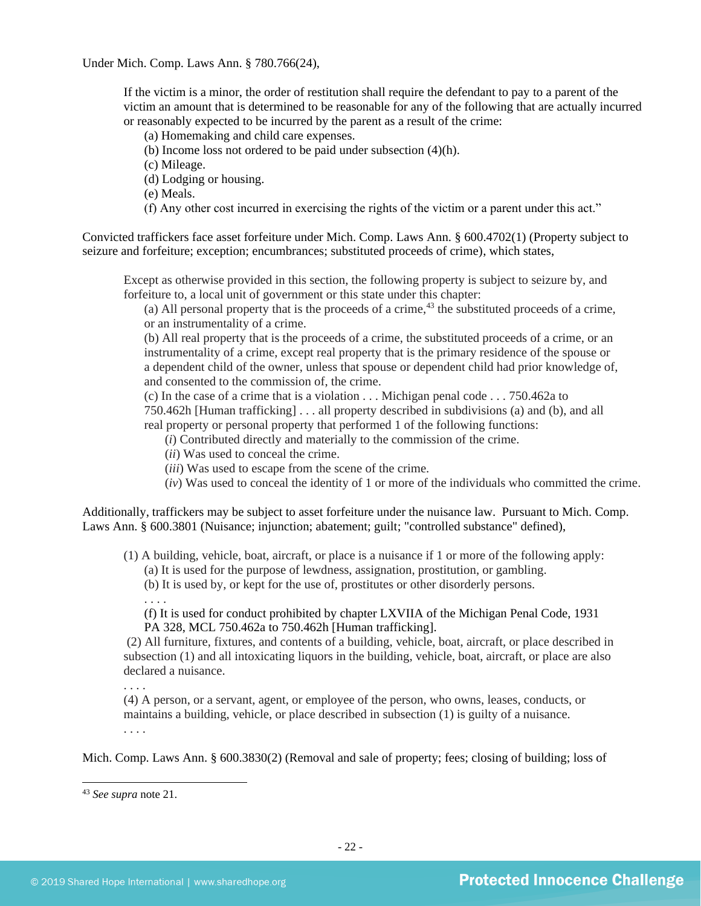Under Mich. Comp. Laws Ann. § 780.766(24),

If the victim is a minor, the order of restitution shall require the defendant to pay to a parent of the victim an amount that is determined to be reasonable for any of the following that are actually incurred or reasonably expected to be incurred by the parent as a result of the crime:

(a) Homemaking and child care expenses.

(b) Income loss not ordered to be paid under subsection (4)(h).

(c) Mileage.

(d) Lodging or housing.

(e) Meals.

(f) Any other cost incurred in exercising the rights of the victim or a parent under this act."

Convicted traffickers face asset forfeiture under Mich. Comp. Laws Ann. § 600.4702(1) (Property subject to seizure and forfeiture; exception; encumbrances; substituted proceeds of crime), which states,

Except as otherwise provided in this section, the following property is subject to seizure by, and forfeiture to, a local unit of government or this state under this chapter:

(a) All personal property that is the proceeds of a crime,<sup>43</sup> the substituted proceeds of a crime, or an instrumentality of a crime.

(b) All real property that is the proceeds of a crime, the substituted proceeds of a crime, or an instrumentality of a crime, except real property that is the primary residence of the spouse or a dependent child of the owner, unless that spouse or dependent child had prior knowledge of, and consented to the commission of, the crime.

(c) In the case of a crime that is a violation . . . Michigan penal code . . . 750.462a to

750.462h [Human trafficking] . . . all property described in subdivisions (a) and (b), and all real property or personal property that performed 1 of the following functions:

(*i*) Contributed directly and materially to the commission of the crime.

(*ii*) Was used to conceal the crime.

(*iii*) Was used to escape from the scene of the crime.

(*iv*) Was used to conceal the identity of 1 or more of the individuals who committed the crime.

Additionally, traffickers may be subject to asset forfeiture under the nuisance law. Pursuant to Mich. Comp. Laws Ann. § 600.3801 (Nuisance; injunction; abatement; guilt; "controlled substance" defined),

(1) A building, vehicle, boat, aircraft, or place is a nuisance if 1 or more of the following apply:

(a) It is used for the purpose of lewdness, assignation, prostitution, or gambling.

(b) It is used by, or kept for the use of, prostitutes or other disorderly persons.

(f) It is used for conduct prohibited by chapter LXVIIA of the Michigan Penal Code, 1931 PA 328, MCL 750.462a to 750.462h [Human trafficking].

(2) All furniture, fixtures, and contents of a building, vehicle, boat, aircraft, or place described in subsection (1) and all intoxicating liquors in the building, vehicle, boat, aircraft, or place are also declared a nuisance.

. . . .

(4) A person, or a servant, agent, or employee of the person, who owns, leases, conducts, or maintains a building, vehicle, or place described in subsection (1) is guilty of a nuisance.

. . . .

Mich. Comp. Laws Ann. § 600.3830(2) (Removal and sale of property; fees; closing of building; loss of

<sup>. . . .</sup>

<sup>43</sup> *See supra* note [21.](#page-11-1)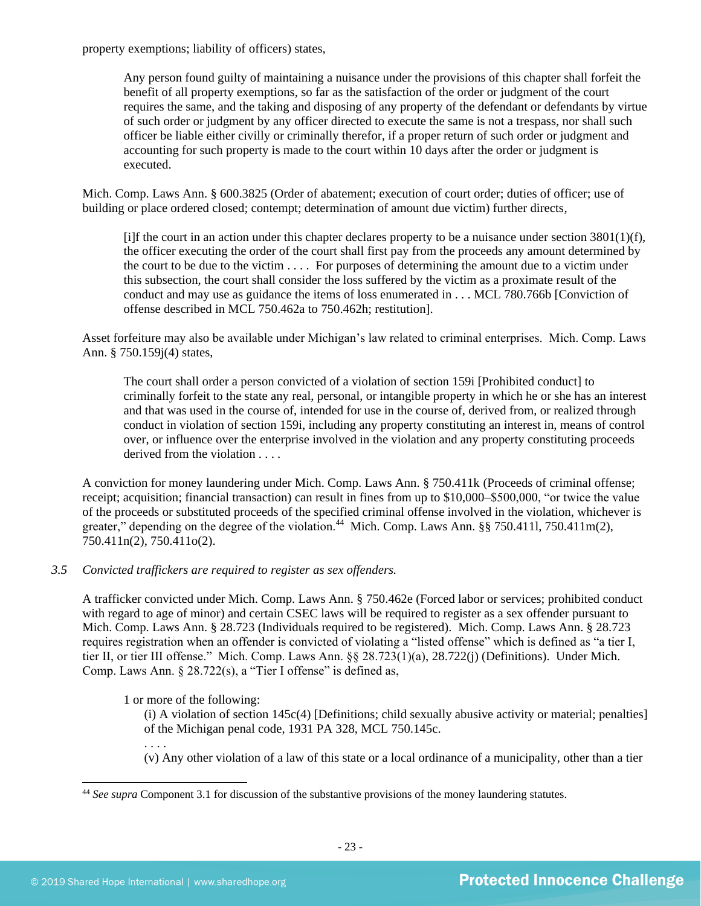property exemptions; liability of officers) states,

Any person found guilty of maintaining a nuisance under the provisions of this chapter shall forfeit the benefit of all property exemptions, so far as the satisfaction of the order or judgment of the court requires the same, and the taking and disposing of any property of the defendant or defendants by virtue of such order or judgment by any officer directed to execute the same is not a trespass, nor shall such officer be liable either civilly or criminally therefor, if a proper return of such order or judgment and accounting for such property is made to the court within 10 days after the order or judgment is executed.

Mich. Comp. Laws Ann. § 600.3825 (Order of abatement; execution of court order; duties of officer; use of building or place ordered closed; contempt; determination of amount due victim) further directs,

[i]f the court in an action under this chapter declares property to be a nuisance under section  $3801(1)(f)$ , the officer executing the order of the court shall first pay from the proceeds any amount determined by the court to be due to the victim . . . . For purposes of determining the amount due to a victim under this subsection, the court shall consider the loss suffered by the victim as a proximate result of the conduct and may use as guidance the items of loss enumerated in . . . MCL 780.766b [Conviction of offense described in MCL 750.462a to 750.462h; restitution].

Asset forfeiture may also be available under Michigan's law related to criminal enterprises. Mich. Comp. Laws Ann. § 750.159j(4) states,

The court shall order a person convicted of a violation of section 159i [Prohibited conduct] to criminally forfeit to the state any real, personal, or intangible property in which he or she has an interest and that was used in the course of, intended for use in the course of, derived from, or realized through conduct in violation of section 159i, including any property constituting an interest in, means of control over, or influence over the enterprise involved in the violation and any property constituting proceeds derived from the violation . . . .

A conviction for money laundering under Mich. Comp. Laws Ann. § 750.411k (Proceeds of criminal offense; receipt; acquisition; financial transaction) can result in fines from up to \$10,000–\$500,000, "or twice the value of the proceeds or substituted proceeds of the specified criminal offense involved in the violation, whichever is greater," depending on the degree of the violation.<sup>44</sup> Mich. Comp. Laws Ann. §§ 750.4111, 750.411m(2), 750.411n(2), 750.411o(2).

## *3.5 Convicted traffickers are required to register as sex offenders.*

A trafficker convicted under Mich. Comp. Laws Ann. § 750.462e (Forced labor or services; prohibited conduct with regard to age of minor) and certain CSEC laws will be required to register as a sex offender pursuant to Mich. Comp. Laws Ann. § 28.723 (Individuals required to be registered). Mich. Comp. Laws Ann. § 28.723 requires registration when an offender is convicted of violating a "listed offense" which is defined as "a tier I, tier II, or tier III offense." Mich. Comp. Laws Ann. §§ 28.723(1)(a), 28.722(j) (Definitions). Under Mich. Comp. Laws Ann. § 28.722(s), a "Tier I offense" is defined as,

1 or more of the following:

(i) A violation of section 145c(4) [Definitions; child sexually abusive activity or material; penalties] of the Michigan penal code, 1931 PA 328, MCL 750.145c.

. . . .

(v) Any other violation of a law of this state or a local ordinance of a municipality, other than a tier

<sup>44</sup> *See supra* Component 3.1 for discussion of the substantive provisions of the money laundering statutes.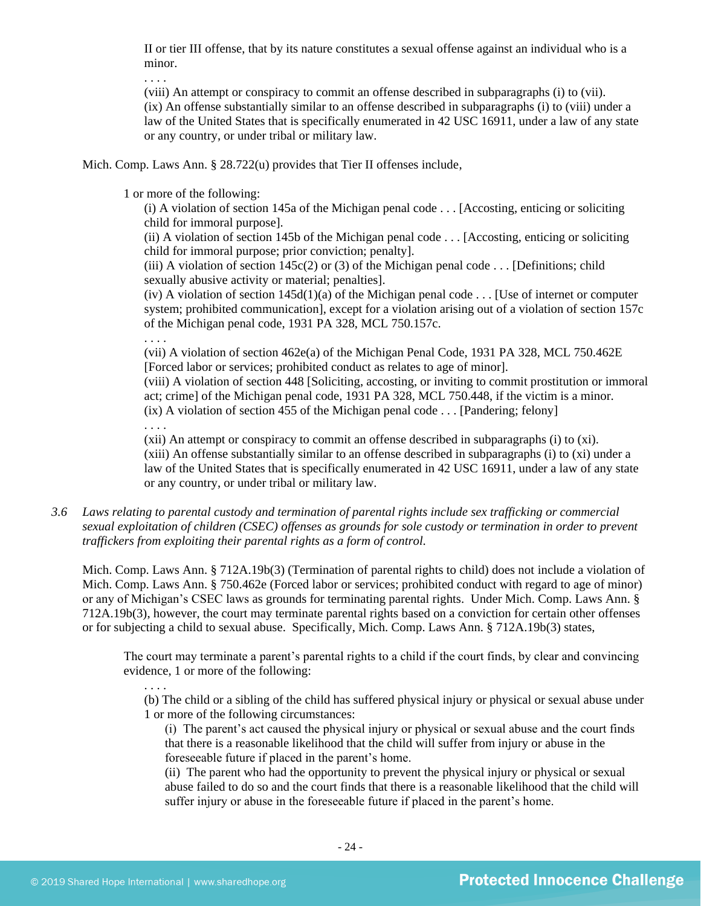II or tier III offense, that by its nature constitutes a sexual offense against an individual who is a minor.

. . . .

(viii) An attempt or conspiracy to commit an offense described in subparagraphs (i) to (vii). (ix) An offense substantially similar to an offense described in subparagraphs (i) to (viii) under a law of the United States that is specifically enumerated in 42 USC 16911, under a law of any state or any country, or under tribal or military law.

Mich. Comp. Laws Ann. § 28.722(u) provides that Tier II offenses include,

1 or more of the following:

(i) A violation of section 145a of the Michigan penal code . . . [Accosting, enticing or soliciting child for immoral purpose].

(ii) A violation of section 145b of the Michigan penal code . . . [Accosting, enticing or soliciting child for immoral purpose; prior conviction; penalty].

(iii) A violation of section  $145c(2)$  or (3) of the Michigan penal code . . . [Definitions; child sexually abusive activity or material; penalties].

(iv) A violation of section  $145d(1)(a)$  of the Michigan penal code . . . [Use of internet or computer system; prohibited communication], except for a violation arising out of a violation of section 157c of the Michigan penal code, 1931 PA 328, MCL 750.157c.

. . . .

(vii) A violation of section 462e(a) of the Michigan Penal Code, 1931 PA 328, MCL 750.462E [Forced labor or services; prohibited conduct as relates to age of minor].

(viii) A violation of section 448 [Soliciting, accosting, or inviting to commit prostitution or immoral act; crime] of the Michigan penal code, 1931 PA 328, MCL 750.448, if the victim is a minor.  $(ix)$  A violation of section 455 of the Michigan penal code  $\dots$  [Pandering; felony]

. . . .

(xii) An attempt or conspiracy to commit an offense described in subparagraphs (i) to (xi). (xiii) An offense substantially similar to an offense described in subparagraphs (i) to (xi) under a law of the United States that is specifically enumerated in 42 USC 16911, under a law of any state or any country, or under tribal or military law.

*3.6 Laws relating to parental custody and termination of parental rights include sex trafficking or commercial sexual exploitation of children (CSEC) offenses as grounds for sole custody or termination in order to prevent traffickers from exploiting their parental rights as a form of control.* 

Mich. Comp. Laws Ann. § 712A.19b(3) (Termination of parental rights to child) does not include a violation of Mich. Comp. Laws Ann. § 750.462e (Forced labor or services; prohibited conduct with regard to age of minor) or any of Michigan's CSEC laws as grounds for terminating parental rights. Under Mich. Comp. Laws Ann. § 712A.19b(3), however, the court may terminate parental rights based on a conviction for certain other offenses or for subjecting a child to sexual abuse. Specifically, Mich. Comp. Laws Ann. § 712A.19b(3) states,

The court may terminate a parent's parental rights to a child if the court finds, by clear and convincing evidence, 1 or more of the following:

. . . .

(b) The child or a sibling of the child has suffered physical injury or physical or sexual abuse under 1 or more of the following circumstances:

(i) The parent's act caused the physical injury or physical or sexual abuse and the court finds that there is a reasonable likelihood that the child will suffer from injury or abuse in the foreseeable future if placed in the parent's home.

(ii) The parent who had the opportunity to prevent the physical injury or physical or sexual abuse failed to do so and the court finds that there is a reasonable likelihood that the child will suffer injury or abuse in the foreseeable future if placed in the parent's home.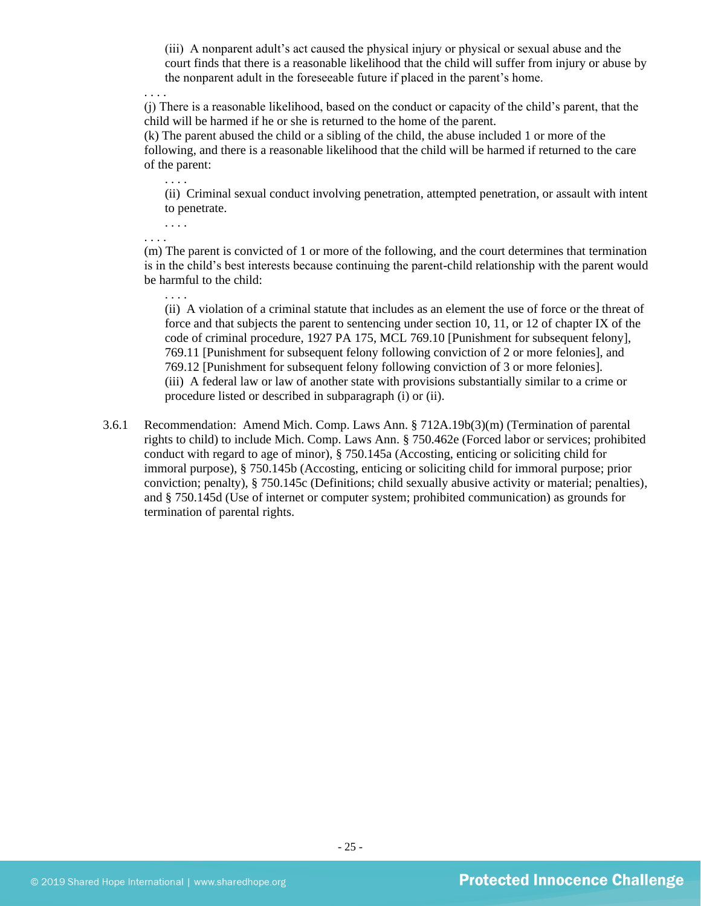(iii) A nonparent adult's act caused the physical injury or physical or sexual abuse and the court finds that there is a reasonable likelihood that the child will suffer from injury or abuse by the nonparent adult in the foreseeable future if placed in the parent's home.

. . . .

(j) There is a reasonable likelihood, based on the conduct or capacity of the child's parent, that the child will be harmed if he or she is returned to the home of the parent.

(k) The parent abused the child or a sibling of the child, the abuse included 1 or more of the following, and there is a reasonable likelihood that the child will be harmed if returned to the care of the parent:

(ii) Criminal sexual conduct involving penetration, attempted penetration, or assault with intent to penetrate.

. . . .

. . . .

. . . .

. . . .

(m) The parent is convicted of 1 or more of the following, and the court determines that termination is in the child's best interests because continuing the parent-child relationship with the parent would be harmful to the child:

(ii) A violation of a criminal statute that includes as an element the use of force or the threat of force and that subjects the parent to sentencing under section 10, 11, or 12 of chapter IX of the code of criminal procedure, 1927 PA 175, MCL 769.10 [Punishment for subsequent felony], 769.11 [Punishment for subsequent felony following conviction of 2 or more felonies], and 769.12 [Punishment for subsequent felony following conviction of 3 or more felonies]. (iii) A federal law or law of another state with provisions substantially similar to a crime or procedure listed or described in subparagraph (i) or (ii).

3.6.1 Recommendation: Amend Mich. Comp. Laws Ann. § 712A.19b(3)(m) (Termination of parental rights to child) to include Mich. Comp. Laws Ann. § 750.462e (Forced labor or services; prohibited conduct with regard to age of minor), § 750.145a (Accosting, enticing or soliciting child for immoral purpose), § 750.145b (Accosting, enticing or soliciting child for immoral purpose; prior conviction; penalty), § 750.145c (Definitions; child sexually abusive activity or material; penalties), and § 750.145d (Use of internet or computer system; prohibited communication) as grounds for termination of parental rights.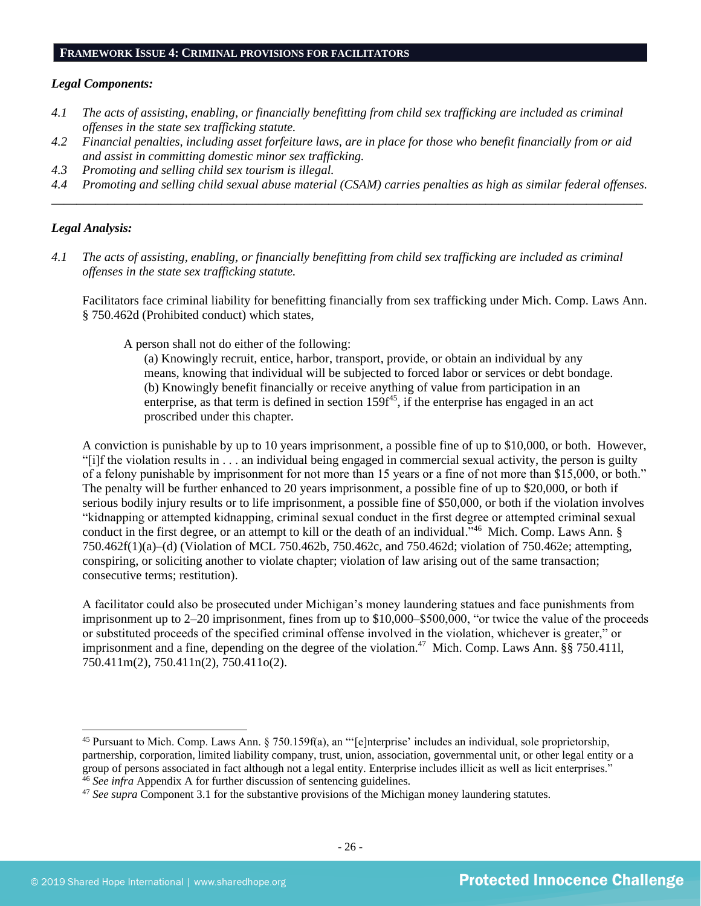#### **FRAMEWORK ISSUE 4: CRIMINAL PROVISIONS FOR FACILITATORS**

#### *Legal Components:*

- *4.1 The acts of assisting, enabling, or financially benefitting from child sex trafficking are included as criminal offenses in the state sex trafficking statute.*
- *4.2 Financial penalties, including asset forfeiture laws, are in place for those who benefit financially from or aid and assist in committing domestic minor sex trafficking.*
- *4.3 Promoting and selling child sex tourism is illegal.*
- *4.4 Promoting and selling child sexual abuse material (CSAM) carries penalties as high as similar federal offenses. \_\_\_\_\_\_\_\_\_\_\_\_\_\_\_\_\_\_\_\_\_\_\_\_\_\_\_\_\_\_\_\_\_\_\_\_\_\_\_\_\_\_\_\_\_\_\_\_\_\_\_\_\_\_\_\_\_\_\_\_\_\_\_\_\_\_\_\_\_\_\_\_\_\_\_\_\_\_\_\_\_\_\_\_\_\_\_\_\_\_\_\_\_\_*

## *Legal Analysis:*

*4.1 The acts of assisting, enabling, or financially benefitting from child sex trafficking are included as criminal offenses in the state sex trafficking statute.*

Facilitators face criminal liability for benefitting financially from sex trafficking under Mich. Comp. Laws Ann. § 750.462d (Prohibited conduct) which states,

A person shall not do either of the following:

(a) Knowingly recruit, entice, harbor, transport, provide, or obtain an individual by any means, knowing that individual will be subjected to forced labor or services or debt bondage. (b) Knowingly benefit financially or receive anything of value from participation in an enterprise, as that term is defined in section  $159f^{45}$ , if the enterprise has engaged in an act proscribed under this chapter.

A conviction is punishable by up to 10 years imprisonment, a possible fine of up to \$10,000, or both. However, "[i]f the violation results in . . . an individual being engaged in commercial sexual activity, the person is guilty of a felony punishable by imprisonment for not more than 15 years or a fine of not more than \$15,000, or both." The penalty will be further enhanced to 20 years imprisonment, a possible fine of up to \$20,000, or both if serious bodily injury results or to life imprisonment, a possible fine of \$50,000, or both if the violation involves "kidnapping or attempted kidnapping, criminal sexual conduct in the first degree or attempted criminal sexual conduct in the first degree, or an attempt to kill or the death of an individual."<sup>46</sup> Mich. Comp. Laws Ann. § 750.462f(1)(a)–(d) (Violation of MCL 750.462b, 750.462c, and 750.462d; violation of 750.462e; attempting, conspiring, or soliciting another to violate chapter; violation of law arising out of the same transaction; consecutive terms; restitution).

A facilitator could also be prosecuted under Michigan's money laundering statues and face punishments from imprisonment up to 2–20 imprisonment, fines from up to \$10,000–\$500,000, "or twice the value of the proceeds or substituted proceeds of the specified criminal offense involved in the violation, whichever is greater," or imprisonment and a fine, depending on the degree of the violation.<sup>47</sup> Mich. Comp. Laws Ann. §§ 750.4111, 750.411m(2), 750.411n(2), 750.411o(2).

<sup>45</sup> Pursuant to Mich. Comp. Laws Ann. § 750.159f(a), an "'[e]nterprise' includes an individual, sole proprietorship, partnership, corporation, limited liability company, trust, union, association, governmental unit, or other legal entity or a group of persons associated in fact although not a legal entity. Enterprise includes illicit as well as licit enterprises." <sup>46</sup> *See infra* Appendix A for further discussion of sentencing guidelines.

<sup>47</sup> *See supra* Component 3.1 for the substantive provisions of the Michigan money laundering statutes.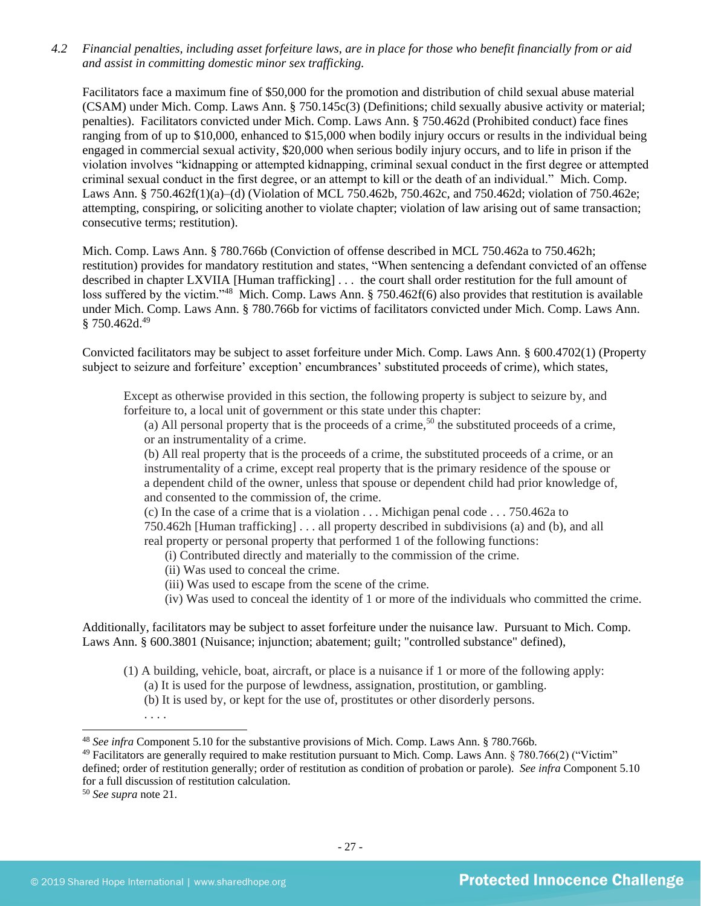*4.2 Financial penalties, including asset forfeiture laws, are in place for those who benefit financially from or aid and assist in committing domestic minor sex trafficking.*

Facilitators face a maximum fine of \$50,000 for the promotion and distribution of child sexual abuse material (CSAM) under Mich. Comp. Laws Ann. § 750.145c(3) (Definitions; child sexually abusive activity or material; penalties). Facilitators convicted under Mich. Comp. Laws Ann. § 750.462d (Prohibited conduct) face fines ranging from of up to \$10,000, enhanced to \$15,000 when bodily injury occurs or results in the individual being engaged in commercial sexual activity, \$20,000 when serious bodily injury occurs, and to life in prison if the violation involves "kidnapping or attempted kidnapping, criminal sexual conduct in the first degree or attempted criminal sexual conduct in the first degree, or an attempt to kill or the death of an individual." Mich. Comp. Laws Ann. § 750.462f(1)(a)–(d) (Violation of MCL 750.462b, 750.462c, and 750.462d; violation of 750.462e; attempting, conspiring, or soliciting another to violate chapter; violation of law arising out of same transaction; consecutive terms; restitution).

Mich. Comp. Laws Ann. § 780.766b (Conviction of offense described in MCL 750.462a to 750.462h; restitution) provides for mandatory restitution and states, "When sentencing a defendant convicted of an offense described in chapter LXVIIA [Human trafficking] . . . the court shall order restitution for the full amount of loss suffered by the victim."<sup>48</sup> Mich. Comp. Laws Ann. § 750.462f(6) also provides that restitution is available under Mich. Comp. Laws Ann. § 780.766b for victims of facilitators convicted under Mich. Comp. Laws Ann.  $§ 750.462d.<sup>49</sup>$ 

Convicted facilitators may be subject to asset forfeiture under Mich. Comp. Laws Ann. § 600.4702(1) (Property subject to seizure and forfeiture' exception' encumbrances' substituted proceeds of crime), which states,

Except as otherwise provided in this section, the following property is subject to seizure by, and forfeiture to, a local unit of government or this state under this chapter:

(a) All personal property that is the proceeds of a crime,<sup>50</sup> the substituted proceeds of a crime, or an instrumentality of a crime.

(b) All real property that is the proceeds of a crime, the substituted proceeds of a crime, or an instrumentality of a crime, except real property that is the primary residence of the spouse or a dependent child of the owner, unless that spouse or dependent child had prior knowledge of, and consented to the commission of, the crime.

(c) In the case of a crime that is a violation . . . Michigan penal code . . . 750.462a to 750.462h [Human trafficking] . . . all property described in subdivisions (a) and (b), and all real property or personal property that performed 1 of the following functions:

(i) Contributed directly and materially to the commission of the crime.

- (ii) Was used to conceal the crime.
- (iii) Was used to escape from the scene of the crime.
- (iv) Was used to conceal the identity of 1 or more of the individuals who committed the crime.

Additionally, facilitators may be subject to asset forfeiture under the nuisance law. Pursuant to Mich. Comp. Laws Ann. § 600.3801 (Nuisance; injunction; abatement; guilt; "controlled substance" defined),

- (1) A building, vehicle, boat, aircraft, or place is a nuisance if 1 or more of the following apply: (a) It is used for the purpose of lewdness, assignation, prostitution, or gambling.
	- (b) It is used by, or kept for the use of, prostitutes or other disorderly persons.
	- . . . .

<sup>48</sup> *See infra* Component 5.10 for the substantive provisions of Mich. Comp. Laws Ann. § 780.766b.

<sup>&</sup>lt;sup>49</sup> Facilitators are generally required to make restitution pursuant to Mich. Comp. Laws Ann. § 780.766(2) ("Victim" defined; order of restitution generally; order of restitution as condition of probation or parole). *See infra* Component 5.10 for a full discussion of restitution calculation.

<sup>50</sup> *See supra* note [21.](#page-11-1)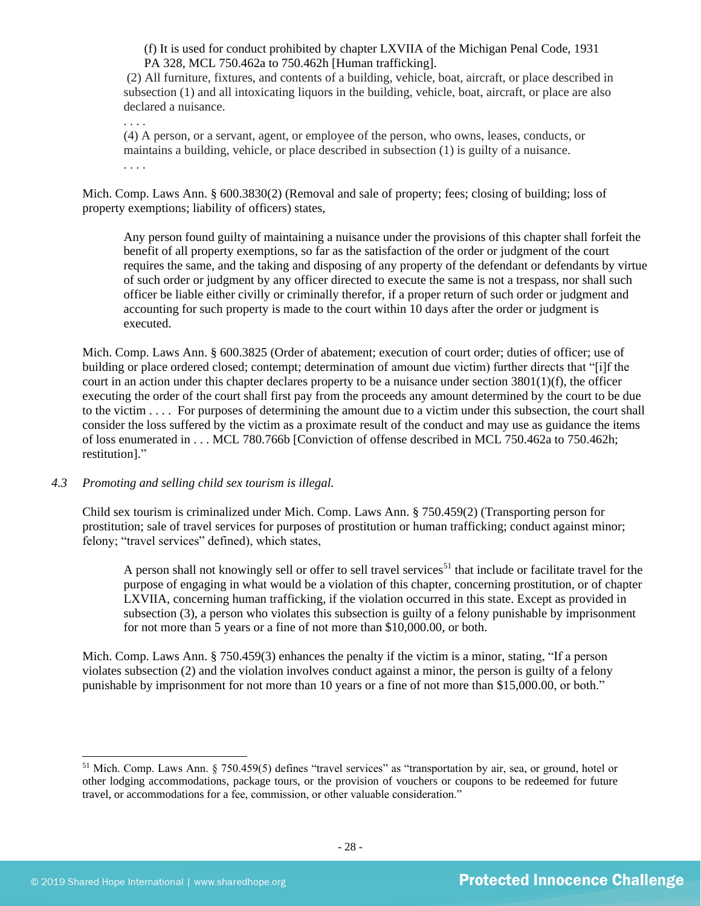(f) It is used for conduct prohibited by chapter LXVIIA of the Michigan Penal Code, 1931 PA 328, MCL 750.462a to 750.462h [Human trafficking].

(2) All furniture, fixtures, and contents of a building, vehicle, boat, aircraft, or place described in subsection (1) and all intoxicating liquors in the building, vehicle, boat, aircraft, or place are also declared a nuisance.

. . . .

(4) A person, or a servant, agent, or employee of the person, who owns, leases, conducts, or maintains a building, vehicle, or place described in subsection (1) is guilty of a nuisance. . . . .

Mich. Comp. Laws Ann. § 600.3830(2) (Removal and sale of property; fees; closing of building; loss of property exemptions; liability of officers) states,

Any person found guilty of maintaining a nuisance under the provisions of this chapter shall forfeit the benefit of all property exemptions, so far as the satisfaction of the order or judgment of the court requires the same, and the taking and disposing of any property of the defendant or defendants by virtue of such order or judgment by any officer directed to execute the same is not a trespass, nor shall such officer be liable either civilly or criminally therefor, if a proper return of such order or judgment and accounting for such property is made to the court within 10 days after the order or judgment is executed.

Mich. Comp. Laws Ann. § 600.3825 (Order of abatement; execution of court order; duties of officer; use of building or place ordered closed; contempt; determination of amount due victim) further directs that "[i]f the court in an action under this chapter declares property to be a nuisance under section  $3801(1)(f)$ , the officer executing the order of the court shall first pay from the proceeds any amount determined by the court to be due to the victim . . . . For purposes of determining the amount due to a victim under this subsection, the court shall consider the loss suffered by the victim as a proximate result of the conduct and may use as guidance the items of loss enumerated in . . . MCL 780.766b [Conviction of offense described in MCL 750.462a to 750.462h; restitution]."

#### *4.3 Promoting and selling child sex tourism is illegal.*

Child sex tourism is criminalized under Mich. Comp. Laws Ann. § 750.459(2) (Transporting person for prostitution; sale of travel services for purposes of prostitution or human trafficking; conduct against minor; felony; "travel services" defined), which states,

A person shall not knowingly sell or offer to sell travel services<sup>51</sup> that include or facilitate travel for the purpose of engaging in what would be a violation of this chapter, concerning prostitution, or of chapter LXVIIA, concerning human trafficking, if the violation occurred in this state. Except as provided in subsection (3), a person who violates this subsection is guilty of a felony punishable by imprisonment for not more than 5 years or a fine of not more than \$10,000.00, or both.

Mich. Comp. Laws Ann. § 750.459(3) enhances the penalty if the victim is a minor, stating, "If a person violates subsection (2) and the violation involves conduct against a minor, the person is guilty of a felony punishable by imprisonment for not more than 10 years or a fine of not more than \$15,000.00, or both."

<sup>&</sup>lt;sup>51</sup> Mich. Comp. Laws Ann. § 750.459(5) defines "travel services" as "transportation by air, sea, or ground, hotel or other lodging accommodations, package tours, or the provision of vouchers or coupons to be redeemed for future travel, or accommodations for a fee, commission, or other valuable consideration."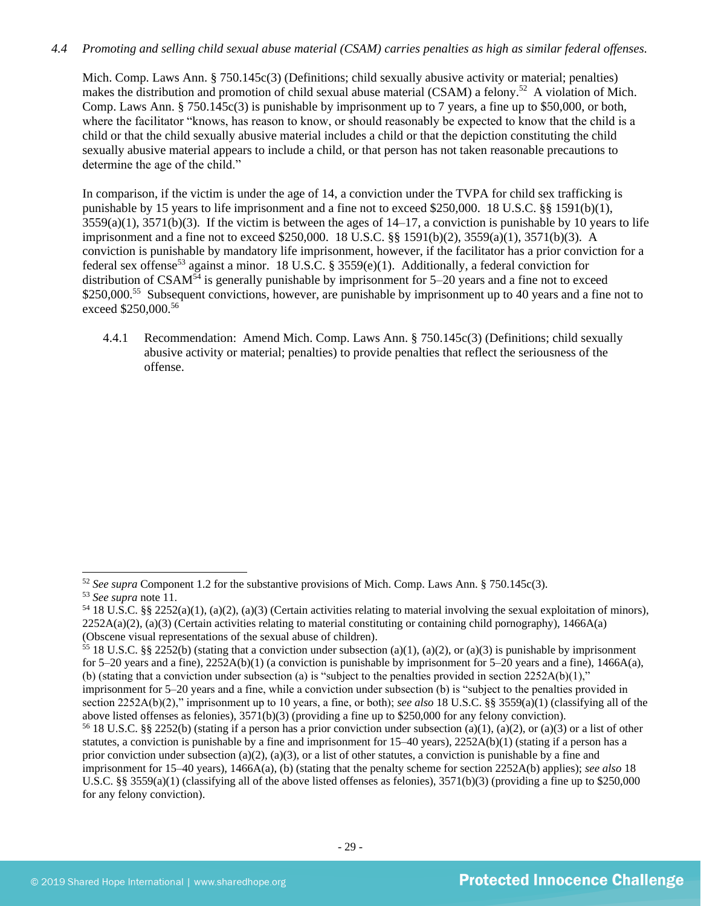## *4.4 Promoting and selling child sexual abuse material (CSAM) carries penalties as high as similar federal offenses.*

Mich. Comp. Laws Ann. § 750.145c(3) (Definitions; child sexually abusive activity or material; penalties) makes the distribution and promotion of child sexual abuse material (CSAM) a felony.<sup>52</sup> A violation of Mich. Comp. Laws Ann. § 750.145c(3) is punishable by imprisonment up to 7 years, a fine up to \$50,000, or both, where the facilitator "knows, has reason to know, or should reasonably be expected to know that the child is a child or that the child sexually abusive material includes a child or that the depiction constituting the child sexually abusive material appears to include a child, or that person has not taken reasonable precautions to determine the age of the child."

In comparison, if the victim is under the age of 14, a conviction under the TVPA for child sex trafficking is punishable by 15 years to life imprisonment and a fine not to exceed \$250,000. 18 U.S.C. §§ 1591(b)(1),  $3559(a)(1)$ ,  $3571(b)(3)$ . If the victim is between the ages of  $14-17$ , a conviction is punishable by 10 years to life imprisonment and a fine not to exceed \$250,000. 18 U.S.C. §§ 1591(b)(2), 3559(a)(1), 3571(b)(3). A conviction is punishable by mandatory life imprisonment, however, if the facilitator has a prior conviction for a federal sex offense<sup>53</sup> against a minor. 18 U.S.C. § 3559(e)(1). Additionally, a federal conviction for distribution of CSAM<sup>54</sup> is generally punishable by imprisonment for 5–20 years and a fine not to exceed \$250,000.<sup>55</sup> Subsequent convictions, however, are punishable by imprisonment up to 40 years and a fine not to exceed \$250,000.<sup>56</sup>

4.4.1 Recommendation: Amend Mich. Comp. Laws Ann. § 750.145c(3) (Definitions; child sexually abusive activity or material; penalties) to provide penalties that reflect the seriousness of the offense.

<sup>52</sup> *See supra* Component 1.2 for the substantive provisions of Mich. Comp. Laws Ann. § 750.145c(3).

<sup>53</sup> *See supra* note [11.](#page-8-0) 

<sup>&</sup>lt;sup>54</sup> 18 U.S.C. §§ 2252(a)(1), (a)(2), (a)(3) (Certain activities relating to material involving the sexual exploitation of minors),  $2252A(a)(2)$ ,  $(a)(3)$  (Certain activities relating to material constituting or containing child pornography), 1466A(a) (Obscene visual representations of the sexual abuse of children).

<sup>&</sup>lt;sup>55</sup> 18 U.S.C. §§ 2252(b) (stating that a conviction under subsection (a)(1), (a)(2), or (a)(3) is punishable by imprisonment for 5–20 years and a fine),  $2252A(b)(1)$  (a conviction is punishable by imprisonment for 5–20 years and a fine),  $1466A(a)$ , (b) (stating that a conviction under subsection (a) is "subject to the penalties provided in section  $2252A(b)(1)$ ," imprisonment for 5–20 years and a fine, while a conviction under subsection (b) is "subject to the penalties provided in section 2252A(b)(2)," imprisonment up to 10 years, a fine, or both); *see also* 18 U.S.C. §§ 3559(a)(1) (classifying all of the above listed offenses as felonies), 3571(b)(3) (providing a fine up to \$250,000 for any felony conviction).

<sup>&</sup>lt;sup>56</sup> 18 U.S.C. §§ 2252(b) (stating if a person has a prior conviction under subsection (a)(1), (a)(2), or (a)(3) or a list of other statutes, a conviction is punishable by a fine and imprisonment for 15–40 years), 2252A(b)(1) (stating if a person has a prior conviction under subsection (a)(2), (a)(3), or a list of other statutes, a conviction is punishable by a fine and imprisonment for 15–40 years), 1466A(a), (b) (stating that the penalty scheme for section 2252A(b) applies); *see also* 18 U.S.C. §§ 3559(a)(1) (classifying all of the above listed offenses as felonies),  $3571(b)(3)$  (providing a fine up to \$250,000 for any felony conviction).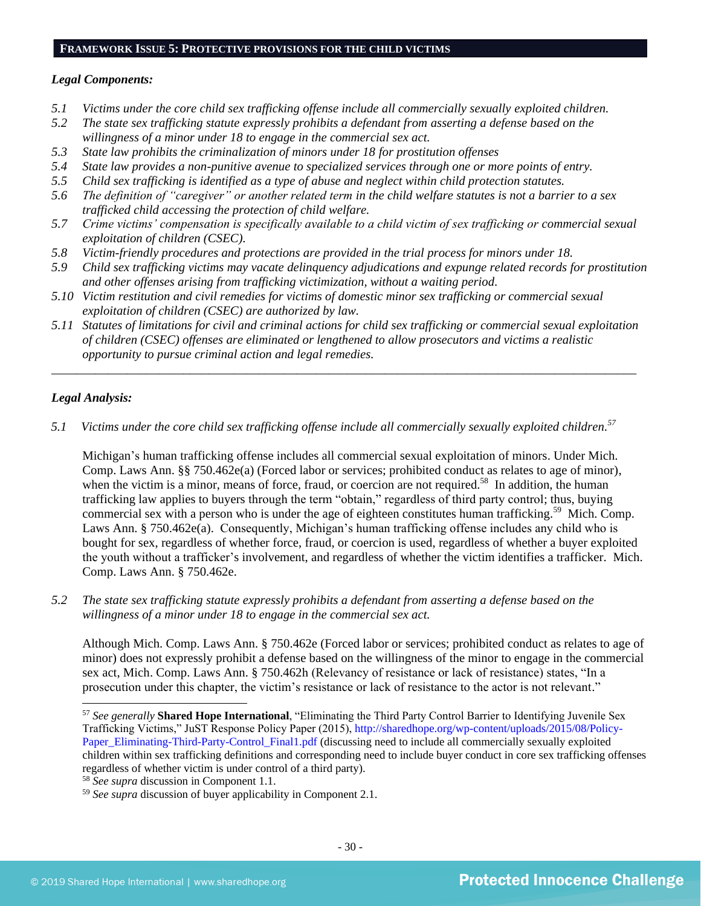#### **FRAMEWORK ISSUE 5: PROTECTIVE PROVISIONS FOR THE CHILD VICTIMS**

#### *Legal Components:*

- *5.1 Victims under the core child sex trafficking offense include all commercially sexually exploited children.*
- *5.2 The state sex trafficking statute expressly prohibits a defendant from asserting a defense based on the willingness of a minor under 18 to engage in the commercial sex act.*
- *5.3 State law prohibits the criminalization of minors under 18 for prostitution offenses*
- *5.4 State law provides a non-punitive avenue to specialized services through one or more points of entry.*
- *5.5 Child sex trafficking is identified as a type of abuse and neglect within child protection statutes.*
- *5.6 The definition of "caregiver" or another related term in the child welfare statutes is not a barrier to a sex trafficked child accessing the protection of child welfare.*
- *5.7 Crime victims' compensation is specifically available to a child victim of sex trafficking or commercial sexual exploitation of children (CSEC).*
- *5.8 Victim-friendly procedures and protections are provided in the trial process for minors under 18.*
- *5.9 Child sex trafficking victims may vacate delinquency adjudications and expunge related records for prostitution and other offenses arising from trafficking victimization, without a waiting period.*
- *5.10 Victim restitution and civil remedies for victims of domestic minor sex trafficking or commercial sexual exploitation of children (CSEC) are authorized by law.*
- *5.11 Statutes of limitations for civil and criminal actions for child sex trafficking or commercial sexual exploitation of children (CSEC) offenses are eliminated or lengthened to allow prosecutors and victims a realistic opportunity to pursue criminal action and legal remedies.*

*\_\_\_\_\_\_\_\_\_\_\_\_\_\_\_\_\_\_\_\_\_\_\_\_\_\_\_\_\_\_\_\_\_\_\_\_\_\_\_\_\_\_\_\_\_\_\_\_\_\_\_\_\_\_\_\_\_\_\_\_\_\_\_\_\_\_\_\_\_\_\_\_\_\_\_\_\_\_\_\_\_\_\_\_\_\_\_\_\_\_\_\_\_*

## *Legal Analysis:*

*5.1 Victims under the core child sex trafficking offense include all commercially sexually exploited children. 57*

Michigan's human trafficking offense includes all commercial sexual exploitation of minors. Under Mich. Comp. Laws Ann. §§ 750.462e(a) (Forced labor or services; prohibited conduct as relates to age of minor), when the victim is a minor, means of force, fraud, or coercion are not required.<sup>58</sup> In addition, the human trafficking law applies to buyers through the term "obtain," regardless of third party control; thus, buying commercial sex with a person who is under the age of eighteen constitutes human trafficking.<sup>59</sup> Mich. Comp. Laws Ann. § 750.462e(a). Consequently, Michigan's human trafficking offense includes any child who is bought for sex, regardless of whether force, fraud, or coercion is used, regardless of whether a buyer exploited the youth without a trafficker's involvement, and regardless of whether the victim identifies a trafficker. Mich. Comp. Laws Ann. § 750.462e.

*5.2 The state sex trafficking statute expressly prohibits a defendant from asserting a defense based on the willingness of a minor under 18 to engage in the commercial sex act.*

Although Mich. Comp. Laws Ann. § 750.462e (Forced labor or services; prohibited conduct as relates to age of minor) does not expressly prohibit a defense based on the willingness of the minor to engage in the commercial sex act, Mich. Comp. Laws Ann. § 750.462h (Relevancy of resistance or lack of resistance) states, "In a prosecution under this chapter, the victim's resistance or lack of resistance to the actor is not relevant."

<sup>57</sup> *See generally* **Shared Hope International**, "Eliminating the Third Party Control Barrier to Identifying Juvenile Sex Trafficking Victims," JuST Response Policy Paper (2015), [http://sharedhope.org/wp-content/uploads/2015/08/Policy-](http://sharedhope.org/wp-content/uploads/2015/08/Policy-Paper_Eliminating-Third-Party-Control_Final1.pdf)[Paper\\_Eliminating-Third-Party-Control\\_Final1.pdf](http://sharedhope.org/wp-content/uploads/2015/08/Policy-Paper_Eliminating-Third-Party-Control_Final1.pdf) (discussing need to include all commercially sexually exploited children within sex trafficking definitions and corresponding need to include buyer conduct in core sex trafficking offenses regardless of whether victim is under control of a third party).

<sup>58</sup> *See supra* discussion in Component 1.1.

<sup>59</sup> *See supra* discussion of buyer applicability in Component 2.1.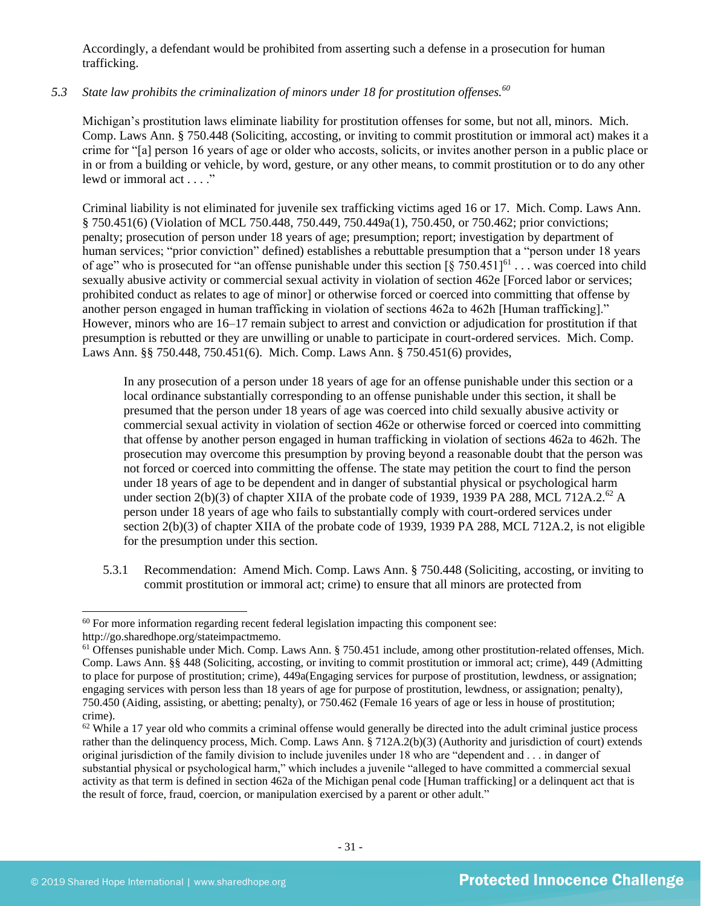Accordingly, a defendant would be prohibited from asserting such a defense in a prosecution for human trafficking.

## *5.3 State law prohibits the criminalization of minors under 18 for prostitution offenses.<sup>60</sup>*

Michigan's prostitution laws eliminate liability for prostitution offenses for some, but not all, minors. Mich. Comp. Laws Ann. § 750.448 (Soliciting, accosting, or inviting to commit prostitution or immoral act) makes it a crime for "[a] person 16 years of age or older who accosts, solicits, or invites another person in a public place or in or from a building or vehicle, by word, gesture, or any other means, to commit prostitution or to do any other lewd or immoral act . . . ."

Criminal liability is not eliminated for juvenile sex trafficking victims aged 16 or 17. Mich. Comp. Laws Ann. § 750.451(6) (Violation of MCL 750.448, 750.449, 750.449a(1), 750.450, or 750.462; prior convictions; penalty; prosecution of person under 18 years of age; presumption; report; investigation by department of human services; "prior conviction" defined) establishes a rebuttable presumption that a "person under 18 years of age" who is prosecuted for "an offense punishable under this section  $\left[\S$  750.451]<sup>61</sup> . . . was coerced into child sexually abusive activity or commercial sexual activity in violation of section 462e [Forced labor or services; prohibited conduct as relates to age of minor] or otherwise forced or coerced into committing that offense by another person engaged in human trafficking in violation of sections 462a to 462h [Human trafficking]." However, minors who are 16–17 remain subject to arrest and conviction or adjudication for prostitution if that presumption is rebutted or they are unwilling or unable to participate in court-ordered services. Mich. Comp. Laws Ann. §§ 750.448, 750.451(6). Mich. Comp. Laws Ann. § 750.451(6) provides,

In any prosecution of a person under 18 years of age for an offense punishable under this section or a local ordinance substantially corresponding to an offense punishable under this section, it shall be presumed that the person under 18 years of age was coerced into child sexually abusive activity or commercial sexual activity in violation of section 462e or otherwise forced or coerced into committing that offense by another person engaged in human trafficking in violation of sections 462a to 462h. The prosecution may overcome this presumption by proving beyond a reasonable doubt that the person was not forced or coerced into committing the offense. The state may petition the court to find the person under 18 years of age to be dependent and in danger of substantial physical or psychological harm under section 2(b)(3) of chapter XIIA of the probate code of 1939, 1939 PA 288, MCL 712A.2.<sup>62</sup> A person under 18 years of age who fails to substantially comply with court-ordered services under section 2(b)(3) of chapter XIIA of the probate code of 1939, 1939 PA 288, MCL 712A.2, is not eligible for the presumption under this section.

5.3.1 Recommendation: Amend Mich. Comp. Laws Ann. § 750.448 (Soliciting, accosting, or inviting to commit prostitution or immoral act; crime) to ensure that all minors are protected from

<sup>&</sup>lt;sup>60</sup> For more information regarding recent federal legislation impacting this component see:

http://go.sharedhope.org/stateimpactmemo.

 $<sup>61</sup>$  Offenses punishable under Mich. Comp. Laws Ann. § 750.451 include, among other prostitution-related offenses, Mich.</sup> Comp. Laws Ann. §§ 448 (Soliciting, accosting, or inviting to commit prostitution or immoral act; crime), 449 (Admitting to place for purpose of prostitution; crime), 449a(Engaging services for purpose of prostitution, lewdness, or assignation; engaging services with person less than 18 years of age for purpose of prostitution, lewdness, or assignation; penalty), 750.450 (Aiding, assisting, or abetting; penalty), or 750.462 (Female 16 years of age or less in house of prostitution; crime).

 $62$  While a 17 year old who commits a criminal offense would generally be directed into the adult criminal justice process rather than the delinquency process, Mich. Comp. Laws Ann. § 712A.2(b)(3) (Authority and jurisdiction of court) extends original jurisdiction of the family division to include juveniles under 18 who are "dependent and . . . in danger of substantial physical or psychological harm," which includes a juvenile "alleged to have committed a commercial sexual activity as that term is defined in section 462a of the Michigan penal code [Human trafficking] or a delinquent act that is the result of force, fraud, coercion, or manipulation exercised by a parent or other adult."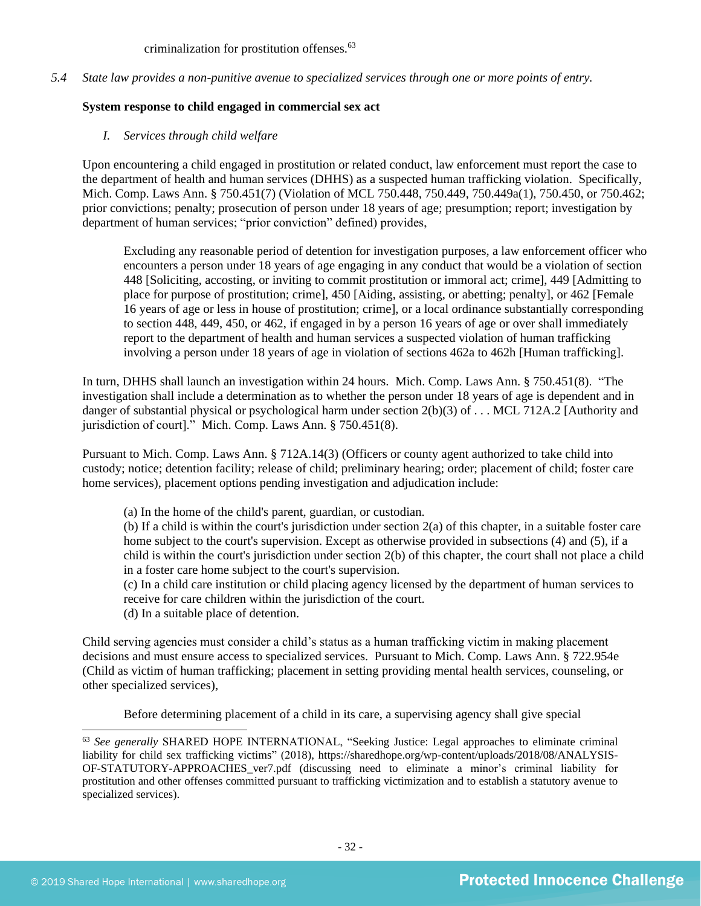criminalization for prostitution offenses.<sup>63</sup>

*5.4 State law provides a non-punitive avenue to specialized services through one or more points of entry.*

## **System response to child engaged in commercial sex act**

*I. Services through child welfare*

Upon encountering a child engaged in prostitution or related conduct, law enforcement must report the case to the department of health and human services (DHHS) as a suspected human trafficking violation. Specifically, Mich. Comp. Laws Ann. § 750.451(7) (Violation of MCL 750.448, 750.449, 750.449a(1), 750.450, or 750.462; prior convictions; penalty; prosecution of person under 18 years of age; presumption; report; investigation by department of human services; "prior conviction" defined) provides,

Excluding any reasonable period of detention for investigation purposes, a law enforcement officer who encounters a person under 18 years of age engaging in any conduct that would be a violation of section 448 [Soliciting, accosting, or inviting to commit prostitution or immoral act; crime], 449 [Admitting to place for purpose of prostitution; crime], 450 [Aiding, assisting, or abetting; penalty], or 462 [Female 16 years of age or less in house of prostitution; crime], or a local ordinance substantially corresponding to section 448, 449, 450, or 462, if engaged in by a person 16 years of age or over shall immediately report to the department of health and human services a suspected violation of human trafficking involving a person under 18 years of age in violation of sections 462a to 462h [Human trafficking].

In turn, DHHS shall launch an investigation within 24 hours. Mich. Comp. Laws Ann. § 750.451(8). "The investigation shall include a determination as to whether the person under 18 years of age is dependent and in danger of substantial physical or psychological harm under section 2(b)(3) of . . . MCL 712A.2 [Authority and jurisdiction of court]." Mich. Comp. Laws Ann. § 750.451(8).

Pursuant to Mich. Comp. Laws Ann. § 712A.14(3) (Officers or county agent authorized to take child into custody; notice; detention facility; release of child; preliminary hearing; order; placement of child; foster care home services), placement options pending investigation and adjudication include:

(a) In the home of the child's parent, guardian, or custodian.

(b) If a child is within the court's jurisdiction under section 2(a) of this chapter, in a suitable foster care home subject to the court's supervision. Except as otherwise provided in subsections (4) and (5), if a child is within the court's jurisdiction under section 2(b) of this chapter, the court shall not place a child in a foster care home subject to the court's supervision.

(c) In a child care institution or child placing agency licensed by the department of human services to receive for care children within the jurisdiction of the court.

(d) In a suitable place of detention.

Child serving agencies must consider a child's status as a human trafficking victim in making placement decisions and must ensure access to specialized services. Pursuant to Mich. Comp. Laws Ann. § 722.954e (Child as victim of human trafficking; placement in setting providing mental health services, counseling, or other specialized services),

Before determining placement of a child in its care, a supervising agency shall give special

<sup>63</sup> *See generally* SHARED HOPE INTERNATIONAL, "Seeking Justice: Legal approaches to eliminate criminal liability for child sex trafficking victims" (2018), https://sharedhope.org/wp-content/uploads/2018/08/ANALYSIS-OF-STATUTORY-APPROACHES\_ver7.pdf (discussing need to eliminate a minor's criminal liability for prostitution and other offenses committed pursuant to trafficking victimization and to establish a statutory avenue to specialized services).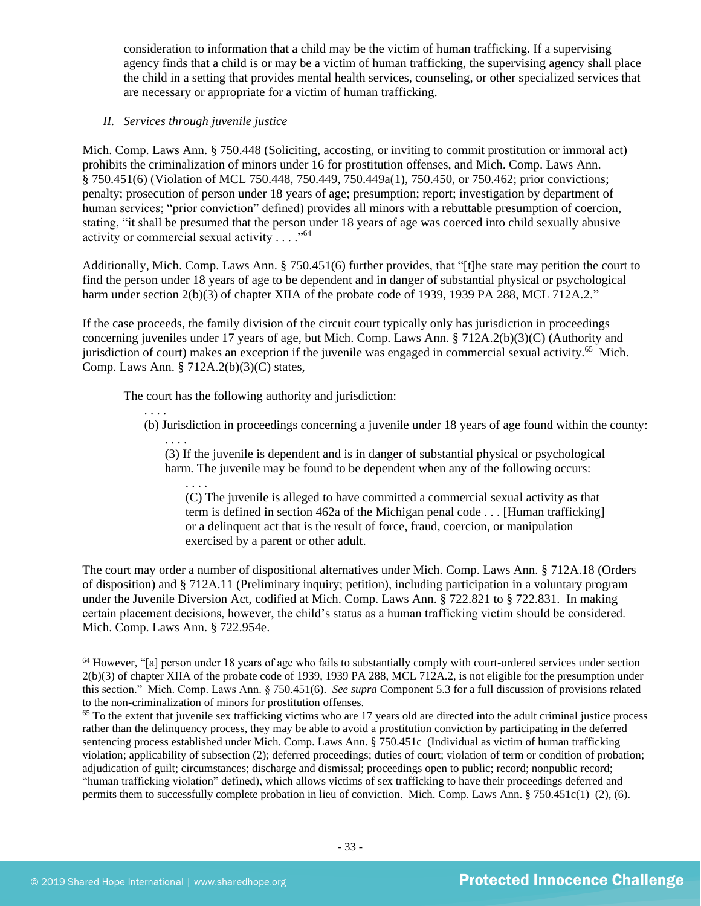consideration to information that a child may be the victim of human trafficking. If a supervising agency finds that a child is or may be a victim of human trafficking, the supervising agency shall place the child in a setting that provides mental health services, counseling, or other specialized services that are necessary or appropriate for a victim of human trafficking.

## *II. Services through juvenile justice*

. . . .

. . . .

Mich. Comp. Laws Ann. § 750.448 (Soliciting, accosting, or inviting to commit prostitution or immoral act) prohibits the criminalization of minors under 16 for prostitution offenses, and Mich. Comp. Laws Ann. § 750.451(6) (Violation of MCL 750.448, 750.449, 750.449a(1), 750.450, or 750.462; prior convictions; penalty; prosecution of person under 18 years of age; presumption; report; investigation by department of human services; "prior conviction" defined) provides all minors with a rebuttable presumption of coercion, stating, "it shall be presumed that the person under 18 years of age was coerced into child sexually abusive activity or commercial sexual activity . . . . "<sup>64</sup>

Additionally, Mich. Comp. Laws Ann. § 750.451(6) further provides, that "[t]he state may petition the court to find the person under 18 years of age to be dependent and in danger of substantial physical or psychological harm under section 2(b)(3) of chapter XIIA of the probate code of 1939, 1939 PA 288, MCL 712A.2."

If the case proceeds, the family division of the circuit court typically only has jurisdiction in proceedings concerning juveniles under 17 years of age, but Mich. Comp. Laws Ann. § 712A.2(b)(3)(C) (Authority and jurisdiction of court) makes an exception if the juvenile was engaged in commercial sexual activity.<sup>65</sup> Mich. Comp. Laws Ann. § 712A.2(b)(3)(C) states,

The court has the following authority and jurisdiction:

. . . . (b) Jurisdiction in proceedings concerning a juvenile under 18 years of age found within the county:

(3) If the juvenile is dependent and is in danger of substantial physical or psychological harm. The juvenile may be found to be dependent when any of the following occurs:

(C) The juvenile is alleged to have committed a commercial sexual activity as that term is defined in section 462a of the Michigan penal code . . . [Human trafficking] or a delinquent act that is the result of force, fraud, coercion, or manipulation exercised by a parent or other adult.

The court may order a number of dispositional alternatives under Mich. Comp. Laws Ann. § 712A.18 (Orders of disposition) and § 712A.11 (Preliminary inquiry; petition), including participation in a voluntary program under the Juvenile Diversion Act, codified at Mich. Comp. Laws Ann. § 722.821 to § 722.831. In making certain placement decisions, however, the child's status as a human trafficking victim should be considered. Mich. Comp. Laws Ann. § 722.954e.

 $64$  However, "[a] person under 18 years of age who fails to substantially comply with court-ordered services under section 2(b)(3) of chapter XIIA of the probate code of 1939, 1939 PA 288, MCL 712A.2, is not eligible for the presumption under this section." Mich. Comp. Laws Ann. § 750.451(6). *See supra* Component 5.3 for a full discussion of provisions related to the non-criminalization of minors for prostitution offenses.

<sup>&</sup>lt;sup>65</sup> To the extent that juvenile sex trafficking victims who are 17 years old are directed into the adult criminal justice process rather than the delinquency process, they may be able to avoid a prostitution conviction by participating in the deferred sentencing process established under Mich. Comp. Laws Ann. § 750.451c (Individual as victim of human trafficking violation; applicability of subsection (2); deferred proceedings; duties of court; violation of term or condition of probation; adjudication of guilt; circumstances; discharge and dismissal; proceedings open to public; record; nonpublic record; "human trafficking violation" defined), which allows victims of sex trafficking to have their proceedings deferred and permits them to successfully complete probation in lieu of conviction. Mich. Comp. Laws Ann. § 750.451c(1)–(2), (6).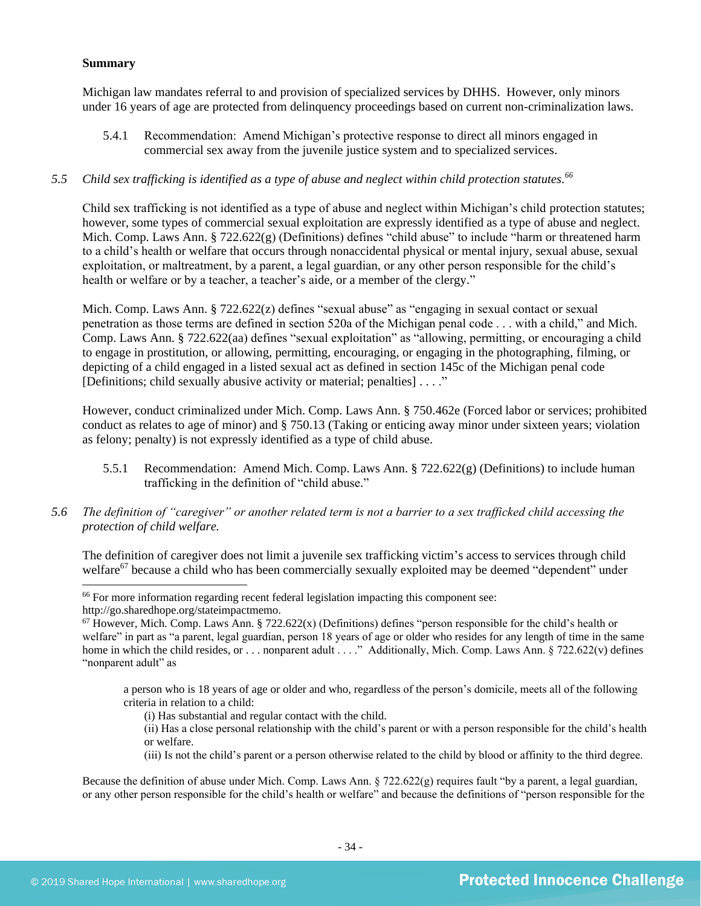## **Summary**

Michigan law mandates referral to and provision of specialized services by DHHS. However, only minors under 16 years of age are protected from delinquency proceedings based on current non-criminalization laws.

5.4.1 Recommendation: Amend Michigan's protective response to direct all minors engaged in commercial sex away from the juvenile justice system and to specialized services.

## *5.5 Child sex trafficking is identified as a type of abuse and neglect within child protection statutes. 66*

Child sex trafficking is not identified as a type of abuse and neglect within Michigan's child protection statutes; however, some types of commercial sexual exploitation are expressly identified as a type of abuse and neglect. Mich. Comp. Laws Ann. § 722.622(g) (Definitions) defines "child abuse" to include "harm or threatened harm to a child's health or welfare that occurs through nonaccidental physical or mental injury, sexual abuse, sexual exploitation, or maltreatment, by a parent, a legal guardian, or any other person responsible for the child's health or welfare or by a teacher, a teacher's aide, or a member of the clergy."

Mich. Comp. Laws Ann.  $\S 722.622(z)$  defines "sexual abuse" as "engaging in sexual contact or sexual penetration as those terms are defined in section 520a of the Michigan penal code . . . with a child," and Mich. Comp. Laws Ann. § 722.622(aa) defines "sexual exploitation" as "allowing, permitting, or encouraging a child to engage in prostitution, or allowing, permitting, encouraging, or engaging in the photographing, filming, or depicting of a child engaged in a listed sexual act as defined in section 145c of the Michigan penal code [Definitions; child sexually abusive activity or material; penalties] . . . ."

However, conduct criminalized under Mich. Comp. Laws Ann. § 750.462e (Forced labor or services; prohibited conduct as relates to age of minor) and § 750.13 (Taking or enticing away minor under sixteen years; violation as felony; penalty) is not expressly identified as a type of child abuse.

- 5.5.1 Recommendation: Amend Mich. Comp. Laws Ann.  $\S 722.622(g)$  (Definitions) to include human trafficking in the definition of "child abuse."
- *5.6 The definition of "caregiver" or another related term is not a barrier to a sex trafficked child accessing the protection of child welfare.*

The definition of caregiver does not limit a juvenile sex trafficking victim's access to services through child welfare<sup>67</sup> because a child who has been commercially sexually exploited may be deemed "dependent" under

(iii) Is not the child's parent or a person otherwise related to the child by blood or affinity to the third degree.

Because the definition of abuse under Mich. Comp. Laws Ann.  $\S 722.622(g)$  requires fault "by a parent, a legal guardian, or any other person responsible for the child's health or welfare" and because the definitions of "person responsible for the

<sup>&</sup>lt;sup>66</sup> For more information regarding recent federal legislation impacting this component see: http://go.sharedhope.org/stateimpactmemo.

 $67$  However, Mich. Comp. Laws Ann. § 722.622(x) (Definitions) defines "person responsible for the child's health or welfare" in part as "a parent, legal guardian, person 18 years of age or older who resides for any length of time in the same home in which the child resides, or . . . nonparent adult . . . ." Additionally, Mich. Comp. Laws Ann. § 722.622(v) defines "nonparent adult" as

a person who is 18 years of age or older and who, regardless of the person's domicile, meets all of the following criteria in relation to a child:

<sup>(</sup>i) Has substantial and regular contact with the child.

<sup>(</sup>ii) Has a close personal relationship with the child's parent or with a person responsible for the child's health or welfare.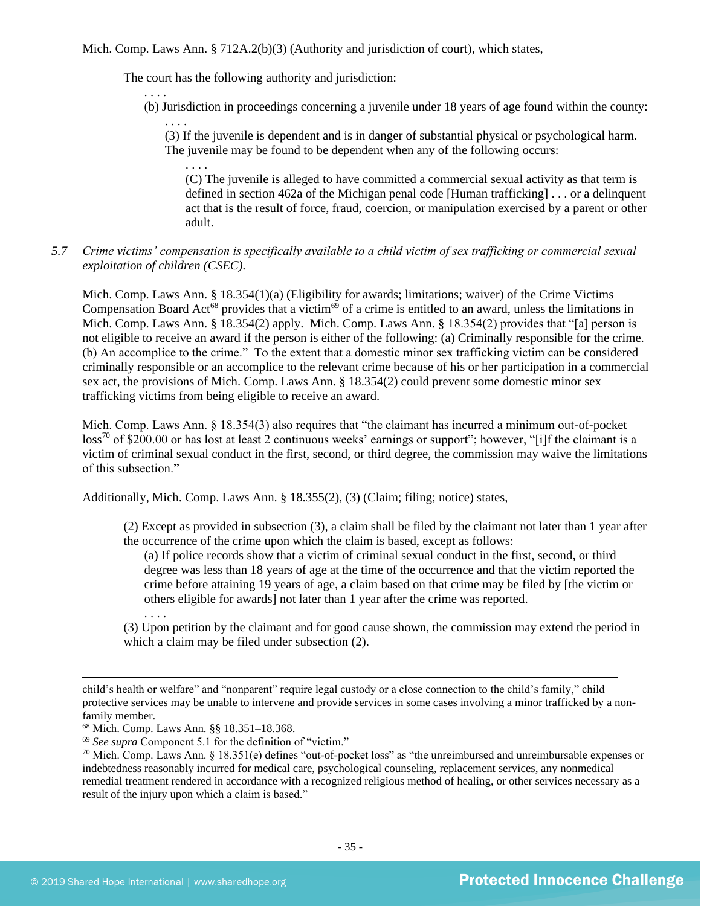Mich. Comp. Laws Ann.  $\S 712A.2(b)(3)$  (Authority and jurisdiction of court), which states,

The court has the following authority and jurisdiction:

. . . .

. . . . (b) Jurisdiction in proceedings concerning a juvenile under 18 years of age found within the county:

. . . . (3) If the juvenile is dependent and is in danger of substantial physical or psychological harm. The juvenile may be found to be dependent when any of the following occurs:

(C) The juvenile is alleged to have committed a commercial sexual activity as that term is defined in section 462a of the Michigan penal code [Human trafficking] . . . or a delinquent act that is the result of force, fraud, coercion, or manipulation exercised by a parent or other adult.

## *5.7 Crime victims' compensation is specifically available to a child victim of sex trafficking or commercial sexual exploitation of children (CSEC).*

Mich. Comp. Laws Ann. § 18.354(1)(a) (Eligibility for awards; limitations; waiver) of the Crime Victims Compensation Board Act<sup>68</sup> provides that a victim<sup>69</sup> of a crime is entitled to an award, unless the limitations in Mich. Comp. Laws Ann. § 18.354(2) apply. Mich. Comp. Laws Ann. § 18.354(2) provides that "[a] person is not eligible to receive an award if the person is either of the following: (a) Criminally responsible for the crime. (b) An accomplice to the crime." To the extent that a domestic minor sex trafficking victim can be considered criminally responsible or an accomplice to the relevant crime because of his or her participation in a commercial sex act, the provisions of Mich. Comp. Laws Ann. § 18.354(2) could prevent some domestic minor sex trafficking victims from being eligible to receive an award.

Mich. Comp. Laws Ann. § 18.354(3) also requires that "the claimant has incurred a minimum out-of-pocket  $\cos^{70}$  of \$200.00 or has lost at least 2 continuous weeks' earnings or support"; however, "[i]f the claimant is a victim of criminal sexual conduct in the first, second, or third degree, the commission may waive the limitations of this subsection."

Additionally, Mich. Comp. Laws Ann. § 18.355(2), (3) (Claim; filing; notice) states,

(2) Except as provided in subsection (3), a claim shall be filed by the claimant not later than 1 year after the occurrence of the crime upon which the claim is based, except as follows:

(a) If police records show that a victim of criminal sexual conduct in the first, second, or third degree was less than 18 years of age at the time of the occurrence and that the victim reported the crime before attaining 19 years of age, a claim based on that crime may be filed by [the victim or others eligible for awards] not later than 1 year after the crime was reported.

. . . . (3) Upon petition by the claimant and for good cause shown, the commission may extend the period in which a claim may be filed under subsection (2).

child's health or welfare" and "nonparent" require legal custody or a close connection to the child's family," child protective services may be unable to intervene and provide services in some cases involving a minor trafficked by a nonfamily member.

<sup>68</sup> Mich. Comp. Laws Ann. §§ 18.351–18.368.

<sup>69</sup> *See supra* Component 5.1 for the definition of "victim."

 $70$  Mich. Comp. Laws Ann. § 18.351(e) defines "out-of-pocket loss" as "the unreimbursed and unreimbursable expenses or indebtedness reasonably incurred for medical care, psychological counseling, replacement services, any nonmedical remedial treatment rendered in accordance with a recognized religious method of healing, or other services necessary as a result of the injury upon which a claim is based."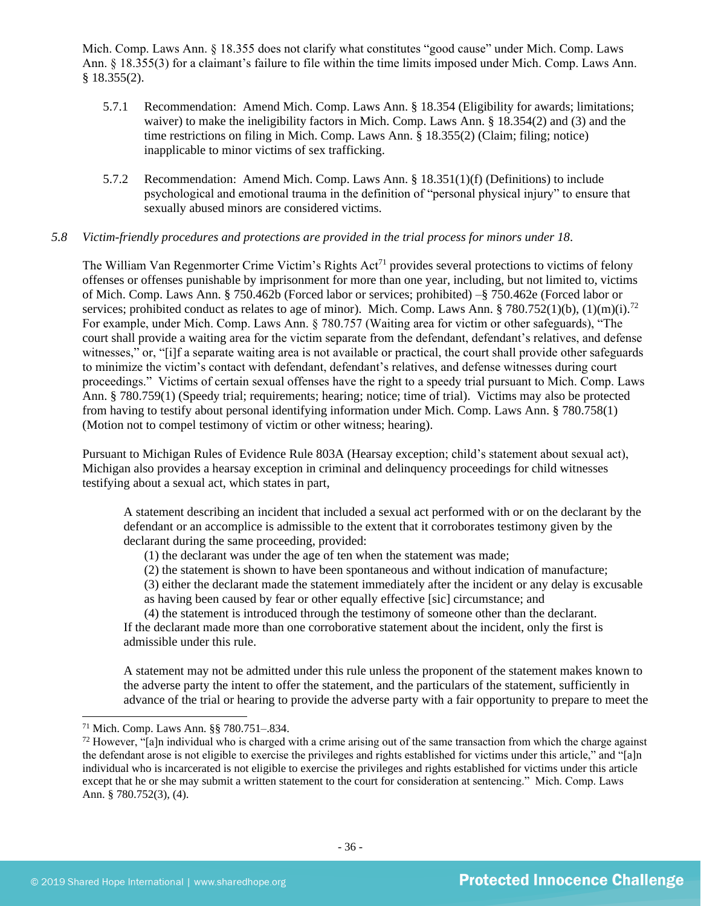Mich. Comp. Laws Ann. § 18.355 does not clarify what constitutes "good cause" under Mich. Comp. Laws Ann. § 18.355(3) for a claimant's failure to file within the time limits imposed under Mich. Comp. Laws Ann. § 18.355(2).

- 5.7.1 Recommendation: Amend Mich. Comp. Laws Ann. § 18.354 (Eligibility for awards; limitations; waiver) to make the ineligibility factors in Mich. Comp. Laws Ann. § 18.354(2) and (3) and the time restrictions on filing in Mich. Comp. Laws Ann. § 18.355(2) (Claim; filing; notice) inapplicable to minor victims of sex trafficking.
- 5.7.2 Recommendation: Amend Mich. Comp. Laws Ann. § 18.351(1)(f) (Definitions) to include psychological and emotional trauma in the definition of "personal physical injury" to ensure that sexually abused minors are considered victims.

### *5.8 Victim-friendly procedures and protections are provided in the trial process for minors under 18.*

The William Van Regenmorter Crime Victim's Rights Act<sup>71</sup> provides several protections to victims of felony offenses or offenses punishable by imprisonment for more than one year, including, but not limited to, victims of Mich. Comp. Laws Ann. § 750.462b (Forced labor or services; prohibited) –§ 750.462e (Forced labor or services; prohibited conduct as relates to age of minor). Mich. Comp. Laws Ann. § 780.752(1)(b), (1)(m)(i).<sup>72</sup> For example, under Mich. Comp. Laws Ann. § 780.757 (Waiting area for victim or other safeguards), "The court shall provide a waiting area for the victim separate from the defendant, defendant's relatives, and defense witnesses," or, "[i]f a separate waiting area is not available or practical, the court shall provide other safeguards to minimize the victim's contact with defendant, defendant's relatives, and defense witnesses during court proceedings." Victims of certain sexual offenses have the right to a speedy trial pursuant to Mich. Comp. Laws Ann. § 780.759(1) (Speedy trial; requirements; hearing; notice; time of trial). Victims may also be protected from having to testify about personal identifying information under Mich. Comp. Laws Ann. § 780.758(1) (Motion not to compel testimony of victim or other witness; hearing).

Pursuant to Michigan Rules of Evidence Rule 803A (Hearsay exception; child's statement about sexual act), Michigan also provides a hearsay exception in criminal and delinquency proceedings for child witnesses testifying about a sexual act, which states in part,

A statement describing an incident that included a sexual act performed with or on the declarant by the defendant or an accomplice is admissible to the extent that it corroborates testimony given by the declarant during the same proceeding, provided:

- (1) the declarant was under the age of ten when the statement was made;
- (2) the statement is shown to have been spontaneous and without indication of manufacture;
- (3) either the declarant made the statement immediately after the incident or any delay is excusable
- as having been caused by fear or other equally effective [sic] circumstance; and

(4) the statement is introduced through the testimony of someone other than the declarant. If the declarant made more than one corroborative statement about the incident, only the first is admissible under this rule.

A statement may not be admitted under this rule unless the proponent of the statement makes known to the adverse party the intent to offer the statement, and the particulars of the statement, sufficiently in advance of the trial or hearing to provide the adverse party with a fair opportunity to prepare to meet the

<sup>71</sup> Mich. Comp. Laws Ann. §§ 780.751–.834.

 $72$  However, "[a]n individual who is charged with a crime arising out of the same transaction from which the charge against the defendant arose is not eligible to exercise the privileges and rights established for victims under this article," and "[a]n individual who is incarcerated is not eligible to exercise the privileges and rights established for victims under this article except that he or she may submit a written statement to the court for consideration at sentencing." Mich. Comp. Laws Ann. § 780.752(3), (4).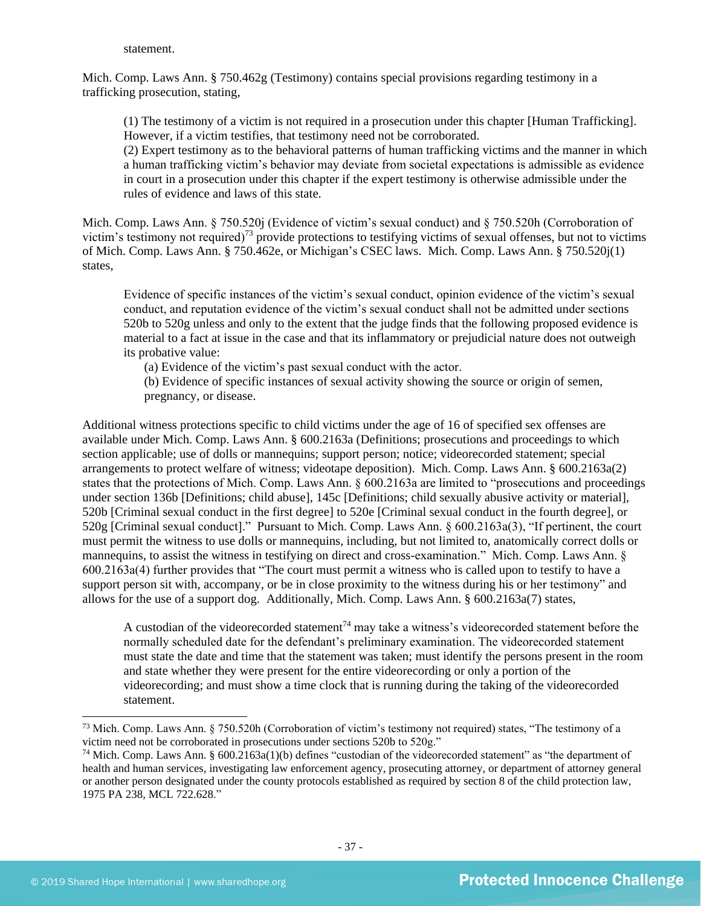#### statement.

Mich. Comp. Laws Ann. § 750.462g (Testimony) contains special provisions regarding testimony in a trafficking prosecution, stating,

(1) The testimony of a victim is not required in a prosecution under this chapter [Human Trafficking]. However, if a victim testifies, that testimony need not be corroborated.

(2) Expert testimony as to the behavioral patterns of human trafficking victims and the manner in which a human trafficking victim's behavior may deviate from societal expectations is admissible as evidence in court in a prosecution under this chapter if the expert testimony is otherwise admissible under the rules of evidence and laws of this state.

Mich. Comp. Laws Ann. § 750.520j (Evidence of victim's sexual conduct) and § 750.520h (Corroboration of victim's testimony not required)<sup>73</sup> provide protections to testifying victims of sexual offenses, but not to victims of Mich. Comp. Laws Ann. § 750.462e, or Michigan's CSEC laws. Mich. Comp. Laws Ann. § 750.520j(1) states,

Evidence of specific instances of the victim's sexual conduct, opinion evidence of the victim's sexual conduct, and reputation evidence of the victim's sexual conduct shall not be admitted under sections 520b to 520g unless and only to the extent that the judge finds that the following proposed evidence is material to a fact at issue in the case and that its inflammatory or prejudicial nature does not outweigh its probative value:

(a) Evidence of the victim's past sexual conduct with the actor.

(b) Evidence of specific instances of sexual activity showing the source or origin of semen, pregnancy, or disease.

Additional witness protections specific to child victims under the age of 16 of specified sex offenses are available under Mich. Comp. Laws Ann. § 600.2163a (Definitions; prosecutions and proceedings to which section applicable; use of dolls or mannequins; support person; notice; videorecorded statement; special arrangements to protect welfare of witness; videotape deposition). Mich. Comp. Laws Ann. § 600.2163a(2) states that the protections of Mich. Comp. Laws Ann. § 600.2163a are limited to "prosecutions and proceedings under section 136b [Definitions; child abuse], 145c [Definitions; child sexually abusive activity or material], 520b [Criminal sexual conduct in the first degree] to 520e [Criminal sexual conduct in the fourth degree], or 520g [Criminal sexual conduct]." Pursuant to Mich. Comp. Laws Ann. § 600.2163a(3), "If pertinent, the court must permit the witness to use dolls or mannequins, including, but not limited to, anatomically correct dolls or mannequins, to assist the witness in testifying on direct and cross-examination." Mich. Comp. Laws Ann. § 600.2163a(4) further provides that "The court must permit a witness who is called upon to testify to have a support person sit with, accompany, or be in close proximity to the witness during his or her testimony" and allows for the use of a support dog. Additionally, Mich. Comp. Laws Ann. § 600.2163a(7) states,

A custodian of the videorecorded statement<sup>74</sup> may take a witness's videorecorded statement before the normally scheduled date for the defendant's preliminary examination. The videorecorded statement must state the date and time that the statement was taken; must identify the persons present in the room and state whether they were present for the entire videorecording or only a portion of the videorecording; and must show a time clock that is running during the taking of the videorecorded statement.

<sup>73</sup> Mich. Comp. Laws Ann. § 750.520h (Corroboration of victim's testimony not required) states, "The testimony of a victim need not be corroborated in prosecutions under sections 520b to 520g."

<sup>74</sup> Mich. Comp. Laws Ann. § 600.2163a(1)(b) defines "custodian of the videorecorded statement" as "the department of health and human services, investigating law enforcement agency, prosecuting attorney, or department of attorney general or another person designated under the county protocols established as required by section 8 of the child protection law, 1975 PA 238, [MCL 722.628."](https://www.lexis.com/research/buttonTFLink?_m=667b361992caab280f00d1e1265c8d77&_xfercite=%3ccite%20cc%3d%22USA%22%3e%3c%21%5bCDATA%5bMCLS%20%a7%20600.2163a%5d%5d%3e%3c%2fcite%3e&_butType=4&_butStat=0&_butNum=3&_butInline=1&_butinfo=MICODE%20722.628&_fmtstr=FULL&docnum=1&_startdoc=1&wchp=dGLbVzt-zSkAA&_md5=60270760332353995386710bada62b4a)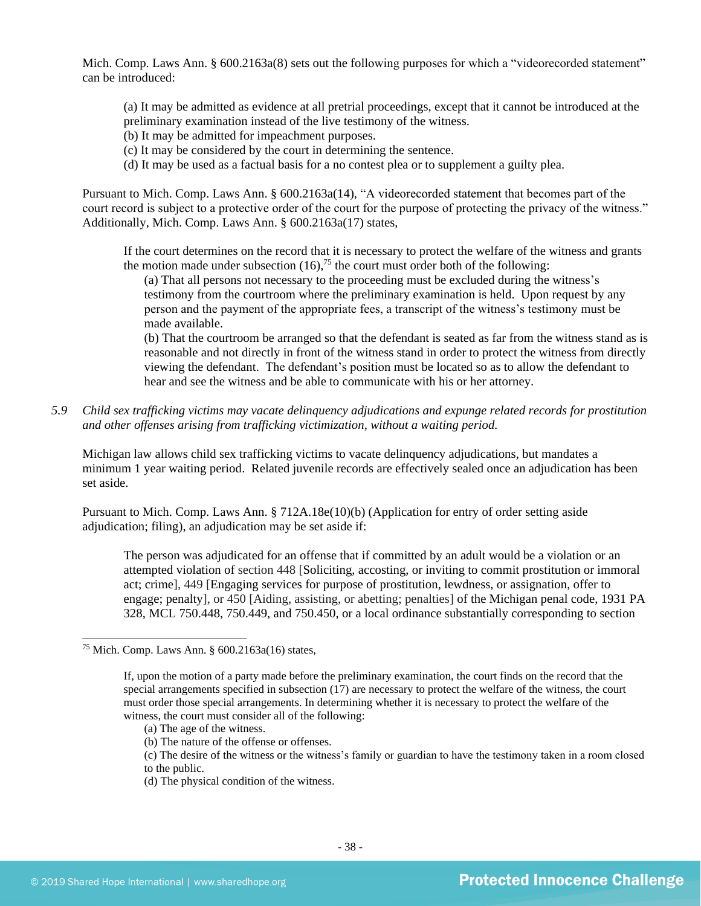Mich. Comp. Laws Ann. § 600.2163a(8) sets out the following purposes for which a "videorecorded statement" can be introduced:

(a) It may be admitted as evidence at all pretrial proceedings, except that it cannot be introduced at the preliminary examination instead of the live testimony of the witness.

- (b) It may be admitted for impeachment purposes.
- (c) It may be considered by the court in determining the sentence.
- (d) It may be used as a factual basis for a no contest plea or to supplement a guilty plea.

Pursuant to Mich. Comp. Laws Ann. § 600.2163a(14), "A videorecorded statement that becomes part of the court record is subject to a protective order of the court for the purpose of protecting the privacy of the witness." Additionally, Mich. Comp. Laws Ann. § 600.2163a(17) states,

If the court determines on the record that it is necessary to protect the welfare of the witness and grants the motion made under subsection  $(16)$ ,<sup>75</sup> the court must order both of the following:

(a) That all persons not necessary to the proceeding must be excluded during the witness's testimony from the courtroom where the preliminary examination is held. Upon request by any person and the payment of the appropriate fees, a transcript of the witness's testimony must be made available.

(b) That the courtroom be arranged so that the defendant is seated as far from the witness stand as is reasonable and not directly in front of the witness stand in order to protect the witness from directly viewing the defendant. The defendant's position must be located so as to allow the defendant to hear and see the witness and be able to communicate with his or her attorney.

*5.9 Child sex trafficking victims may vacate delinquency adjudications and expunge related records for prostitution and other offenses arising from trafficking victimization, without a waiting period.*

Michigan law allows child sex trafficking victims to vacate delinquency adjudications, but mandates a minimum 1 year waiting period. Related juvenile records are effectively sealed once an adjudication has been set aside.

Pursuant to Mich. Comp. Laws Ann. § 712A.18e(10)(b) (Application for entry of order setting aside adjudication; filing), an adjudication may be set aside if:

The person was adjudicated for an offense that if committed by an adult would be a violation or an attempted violation of section 448 [Soliciting, accosting, or inviting to commit prostitution or immoral act; crime], 449 [Engaging services for purpose of prostitution, lewdness, or assignation, offer to engage; penalty], or 450 [Aiding, assisting, or abetting; penalties] of the Michigan penal code, 1931 PA 328, MCL 750.448, 750.449, and 750.450, or a local ordinance substantially corresponding to section

(d) The physical condition of the witness.

<sup>75</sup> Mich. Comp. Laws Ann. § 600.2163a(16) states,

If, upon the motion of a party made before the preliminary examination, the court finds on the record that the special arrangements specified in subsection (17) are necessary to protect the welfare of the witness, the court must order those special arrangements. In determining whether it is necessary to protect the welfare of the witness, the court must consider all of the following:

<sup>(</sup>a) The age of the witness.

<sup>(</sup>b) The nature of the offense or offenses.

<sup>(</sup>c) The desire of the witness or the witness's family or guardian to have the testimony taken in a room closed to the public.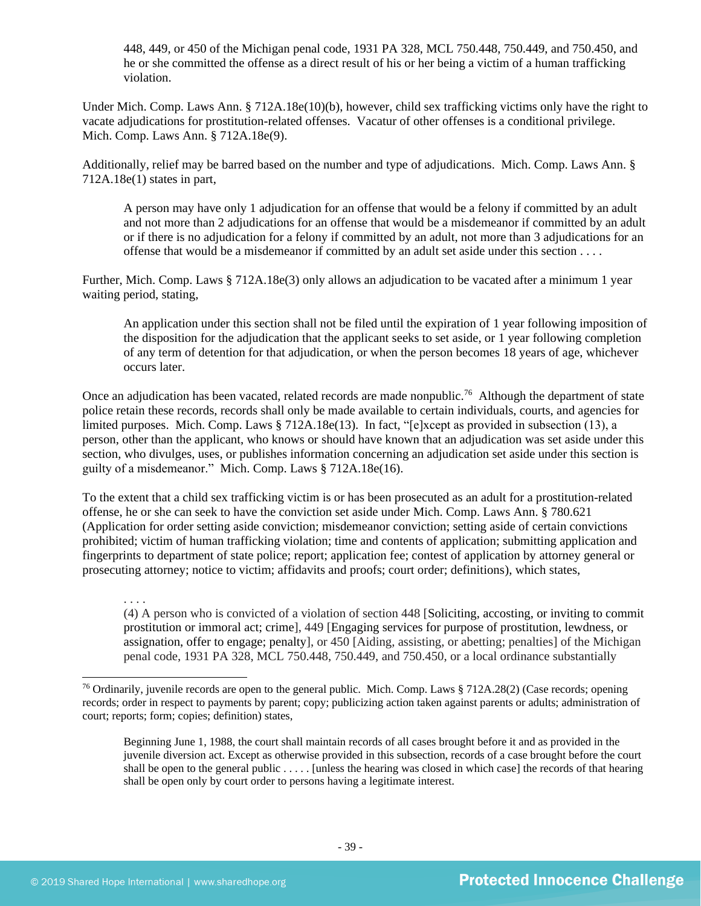448, 449, or 450 of the Michigan penal code, 1931 PA 328, MCL 750.448, 750.449, and 750.450, and he or she committed the offense as a direct result of his or her being a victim of a human trafficking violation.

Under Mich. Comp. Laws Ann. § 712A.18e(10)(b), however, child sex trafficking victims only have the right to vacate adjudications for prostitution-related offenses. Vacatur of other offenses is a conditional privilege. Mich. Comp. Laws Ann. § 712A.18e(9).

Additionally, relief may be barred based on the number and type of adjudications. Mich. Comp. Laws Ann. § 712A.18e(1) states in part,

A person may have only 1 adjudication for an offense that would be a felony if committed by an adult and not more than 2 adjudications for an offense that would be a misdemeanor if committed by an adult or if there is no adjudication for a felony if committed by an adult, not more than 3 adjudications for an offense that would be a misdemeanor if committed by an adult set aside under this section . . . .

Further, Mich. Comp. Laws § 712A.18e(3) only allows an adjudication to be vacated after a minimum 1 year waiting period, stating,

An application under this section shall not be filed until the expiration of 1 year following imposition of the disposition for the adjudication that the applicant seeks to set aside, or 1 year following completion of any term of detention for that adjudication, or when the person becomes 18 years of age, whichever occurs later.

Once an adjudication has been vacated, related records are made nonpublic.<sup>76</sup> Although the department of state police retain these records, records shall only be made available to certain individuals, courts, and agencies for limited purposes. Mich. Comp. Laws § 712A.18e(13). In fact, "[e]xcept as provided in subsection (13), a person, other than the applicant, who knows or should have known that an adjudication was set aside under this section, who divulges, uses, or publishes information concerning an adjudication set aside under this section is guilty of a misdemeanor." Mich. Comp. Laws § 712A.18e(16).

To the extent that a child sex trafficking victim is or has been prosecuted as an adult for a prostitution-related offense, he or she can seek to have the conviction set aside under Mich. Comp. Laws Ann. § 780.621 (Application for order setting aside conviction; misdemeanor conviction; setting aside of certain convictions prohibited; victim of human trafficking violation; time and contents of application; submitting application and fingerprints to department of state police; report; application fee; contest of application by attorney general or prosecuting attorney; notice to victim; affidavits and proofs; court order; definitions), which states,

. . . . (4) A person who is convicted of a violation of section 448 [Soliciting, accosting, or inviting to commit prostitution or immoral act; crime], 449 [Engaging services for purpose of prostitution, lewdness, or assignation, offer to engage; penalty], or 450 [Aiding, assisting, or abetting; penalties] of the Michigan penal code, 1931 PA 328, MCL 750.448, 750.449, and 750.450, or a local ordinance substantially

<sup>76</sup> Ordinarily, juvenile records are open to the general public. Mich. Comp. Laws § 712A.28(2) (Case records; opening records; order in respect to payments by parent; copy; publicizing action taken against parents or adults; administration of court; reports; form; copies; definition) states,

Beginning June 1, 1988, the court shall maintain records of all cases brought before it and as provided in the juvenile diversion act. Except as otherwise provided in this subsection, records of a case brought before the court shall be open to the general public . . . . . [unless the hearing was closed in which case] the records of that hearing shall be open only by court order to persons having a legitimate interest.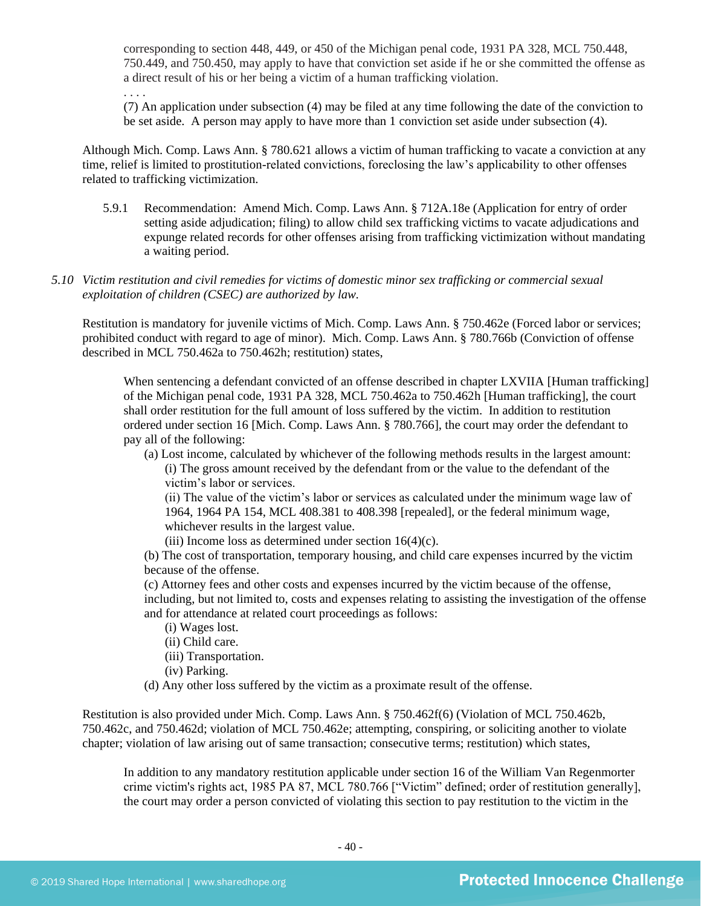corresponding to section 448, 449, or 450 of the Michigan penal code, 1931 PA 328, MCL 750.448, 750.449, and 750.450, may apply to have that conviction set aside if he or she committed the offense as a direct result of his or her being a victim of a human trafficking violation.

(7) An application under subsection (4) may be filed at any time following the date of the conviction to be set aside. A person may apply to have more than 1 conviction set aside under subsection (4).

Although Mich. Comp. Laws Ann. § 780.621 allows a victim of human trafficking to vacate a conviction at any time, relief is limited to prostitution-related convictions, foreclosing the law's applicability to other offenses related to trafficking victimization.

- 5.9.1 Recommendation: Amend Mich. Comp. Laws Ann. § 712A.18e (Application for entry of order setting aside adjudication; filing) to allow child sex trafficking victims to vacate adjudications and expunge related records for other offenses arising from trafficking victimization without mandating a waiting period.
- *5.10 Victim restitution and civil remedies for victims of domestic minor sex trafficking or commercial sexual exploitation of children (CSEC) are authorized by law.*

Restitution is mandatory for juvenile victims of Mich. Comp. Laws Ann. § 750.462e (Forced labor or services; prohibited conduct with regard to age of minor). Mich. Comp. Laws Ann. § 780.766b (Conviction of offense described in MCL 750.462a to 750.462h; restitution) states,

When sentencing a defendant convicted of an offense described in chapter LXVIIA [Human trafficking] of the Michigan penal code, 1931 PA 328, MCL 750.462a to 750.462h [Human trafficking], the court shall order restitution for the full amount of loss suffered by the victim. In addition to restitution ordered under section 16 [Mich. Comp. Laws Ann. § 780.766], the court may order the defendant to pay all of the following:

(a) Lost income, calculated by whichever of the following methods results in the largest amount: (i) The gross amount received by the defendant from or the value to the defendant of the victim's labor or services.

(ii) The value of the victim's labor or services as calculated under the minimum wage law of 1964, 1964 PA 154, MCL 408.381 to 408.398 [repealed], or the federal minimum wage, whichever results in the largest value.

(iii) Income loss as determined under section  $16(4)(c)$ .

(b) The cost of transportation, temporary housing, and child care expenses incurred by the victim because of the offense.

(c) Attorney fees and other costs and expenses incurred by the victim because of the offense, including, but not limited to, costs and expenses relating to assisting the investigation of the offense and for attendance at related court proceedings as follows:

- (i) Wages lost.
- (ii) Child care.

. . . .

- (iii) Transportation.
- (iv) Parking.
- (d) Any other loss suffered by the victim as a proximate result of the offense.

Restitution is also provided under Mich. Comp. Laws Ann. § 750.462f(6) (Violation of MCL 750.462b, 750.462c, and 750.462d; violation of MCL 750.462e; attempting, conspiring, or soliciting another to violate chapter; violation of law arising out of same transaction; consecutive terms; restitution) which states,

In addition to any mandatory restitution applicable under section 16 of the William Van Regenmorter crime victim's rights act, 1985 PA 87, MCL 780.766 ["Victim" defined; order of restitution generally], the court may order a person convicted of violating this section to pay restitution to the victim in the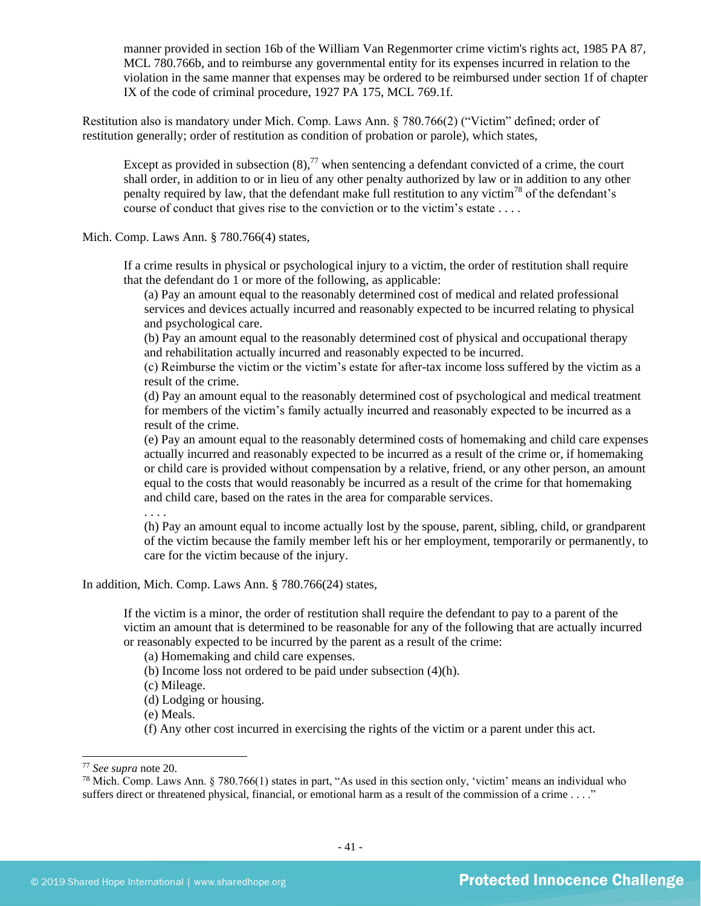manner provided in section 16b of the William Van Regenmorter crime victim's rights act, 1985 PA 87, MCL 780.766b, and to reimburse any governmental entity for its expenses incurred in relation to the violation in the same manner that expenses may be ordered to be reimbursed under section 1f of chapter IX of the code of criminal procedure, 1927 PA 175, MCL 769.1f.

Restitution also is mandatory under Mich. Comp. Laws Ann. § 780.766(2) ("Victim" defined; order of restitution generally; order of restitution as condition of probation or parole), which states,

Except as provided in subsection  $(8)$ ,<sup>77</sup> when sentencing a defendant convicted of a crime, the court shall order, in addition to or in lieu of any other penalty authorized by law or in addition to any other penalty required by law, that the defendant make full restitution to any victim<sup>78</sup> of the defendant's course of conduct that gives rise to the conviction or to the victim's estate . . . .

Mich. Comp. Laws Ann. § 780.766(4) states,

If a crime results in physical or psychological injury to a victim, the order of restitution shall require that the defendant do 1 or more of the following, as applicable:

(a) Pay an amount equal to the reasonably determined cost of medical and related professional services and devices actually incurred and reasonably expected to be incurred relating to physical and psychological care.

(b) Pay an amount equal to the reasonably determined cost of physical and occupational therapy and rehabilitation actually incurred and reasonably expected to be incurred.

(c) Reimburse the victim or the victim's estate for after-tax income loss suffered by the victim as a result of the crime.

(d) Pay an amount equal to the reasonably determined cost of psychological and medical treatment for members of the victim's family actually incurred and reasonably expected to be incurred as a result of the crime.

(e) Pay an amount equal to the reasonably determined costs of homemaking and child care expenses actually incurred and reasonably expected to be incurred as a result of the crime or, if homemaking or child care is provided without compensation by a relative, friend, or any other person, an amount equal to the costs that would reasonably be incurred as a result of the crime for that homemaking and child care, based on the rates in the area for comparable services.

. . . .

(h) Pay an amount equal to income actually lost by the spouse, parent, sibling, child, or grandparent of the victim because the family member left his or her employment, temporarily or permanently, to care for the victim because of the injury.

In addition, Mich. Comp. Laws Ann. § 780.766(24) states,

If the victim is a minor, the order of restitution shall require the defendant to pay to a parent of the victim an amount that is determined to be reasonable for any of the following that are actually incurred or reasonably expected to be incurred by the parent as a result of the crime:

(a) Homemaking and child care expenses.

(b) Income loss not ordered to be paid under subsection (4)(h).

(c) Mileage.

(d) Lodging or housing.

(e) Meals.

(f) Any other cost incurred in exercising the rights of the victim or a parent under this act.

<sup>77</sup> *See supra* note [20.](#page-11-0)

<sup>&</sup>lt;sup>78</sup> Mich. Comp. Laws Ann.  $\S$  780.766(1) states in part, "As used in this section only, 'victim' means an individual who suffers direct or threatened physical, financial, or emotional harm as a result of the commission of a crime . . . ."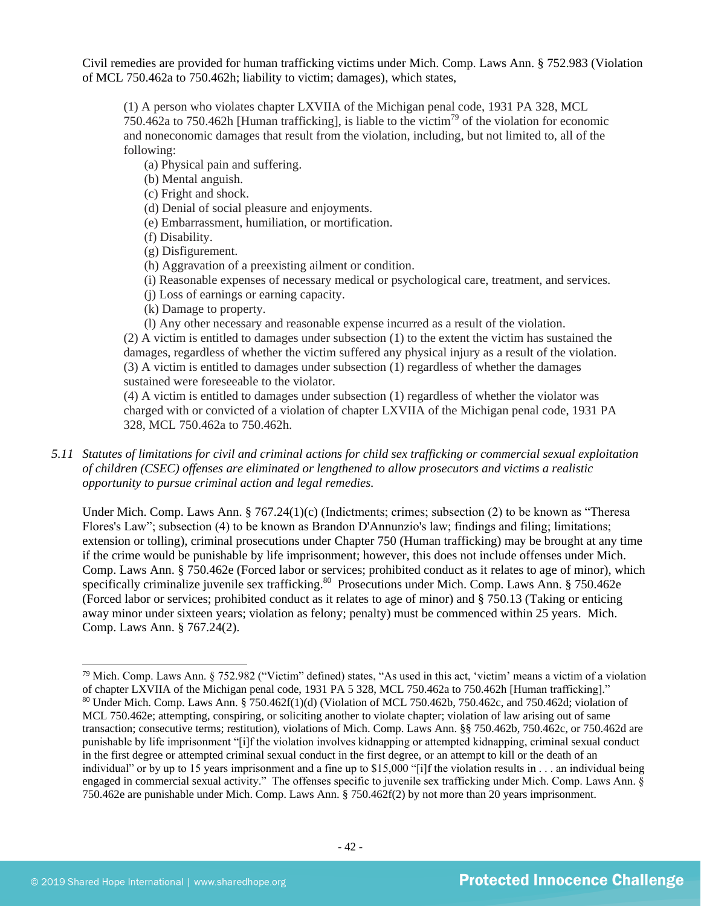Civil remedies are provided for human trafficking victims under Mich. Comp. Laws Ann. § 752.983 (Violation of MCL 750.462a to 750.462h; liability to victim; damages), which states,

(1) A person who violates chapter LXVIIA of the Michigan penal code, 1931 PA 328, MCL 750.462a to 750.462h [Human trafficking], is liable to the victim<sup>79</sup> of the violation for economic and noneconomic damages that result from the violation, including, but not limited to, all of the following:

(a) Physical pain and suffering.

(b) Mental anguish.

(c) Fright and shock.

(d) Denial of social pleasure and enjoyments.

(e) Embarrassment, humiliation, or mortification.

(f) Disability.

(g) Disfigurement.

(h) Aggravation of a preexisting ailment or condition.

(i) Reasonable expenses of necessary medical or psychological care, treatment, and services.

(j) Loss of earnings or earning capacity.

(k) Damage to property.

(l) Any other necessary and reasonable expense incurred as a result of the violation. (2) A victim is entitled to damages under subsection (1) to the extent the victim has sustained the damages, regardless of whether the victim suffered any physical injury as a result of the violation.

(3) A victim is entitled to damages under subsection (1) regardless of whether the damages sustained were foreseeable to the violator.

(4) A victim is entitled to damages under subsection (1) regardless of whether the violator was charged with or convicted of a violation of chapter LXVIIA of the Michigan penal code, 1931 PA 328, MCL 750.462a to 750.462h.

*5.11 Statutes of limitations for civil and criminal actions for child sex trafficking or commercial sexual exploitation of children (CSEC) offenses are eliminated or lengthened to allow prosecutors and victims a realistic opportunity to pursue criminal action and legal remedies.*

Under Mich. Comp. Laws Ann. § 767.24(1)(c) (Indictments; crimes; subsection (2) to be known as "Theresa Flores's Law"; subsection (4) to be known as Brandon D'Annunzio's law; findings and filing; limitations; extension or tolling), criminal prosecutions under Chapter 750 (Human trafficking) may be brought at any time if the crime would be punishable by life imprisonment; however, this does not include offenses under Mich. Comp. Laws Ann. § 750.462e (Forced labor or services; prohibited conduct as it relates to age of minor), which specifically criminalize juvenile sex trafficking.<sup>80</sup> Prosecutions under Mich. Comp. Laws Ann. § 750.462e (Forced labor or services; prohibited conduct as it relates to age of minor) and § 750.13 (Taking or enticing away minor under sixteen years; violation as felony; penalty) must be commenced within 25 years. Mich. Comp. Laws Ann. § 767.24(2).

 $79$  Mich. Comp. Laws Ann. § 752.982 ("Victim" defined) states, "As used in this act, 'victim' means a victim of a violation of chapter LXVIIA of the Michigan penal code, 1931 PA 5 328, MCL 750.462a to 750.462h [Human trafficking]." <sup>80</sup> Under Mich. Comp. Laws Ann. § 750.462f(1)(d) (Violation of MCL 750.462b, 750.462c, and 750.462d; violation of MCL 750.462e; attempting, conspiring, or soliciting another to violate chapter; violation of law arising out of same transaction; consecutive terms; restitution), violations of Mich. Comp. Laws Ann. §§ 750.462b, 750.462c, or 750.462d are punishable by life imprisonment "[i]f the violation involves kidnapping or attempted kidnapping, criminal sexual conduct in the first degree or attempted criminal sexual conduct in the first degree, or an attempt to kill or the death of an individual" or by up to 15 years imprisonment and a fine up to \$15,000 "[i]f the violation results in . . . an individual being engaged in commercial sexual activity." The offenses specific to juvenile sex trafficking under Mich. Comp. Laws Ann. § 750.462e are punishable under Mich. Comp. Laws Ann. § 750.462f(2) by not more than 20 years imprisonment.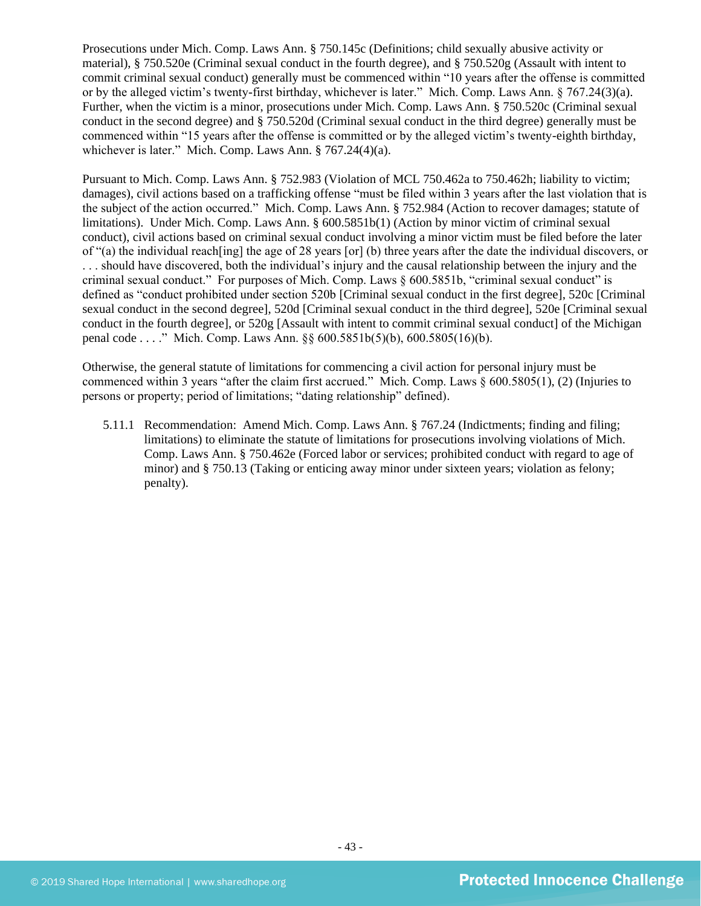Prosecutions under Mich. Comp. Laws Ann. § 750.145c (Definitions; child sexually abusive activity or material), § 750.520e (Criminal sexual conduct in the fourth degree), and § 750.520g (Assault with intent to commit criminal sexual conduct) generally must be commenced within "10 years after the offense is committed or by the alleged victim's twenty-first birthday, whichever is later." Mich. Comp. Laws Ann. § 767.24(3)(a). Further, when the victim is a minor, prosecutions under Mich. Comp. Laws Ann. § 750.520c (Criminal sexual conduct in the second degree) and § 750.520d (Criminal sexual conduct in the third degree) generally must be commenced within "15 years after the offense is committed or by the alleged victim's twenty-eighth birthday, whichever is later." Mich. Comp. Laws Ann. § 767.24(4)(a).

Pursuant to Mich. Comp. Laws Ann. § 752.983 (Violation of MCL 750.462a to 750.462h; liability to victim; damages), civil actions based on a trafficking offense "must be filed within 3 years after the last violation that is the subject of the action occurred." Mich. Comp. Laws Ann. § 752.984 (Action to recover damages; statute of limitations). Under Mich. Comp. Laws Ann. § 600.5851b(1) (Action by minor victim of criminal sexual conduct), civil actions based on criminal sexual conduct involving a minor victim must be filed before the later of "(a) the individual reach[ing] the age of 28 years [or] (b) three years after the date the individual discovers, or . . . should have discovered, both the individual's injury and the causal relationship between the injury and the criminal sexual conduct." For purposes of Mich. Comp. Laws § 600.5851b, "criminal sexual conduct" is defined as "conduct prohibited under section 520b [Criminal sexual conduct in the first degree], 520c [Criminal sexual conduct in the second degree], 520d [Criminal sexual conduct in the third degree], 520e [Criminal sexual conduct in the fourth degree], or 520g [Assault with intent to commit criminal sexual conduct] of the Michigan penal code . . . ." Mich. Comp. Laws Ann. §§ 600.5851b(5)(b), 600.5805(16)(b).

Otherwise, the general statute of limitations for commencing a civil action for personal injury must be commenced within 3 years "after the claim first accrued." Mich. Comp. Laws § 600.5805(1), (2) (Injuries to persons or property; period of limitations; "dating relationship" defined).

5.11.1 Recommendation: Amend Mich. Comp. Laws Ann. § 767.24 (Indictments; finding and filing; limitations) to eliminate the statute of limitations for prosecutions involving violations of Mich. Comp. Laws Ann. § 750.462e (Forced labor or services; prohibited conduct with regard to age of minor) and § 750.13 (Taking or enticing away minor under sixteen years; violation as felony; penalty).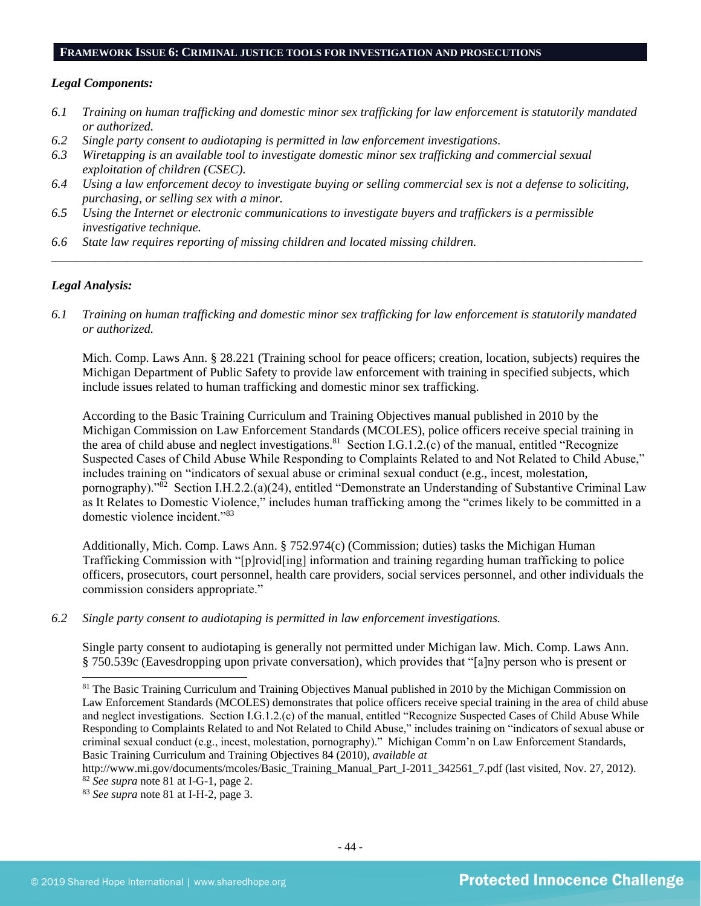#### **FRAMEWORK ISSUE 6: CRIMINAL JUSTICE TOOLS FOR INVESTIGATION AND PROSECUTIONS**

#### *Legal Components:*

- *6.1 Training on human trafficking and domestic minor sex trafficking for law enforcement is statutorily mandated or authorized.*
- *6.2 Single party consent to audiotaping is permitted in law enforcement investigations.*
- *6.3 Wiretapping is an available tool to investigate domestic minor sex trafficking and commercial sexual exploitation of children (CSEC).*
- *6.4 Using a law enforcement decoy to investigate buying or selling commercial sex is not a defense to soliciting, purchasing, or selling sex with a minor.*
- *6.5 Using the Internet or electronic communications to investigate buyers and traffickers is a permissible investigative technique.*
- *6.6 State law requires reporting of missing children and located missing children.*

### *Legal Analysis:*

*6.1 Training on human trafficking and domestic minor sex trafficking for law enforcement is statutorily mandated or authorized.*

*\_\_\_\_\_\_\_\_\_\_\_\_\_\_\_\_\_\_\_\_\_\_\_\_\_\_\_\_\_\_\_\_\_\_\_\_\_\_\_\_\_\_\_\_\_\_\_\_\_\_\_\_\_\_\_\_\_\_\_\_\_\_\_\_\_\_\_\_\_\_\_\_\_\_\_\_\_\_\_\_\_\_\_\_\_\_\_\_\_\_\_\_\_\_*

Mich. Comp. Laws Ann. § 28.221 (Training school for peace officers; creation, location, subjects) requires the Michigan Department of Public Safety to provide law enforcement with training in specified subjects, which include issues related to human trafficking and domestic minor sex trafficking.

<span id="page-43-0"></span>According to the Basic Training Curriculum and Training Objectives manual published in 2010 by the Michigan Commission on Law Enforcement Standards (MCOLES), police officers receive special training in the area of child abuse and neglect investigations.<sup>81</sup> Section I.G.1.2. $(c)$  of the manual, entitled "Recognize" Suspected Cases of Child Abuse While Responding to Complaints Related to and Not Related to Child Abuse," includes training on "indicators of sexual abuse or criminal sexual conduct (e.g., incest, molestation, pornography)."<sup>82</sup> Section I.H.2.2.(a)(24), entitled "Demonstrate an Understanding of Substantive Criminal Law as It Relates to Domestic Violence," includes human trafficking among the "crimes likely to be committed in a domestic violence incident."<sup>83</sup>

Additionally, Mich. Comp. Laws Ann. § 752.974(c) (Commission; duties) tasks the Michigan Human Trafficking Commission with "[p]rovid[ing] information and training regarding human trafficking to police officers, prosecutors, court personnel, health care providers, social services personnel, and other individuals the commission considers appropriate."

*6.2 Single party consent to audiotaping is permitted in law enforcement investigations.*

Single party consent to audiotaping is generally not permitted under Michigan law. Mich. Comp. Laws Ann. § 750.539c (Eavesdropping upon private conversation), which provides that "[a]ny person who is present or

<sup>&</sup>lt;sup>81</sup> The Basic Training Curriculum and Training Objectives Manual published in 2010 by the Michigan Commission on Law Enforcement Standards (MCOLES) demonstrates that police officers receive special training in the area of child abuse and neglect investigations. Section I.G.1.2.(c) of the manual, entitled "Recognize Suspected Cases of Child Abuse While Responding to Complaints Related to and Not Related to Child Abuse," includes training on "indicators of sexual abuse or criminal sexual conduct (e.g., incest, molestation, pornography)." Michigan Comm'n on Law Enforcement Standards, Basic Training Curriculum and Training Objectives 84 (2010), *available at*

[http://www.mi.gov/documents/mcoles/Basic\\_Training\\_Manual\\_Part\\_I-2011\\_342561\\_7.pdf](http://www.mi.gov/documents/mcoles/Basic_Training_Manual_Part_I-2011_342561_7.pdf) (last visited, Nov. 27, 2012). <sup>82</sup> *See supra* note [81](#page-43-0) at I-G-1, page 2.

<sup>83</sup> *See supra* note [81](#page-43-0) at I-H-2, page 3.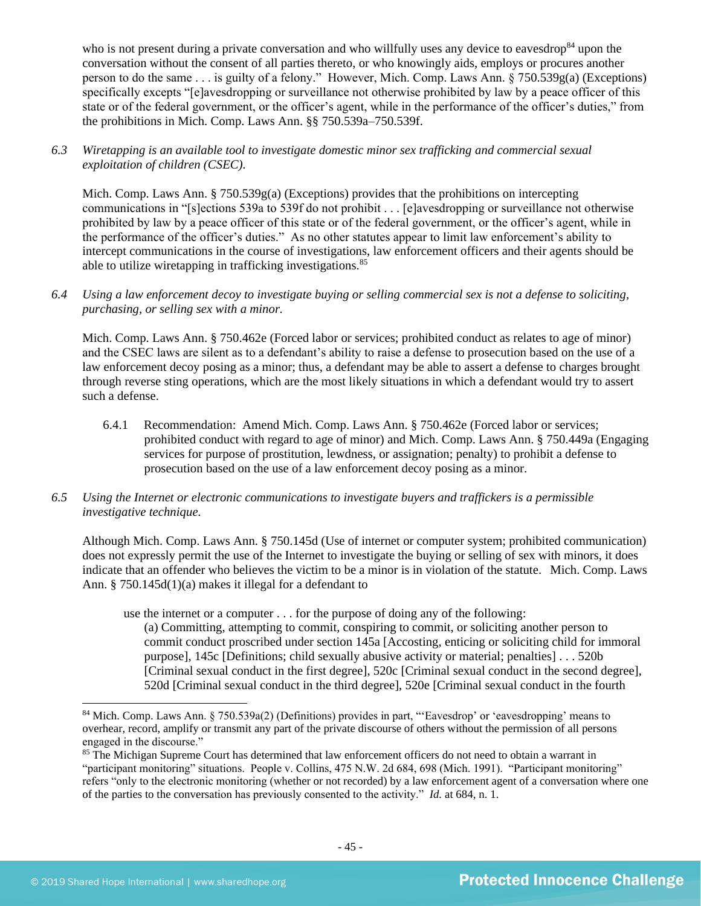who is not present during a private conversation and who willfully uses any device to eavesdrop<sup>84</sup> upon the conversation without the consent of all parties thereto, or who knowingly aids, employs or procures another person to do the same . . . is guilty of a felony." However, Mich. Comp. Laws Ann. § 750.539g(a) (Exceptions) specifically excepts "[e]avesdropping or surveillance not otherwise prohibited by law by a peace officer of this state or of the federal government, or the officer's agent, while in the performance of the officer's duties," from the prohibitions in Mich. Comp. Laws Ann. §§ 750.539a–750.539f.

## *6.3 Wiretapping is an available tool to investigate domestic minor sex trafficking and commercial sexual exploitation of children (CSEC).*

Mich. Comp. Laws Ann.  $\S 750.539g(a)$  (Exceptions) provides that the prohibitions on intercepting communications in "[s]ections 539a to 539f do not prohibit . . . [e]avesdropping or surveillance not otherwise prohibited by law by a peace officer of this state or of the federal government, or the officer's agent, while in the performance of the officer's duties." As no other statutes appear to limit law enforcement's ability to intercept communications in the course of investigations, law enforcement officers and their agents should be able to utilize wiretapping in trafficking investigations.<sup>85</sup>

*6.4 Using a law enforcement decoy to investigate buying or selling commercial sex is not a defense to soliciting, purchasing, or selling sex with a minor.*

Mich. Comp. Laws Ann. § 750.462e (Forced labor or services; prohibited conduct as relates to age of minor) and the CSEC laws are silent as to a defendant's ability to raise a defense to prosecution based on the use of a law enforcement decoy posing as a minor; thus, a defendant may be able to assert a defense to charges brought through reverse sting operations, which are the most likely situations in which a defendant would try to assert such a defense.

- 6.4.1 Recommendation: Amend Mich. Comp. Laws Ann. § 750.462e (Forced labor or services; prohibited conduct with regard to age of minor) and Mich. Comp. Laws Ann. § 750.449a (Engaging services for purpose of prostitution, lewdness, or assignation; penalty) to prohibit a defense to prosecution based on the use of a law enforcement decoy posing as a minor.
- *6.5 Using the Internet or electronic communications to investigate buyers and traffickers is a permissible investigative technique.*

Although Mich. Comp. Laws Ann. § 750.145d (Use of internet or computer system; prohibited communication) does not expressly permit the use of the Internet to investigate the buying or selling of sex with minors, it does indicate that an offender who believes the victim to be a minor is in violation of the statute. Mich. Comp. Laws Ann. § 750.145d(1)(a) makes it illegal for a defendant to

use the internet or a computer . . . for the purpose of doing any of the following:

(a) Committing, attempting to commit, conspiring to commit, or soliciting another person to commit conduct proscribed under section 145a [Accosting, enticing or soliciting child for immoral purpose], 145c [Definitions; child sexually abusive activity or material; penalties] . . . 520b [Criminal sexual conduct in the first degree], 520c [Criminal sexual conduct in the second degree], 520d [Criminal sexual conduct in the third degree], 520e [Criminal sexual conduct in the fourth

<sup>84</sup> Mich. Comp. Laws Ann. § 750.539a(2) (Definitions) provides in part, "'Eavesdrop' or 'eavesdropping' means to overhear, record, amplify or transmit any part of the private discourse of others without the permission of all persons engaged in the discourse."

<sup>&</sup>lt;sup>85</sup> The Michigan Supreme Court has determined that law enforcement officers do not need to obtain a warrant in "participant monitoring" situations. People v. Collins, 475 N.W. 2d 684, 698 (Mich. 1991). "Participant monitoring" refers "only to the electronic monitoring (whether or not recorded) by a law enforcement agent of a conversation where one of the parties to the conversation has previously consented to the activity." *Id.* at 684, n. 1.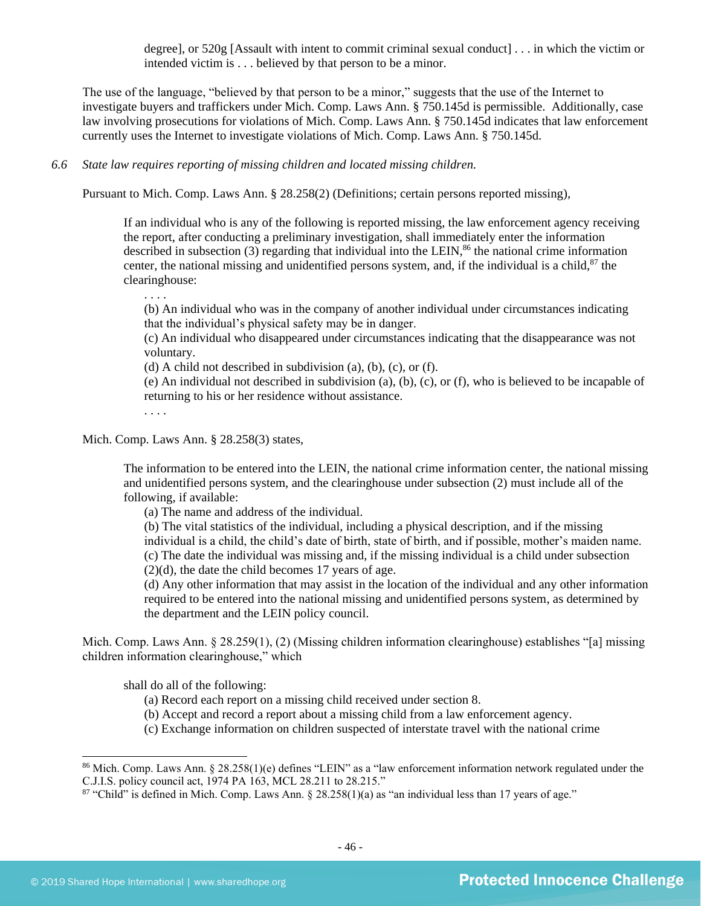degree], or 520g [Assault with intent to commit criminal sexual conduct] . . . in which the victim or intended victim is . . . believed by that person to be a minor.

The use of the language, "believed by that person to be a minor," suggests that the use of the Internet to investigate buyers and traffickers under Mich. Comp. Laws Ann. § 750.145d is permissible. Additionally, case law involving prosecutions for violations of Mich. Comp. Laws Ann. § 750.145d indicates that law enforcement currently uses the Internet to investigate violations of Mich. Comp. Laws Ann. § 750.145d.

*6.6 State law requires reporting of missing children and located missing children.* 

Pursuant to Mich. Comp. Laws Ann. § 28.258(2) (Definitions; certain persons reported missing),

If an individual who is any of the following is reported missing, the law enforcement agency receiving the report, after conducting a preliminary investigation, shall immediately enter the information described in subsection  $(3)$  regarding that individual into the LEIN,<sup>86</sup> the national crime information center, the national missing and unidentified persons system, and, if the individual is a child,<sup>87</sup> the clearinghouse:

(b) An individual who was in the company of another individual under circumstances indicating that the individual's physical safety may be in danger.

(c) An individual who disappeared under circumstances indicating that the disappearance was not voluntary.

(d) A child not described in subdivision (a), (b), (c), or (f).

(e) An individual not described in subdivision (a), (b), (c), or (f), who is believed to be incapable of returning to his or her residence without assistance.

. . . .

. . . .

Mich. Comp. Laws Ann. § 28.258(3) states,

The information to be entered into the LEIN, the national crime information center, the national missing and unidentified persons system, and the clearinghouse under subsection (2) must include all of the following, if available:

(a) The name and address of the individual.

(b) The vital statistics of the individual, including a physical description, and if the missing

individual is a child, the child's date of birth, state of birth, and if possible, mother's maiden name. (c) The date the individual was missing and, if the missing individual is a child under subsection

 $(2)(d)$ , the date the child becomes 17 years of age.

(d) Any other information that may assist in the location of the individual and any other information required to be entered into the national missing and unidentified persons system, as determined by the department and the LEIN policy council.

Mich. Comp. Laws Ann. § 28.259(1), (2) (Missing children information clearinghouse) establishes "[a] missing children information clearinghouse," which

shall do all of the following:

- (a) Record each report on a missing child received under section 8.
- (b) Accept and record a report about a missing child from a law enforcement agency.
- (c) Exchange information on children suspected of interstate travel with the national crime

<sup>86</sup> Mich. Comp. Laws Ann. § 28.258(1)(e) defines "LEIN" as a "law enforcement information network regulated under the C.J.I.S. policy council act, 1974 PA 163, MCL 28.211 to 28.215."

 $87$  "Child" is defined in Mich. Comp. Laws Ann.  $\S 28.258(1)(a)$  as "an individual less than 17 years of age."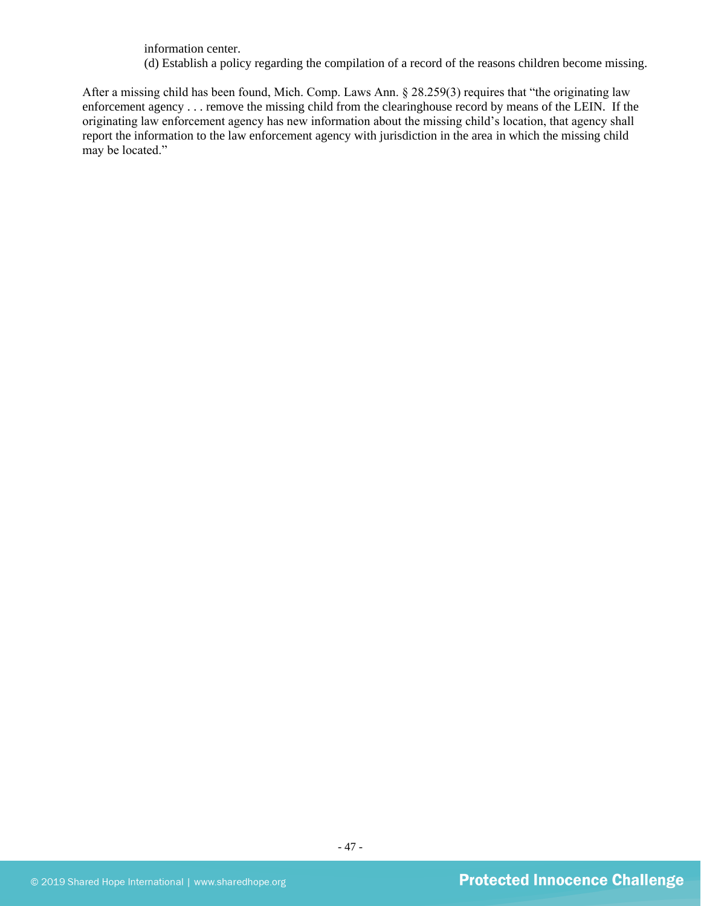information center.

(d) Establish a policy regarding the compilation of a record of the reasons children become missing.

After a missing child has been found, Mich. Comp. Laws Ann. § 28.259(3) requires that "the originating law enforcement agency . . . remove the missing child from the clearinghouse record by means of the LEIN. If the originating law enforcement agency has new information about the missing child's location, that agency shall report the information to the law enforcement agency with jurisdiction in the area in which the missing child may be located."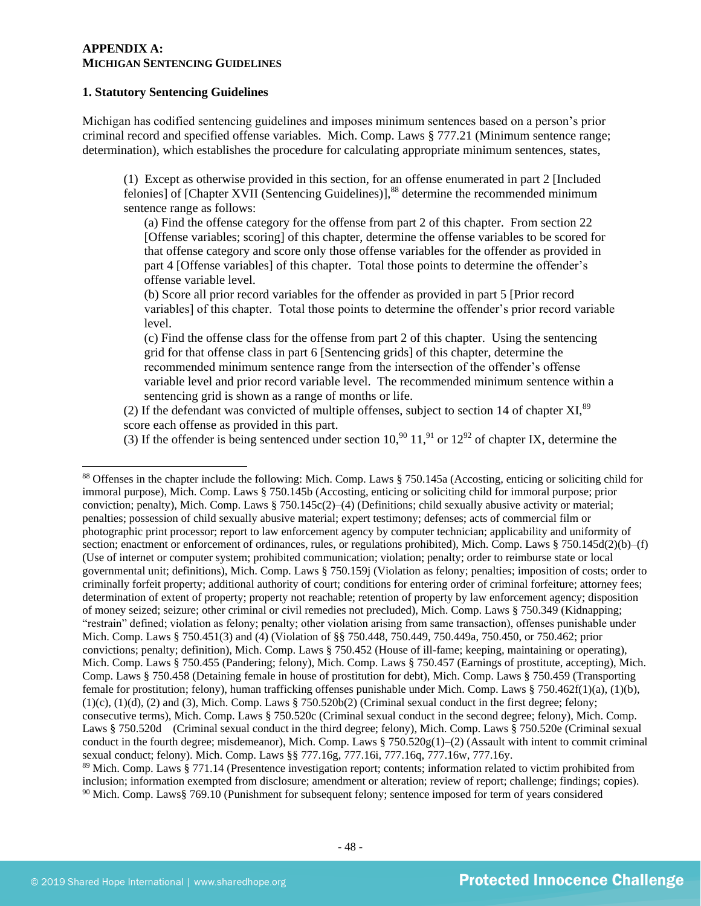### **APPENDIX A: MICHIGAN SENTENCING GUIDELINES**

#### **1. Statutory Sentencing Guidelines**

Michigan has codified sentencing guidelines and imposes minimum sentences based on a person's prior criminal record and specified offense variables. Mich. Comp. Laws § 777.21 (Minimum sentence range; determination), which establishes the procedure for calculating appropriate minimum sentences, states,

(1) Except as otherwise provided in this section, for an offense enumerated in part 2 [Included felonies] of  $[Chapter XVII]$  (Sentencing Guidelines)],<sup>88</sup> determine the recommended minimum sentence range as follows:

(a) Find the offense category for the offense from part 2 of this chapter. From section 22 [Offense variables; scoring] of this chapter, determine the offense variables to be scored for that offense category and score only those offense variables for the offender as provided in part 4 [Offense variables] of this chapter. Total those points to determine the offender's offense variable level.

(b) Score all prior record variables for the offender as provided in part 5 [Prior record variables] of this chapter. Total those points to determine the offender's prior record variable level.

(c) Find the offense class for the offense from part 2 of this chapter. Using the sentencing grid for that offense class in part 6 [Sentencing grids] of this chapter, determine the recommended minimum sentence range from the intersection of the offender's offense variable level and prior record variable level. The recommended minimum sentence within a sentencing grid is shown as a range of months or life.

(2) If the defendant was convicted of multiple offenses, subject to section 14 of chapter XI. $^{89}$ score each offense as provided in this part.

(3) If the offender is being sentenced under section 10,<sup>90</sup> 11,<sup>91</sup> or  $12^{92}$  of chapter IX, determine the

<sup>88</sup> Offenses in the chapter include the following: Mich. Comp. Laws § 750.145a (Accosting, enticing or soliciting child for immoral purpose), Mich. Comp. Laws § 750.145b (Accosting, enticing or soliciting child for immoral purpose; prior conviction; penalty), Mich. Comp. Laws § 750.145c(2)–(4) (Definitions; child sexually abusive activity or material; penalties; possession of child sexually abusive material; expert testimony; defenses; acts of commercial film or photographic print processor; report to law enforcement agency by computer technician; applicability and uniformity of section; enactment or enforcement of ordinances, rules, or regulations prohibited), Mich. Comp. Laws § 750.145d(2)(b)–(f) (Use of internet or computer system; prohibited communication; violation; penalty; order to reimburse state or local governmental unit; definitions), Mich. Comp. Laws § 750.159j (Violation as felony; penalties; imposition of costs; order to criminally forfeit property; additional authority of court; conditions for entering order of criminal forfeiture; attorney fees; determination of extent of property; property not reachable; retention of property by law enforcement agency; disposition of money seized; seizure; other criminal or civil remedies not precluded), Mich. Comp. Laws § 750.349 (Kidnapping; "restrain" defined; violation as felony; penalty; other violation arising from same transaction), offenses punishable under Mich. Comp. Laws § 750.451(3) and (4) (Violation of §§ 750.448, 750.449, 750.449a, 750.450, or 750.462; prior convictions; penalty; definition), Mich. Comp. Laws § 750.452 (House of ill-fame; keeping, maintaining or operating), Mich. Comp. Laws § 750.455 (Pandering; felony), Mich. Comp. Laws § 750.457 (Earnings of prostitute, accepting), Mich. Comp. Laws § 750.458 (Detaining female in house of prostitution for debt), Mich. Comp. Laws § 750.459 (Transporting female for prostitution; felony), human trafficking offenses punishable under Mich. Comp. Laws § 750.462f(1)(a), (1)(b),  $(1)(c)$ ,  $(1)(d)$ ,  $(2)$  and  $(3)$ , Mich. Comp. Laws § 750.520b $(2)$  (Criminal sexual conduct in the first degree; felony; consecutive terms), Mich. Comp. Laws § 750.520c (Criminal sexual conduct in the second degree; felony), Mich. Comp. Laws § 750.520d (Criminal sexual conduct in the third degree; felony), Mich. Comp. Laws § 750.520e (Criminal sexual conduct in the fourth degree; misdemeanor), Mich. Comp. Laws  $\S 750.520g(1)$ –(2) (Assault with intent to commit criminal sexual conduct; felony). Mich. Comp. Laws §§ 777.16g, 777.16i, 777.16q, 777.16w, 777.16y.

<sup>&</sup>lt;sup>89</sup> Mich. Comp. Laws § 771.14 (Presentence investigation report; contents; information related to victim prohibited from inclusion; information exempted from disclosure; amendment or alteration; review of report; challenge; findings; copies). <sup>90</sup> Mich. Comp. Laws§ 769.10 (Punishment for subsequent felony; sentence imposed for term of years considered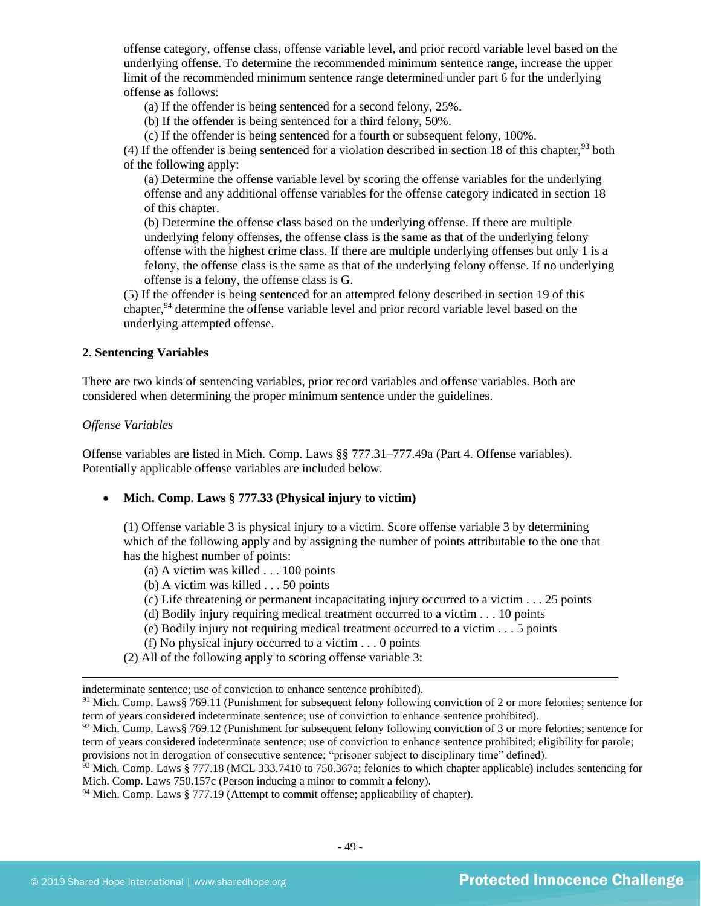offense category, offense class, offense variable level, and prior record variable level based on the underlying offense. To determine the recommended minimum sentence range, increase the upper limit of the recommended minimum sentence range determined under part 6 for the underlying offense as follows:

(a) If the offender is being sentenced for a second felony, 25%.

(b) If the offender is being sentenced for a third felony, 50%.

(c) If the offender is being sentenced for a fourth or subsequent felony, 100%.

(4) If the offender is being sentenced for a violation described in section 18 of this chapter,  $93$  both of the following apply:

(a) Determine the offense variable level by scoring the offense variables for the underlying offense and any additional offense variables for the offense category indicated in section 18 of this chapter.

(b) Determine the offense class based on the underlying offense. If there are multiple underlying felony offenses, the offense class is the same as that of the underlying felony offense with the highest crime class. If there are multiple underlying offenses but only 1 is a felony, the offense class is the same as that of the underlying felony offense. If no underlying offense is a felony, the offense class is G.

(5) If the offender is being sentenced for an attempted felony described in section 19 of this chapter,<sup>94</sup> determine the offense variable level and prior record variable level based on the underlying attempted offense.

## **2. Sentencing Variables**

There are two kinds of sentencing variables, prior record variables and offense variables. Both are considered when determining the proper minimum sentence under the guidelines.

#### *Offense Variables*

Offense variables are listed in Mich. Comp. Laws §§ 777.31–777.49a (Part 4. Offense variables). Potentially applicable offense variables are included below.

• **Mich. Comp. Laws § 777.33 (Physical injury to victim)** 

(1) Offense variable 3 is physical injury to a victim. Score offense variable 3 by determining which of the following apply and by assigning the number of points attributable to the one that has the highest number of points:

- (a) A victim was killed . . . 100 points
- (b) A victim was killed . . . 50 points
- (c) Life threatening or permanent incapacitating injury occurred to a victim . . . 25 points
- (d) Bodily injury requiring medical treatment occurred to a victim . . . 10 points
- (e) Bodily injury not requiring medical treatment occurred to a victim . . . 5 points
- (f) No physical injury occurred to a victim . . . 0 points
- (2) All of the following apply to scoring offense variable 3:

indeterminate sentence; use of conviction to enhance sentence prohibited).

 $92$  Mich. Comp. Laws§ 769.12 (Punishment for subsequent felony following conviction of 3 or more felonies; sentence for term of years considered indeterminate sentence; use of conviction to enhance sentence prohibited; eligibility for parole; provisions not in derogation of consecutive sentence; "prisoner subject to disciplinary time" defined).

 $93$  Mich. Comp. Laws § 777.18 (MCL 333.7410 to 750.367a; felonies to which chapter applicable) includes sentencing for Mich. Comp. Laws 750.157c (Person inducing a minor to commit a felony).

 $94$  Mich. Comp. Laws § 777.19 (Attempt to commit offense; applicability of chapter).

<sup>91</sup> Mich. Comp. Laws§ 769.11 (Punishment for subsequent felony following conviction of 2 or more felonies; sentence for term of years considered indeterminate sentence; use of conviction to enhance sentence prohibited).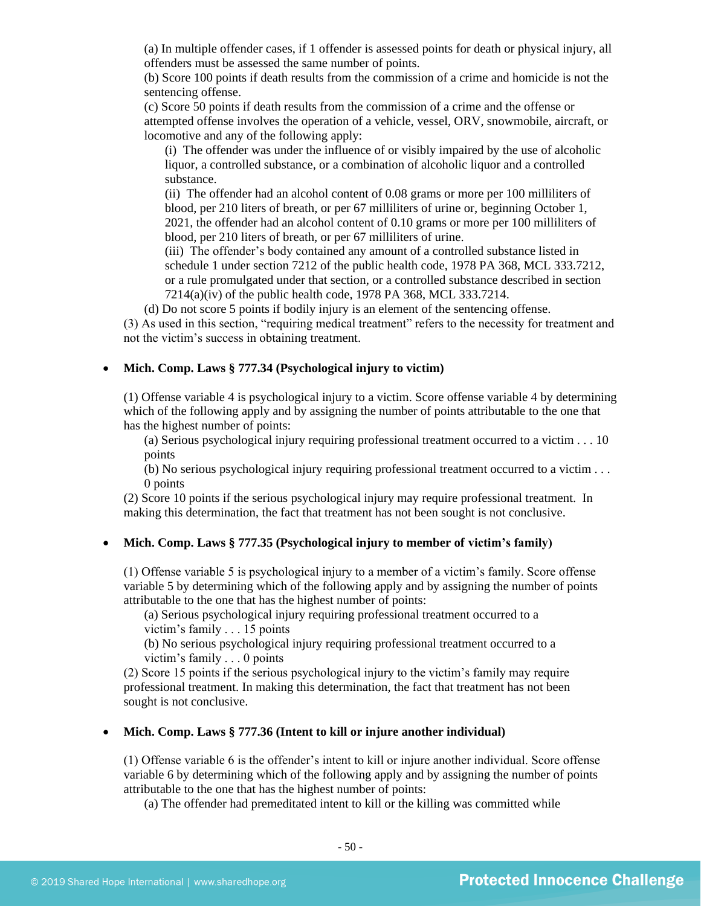(a) In multiple offender cases, if 1 offender is assessed points for death or physical injury, all offenders must be assessed the same number of points.

(b) Score 100 points if death results from the commission of a crime and homicide is not the sentencing offense.

(c) Score 50 points if death results from the commission of a crime and the offense or attempted offense involves the operation of a vehicle, vessel, ORV, snowmobile, aircraft, or locomotive and any of the following apply:

(i) The offender was under the influence of or visibly impaired by the use of alcoholic liquor, a controlled substance, or a combination of alcoholic liquor and a controlled substance.

(ii) The offender had an alcohol content of 0.08 grams or more per 100 milliliters of blood, per 210 liters of breath, or per 67 milliliters of urine or, beginning October 1, 2021, the offender had an alcohol content of 0.10 grams or more per 100 milliliters of blood, per 210 liters of breath, or per 67 milliliters of urine.

(iii) The offender's body contained any amount of a controlled substance listed in schedule 1 under section 7212 of the public health code, 1978 PA 368, MCL 333.7212, or a rule promulgated under that section, or a controlled substance described in section 7214(a)(iv) of the public health code, 1978 PA 368, MCL 333.7214.

(d) Do not score 5 points if bodily injury is an element of the sentencing offense.

(3) As used in this section, "requiring medical treatment" refers to the necessity for treatment and not the victim's success in obtaining treatment.

#### • **Mich. Comp. Laws § 777.34 (Psychological injury to victim)**

(1) Offense variable 4 is psychological injury to a victim. Score offense variable 4 by determining which of the following apply and by assigning the number of points attributable to the one that has the highest number of points:

(a) Serious psychological injury requiring professional treatment occurred to a victim . . . 10 points

(b) No serious psychological injury requiring professional treatment occurred to a victim . . . 0 points

(2) Score 10 points if the serious psychological injury may require professional treatment. In making this determination, the fact that treatment has not been sought is not conclusive.

## • **Mich. Comp. Laws § 777.35 (Psychological injury to member of victim's family)**

(1) Offense variable 5 is psychological injury to a member of a victim's family. Score offense variable 5 by determining which of the following apply and by assigning the number of points attributable to the one that has the highest number of points:

(a) Serious psychological injury requiring professional treatment occurred to a victim's family . . . 15 points

(b) No serious psychological injury requiring professional treatment occurred to a victim's family . . . 0 points

(2) Score 15 points if the serious psychological injury to the victim's family may require professional treatment. In making this determination, the fact that treatment has not been sought is not conclusive.

## • **Mich. Comp. Laws § 777.36 (Intent to kill or injure another individual)**

(1) Offense variable 6 is the offender's intent to kill or injure another individual. Score offense variable 6 by determining which of the following apply and by assigning the number of points attributable to the one that has the highest number of points:

(a) The offender had premeditated intent to kill or the killing was committed while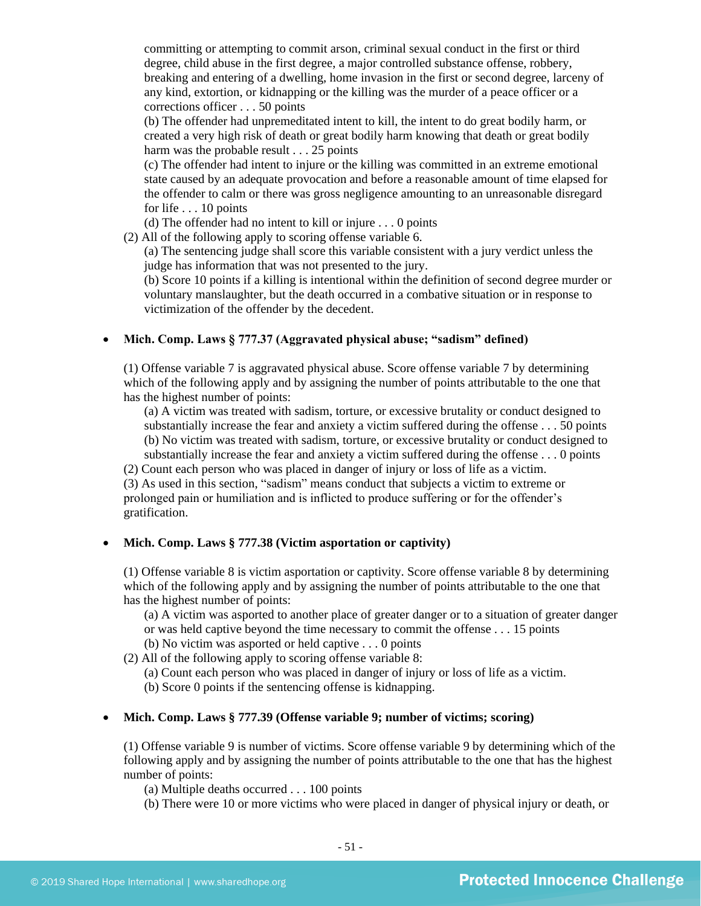committing or attempting to commit arson, criminal sexual conduct in the first or third degree, child abuse in the first degree, a major controlled substance offense, robbery, breaking and entering of a dwelling, home invasion in the first or second degree, larceny of any kind, extortion, or kidnapping or the killing was the murder of a peace officer or a corrections officer . . . 50 points

(b) The offender had unpremeditated intent to kill, the intent to do great bodily harm, or created a very high risk of death or great bodily harm knowing that death or great bodily harm was the probable result . . . 25 points

(c) The offender had intent to injure or the killing was committed in an extreme emotional state caused by an adequate provocation and before a reasonable amount of time elapsed for the offender to calm or there was gross negligence amounting to an unreasonable disregard for life . . . 10 points

(d) The offender had no intent to kill or injure . . . 0 points

(2) All of the following apply to scoring offense variable 6.

(a) The sentencing judge shall score this variable consistent with a jury verdict unless the judge has information that was not presented to the jury.

(b) Score 10 points if a killing is intentional within the definition of second degree murder or voluntary manslaughter, but the death occurred in a combative situation or in response to victimization of the offender by the decedent.

## • **Mich. Comp. Laws § 777.37 (Aggravated physical abuse; "sadism" defined)**

(1) Offense variable 7 is aggravated physical abuse. Score offense variable 7 by determining which of the following apply and by assigning the number of points attributable to the one that has the highest number of points:

(a) A victim was treated with sadism, torture, or excessive brutality or conduct designed to substantially increase the fear and anxiety a victim suffered during the offense . . . 50 points (b) No victim was treated with sadism, torture, or excessive brutality or conduct designed to

substantially increase the fear and anxiety a victim suffered during the offense . . . 0 points

(2) Count each person who was placed in danger of injury or loss of life as a victim.

(3) As used in this section, "sadism" means conduct that subjects a victim to extreme or prolonged pain or humiliation and is inflicted to produce suffering or for the offender's gratification.

## • **Mich. Comp. Laws § 777.38 (Victim asportation or captivity)**

(1) Offense variable 8 is victim asportation or captivity. Score offense variable 8 by determining which of the following apply and by assigning the number of points attributable to the one that has the highest number of points:

(a) A victim was asported to another place of greater danger or to a situation of greater danger or was held captive beyond the time necessary to commit the offense . . . 15 points

(b) No victim was asported or held captive . . . 0 points

(2) All of the following apply to scoring offense variable 8:

(a) Count each person who was placed in danger of injury or loss of life as a victim.

(b) Score 0 points if the sentencing offense is kidnapping.

### • **Mich. Comp. Laws § 777.39 (Offense variable 9; number of victims; scoring)**

(1) Offense variable 9 is number of victims. Score offense variable 9 by determining which of the following apply and by assigning the number of points attributable to the one that has the highest number of points:

(a) Multiple deaths occurred . . . 100 points

(b) There were 10 or more victims who were placed in danger of physical injury or death, or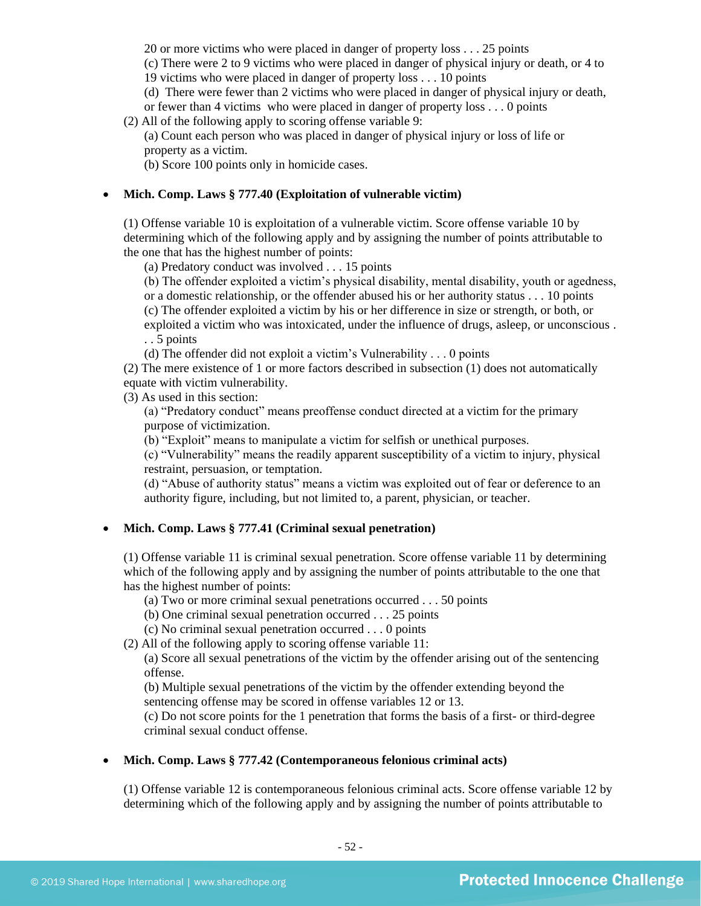20 or more victims who were placed in danger of property loss . . . 25 points

(c) There were 2 to 9 victims who were placed in danger of physical injury or death, or 4 to 19 victims who were placed in danger of property loss . . . 10 points

(d) There were fewer than 2 victims who were placed in danger of physical injury or death, or fewer than 4 victims who were placed in danger of property loss . . . 0 points

(2) All of the following apply to scoring offense variable 9:

(a) Count each person who was placed in danger of physical injury or loss of life or property as a victim.

(b) Score 100 points only in homicide cases.

## • **Mich. Comp. Laws § 777.40 (Exploitation of vulnerable victim)**

(1) Offense variable 10 is exploitation of a vulnerable victim. Score offense variable 10 by determining which of the following apply and by assigning the number of points attributable to the one that has the highest number of points:

(a) Predatory conduct was involved . . . 15 points

(b) The offender exploited a victim's physical disability, mental disability, youth or agedness, or a domestic relationship, or the offender abused his or her authority status . . . 10 points

(c) The offender exploited a victim by his or her difference in size or strength, or both, or

exploited a victim who was intoxicated, under the influence of drugs, asleep, or unconscious . . . 5 points

(d) The offender did not exploit a victim's Vulnerability . . . 0 points

(2) The mere existence of 1 or more factors described in subsection (1) does not automatically equate with victim vulnerability.

(3) As used in this section:

(a) "Predatory conduct" means preoffense conduct directed at a victim for the primary purpose of victimization.

(b) "Exploit" means to manipulate a victim for selfish or unethical purposes.

(c) "Vulnerability" means the readily apparent susceptibility of a victim to injury, physical restraint, persuasion, or temptation.

(d) "Abuse of authority status" means a victim was exploited out of fear or deference to an authority figure, including, but not limited to, a parent, physician, or teacher.

## • **Mich. Comp. Laws § 777.41 (Criminal sexual penetration)**

(1) Offense variable 11 is criminal sexual penetration. Score offense variable 11 by determining which of the following apply and by assigning the number of points attributable to the one that has the highest number of points:

(a) Two or more criminal sexual penetrations occurred . . . 50 points

(b) One criminal sexual penetration occurred . . . 25 points

(c) No criminal sexual penetration occurred . . . 0 points

(2) All of the following apply to scoring offense variable 11:

(a) Score all sexual penetrations of the victim by the offender arising out of the sentencing offense.

(b) Multiple sexual penetrations of the victim by the offender extending beyond the sentencing offense may be scored in offense variables 12 or 13.

(c) Do not score points for the 1 penetration that forms the basis of a first- or third-degree criminal sexual conduct offense.

## • **Mich. Comp. Laws § 777.42 (Contemporaneous felonious criminal acts)**

(1) Offense variable 12 is contemporaneous felonious criminal acts. Score offense variable 12 by determining which of the following apply and by assigning the number of points attributable to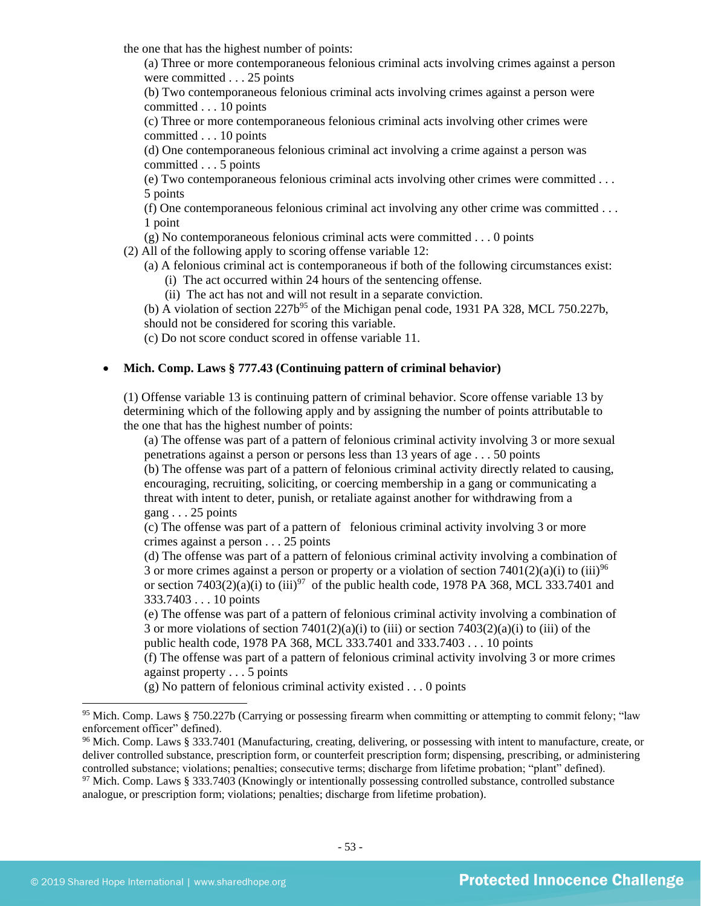the one that has the highest number of points:

(a) Three or more contemporaneous felonious criminal acts involving crimes against a person were committed . . . 25 points

(b) Two contemporaneous felonious criminal acts involving crimes against a person were committed . . . 10 points

(c) Three or more contemporaneous felonious criminal acts involving other crimes were committed . . . 10 points

(d) One contemporaneous felonious criminal act involving a crime against a person was committed . . . 5 points

(e) Two contemporaneous felonious criminal acts involving other crimes were committed . . . 5 points

(f) One contemporaneous felonious criminal act involving any other crime was committed . . . 1 point

(g) No contemporaneous felonious criminal acts were committed . . . 0 points

(2) All of the following apply to scoring offense variable 12:

(a) A felonious criminal act is contemporaneous if both of the following circumstances exist:

(i) The act occurred within 24 hours of the sentencing offense.

(ii) The act has not and will not result in a separate conviction.

(b) A violation of section  $227b^{95}$  of the Michigan penal code, 1931 PA 328, MCL 750.227b, should not be considered for scoring this variable.

(c) Do not score conduct scored in offense variable 11.

#### • **Mich. Comp. Laws § 777.43 (Continuing pattern of criminal behavior)**

(1) Offense variable 13 is continuing pattern of criminal behavior. Score offense variable 13 by determining which of the following apply and by assigning the number of points attributable to the one that has the highest number of points:

(a) The offense was part of a pattern of felonious criminal activity involving 3 or more sexual penetrations against a person or persons less than 13 years of age . . . 50 points (b) The offense was part of a pattern of felonious criminal activity directly related to causing,

encouraging, recruiting, soliciting, or coercing membership in a gang or communicating a threat with intent to deter, punish, or retaliate against another for withdrawing from a gang . . . 25 points

(c) The offense was part of a pattern of felonious criminal activity involving 3 or more crimes against a person . . . 25 points

(d) The offense was part of a pattern of felonious criminal activity involving a combination of 3 or more crimes against a person or property or a violation of section 7401(2)(a)(i) to (iii)<sup>96</sup> or section  $7403(2)(a)(i)$  to  $(iii)^{97}$  of the public health code, 1978 PA 368, MCL 333.7401 and 333.7403 . . . 10 points

(e) The offense was part of a pattern of felonious criminal activity involving a combination of 3 or more violations of section  $7401(2)(a)(i)$  to (iii) or section  $7403(2)(a)(i)$  to (iii) of the public health code, 1978 PA 368, MCL 333.7401 and 333.7403 . . . 10 points

(f) The offense was part of a pattern of felonious criminal activity involving 3 or more crimes against property . . . 5 points

(g) No pattern of felonious criminal activity existed . . . 0 points

<sup>95</sup> Mich. Comp. Laws § 750.227b (Carrying or possessing firearm when committing or attempting to commit felony; "law enforcement officer" defined).

<sup>96</sup> Mich. Comp. Laws § 333.7401 (Manufacturing, creating, delivering, or possessing with intent to manufacture, create, or deliver controlled substance, prescription form, or counterfeit prescription form; dispensing, prescribing, or administering controlled substance; violations; penalties; consecutive terms; discharge from lifetime probation; "plant" defined).

<sup>&</sup>lt;sup>97</sup> Mich. Comp. Laws § 333.7403 (Knowingly or intentionally possessing controlled substance, controlled substance analogue, or prescription form; violations; penalties; discharge from lifetime probation).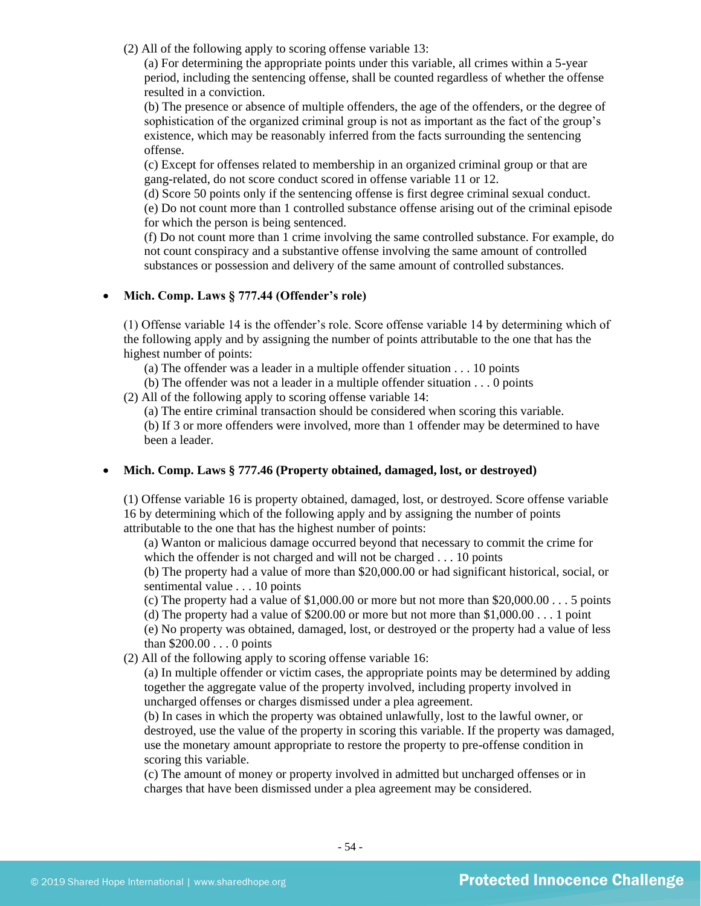(2) All of the following apply to scoring offense variable 13:

(a) For determining the appropriate points under this variable, all crimes within a 5-year period, including the sentencing offense, shall be counted regardless of whether the offense resulted in a conviction.

(b) The presence or absence of multiple offenders, the age of the offenders, or the degree of sophistication of the organized criminal group is not as important as the fact of the group's existence, which may be reasonably inferred from the facts surrounding the sentencing offense.

(c) Except for offenses related to membership in an organized criminal group or that are gang-related, do not score conduct scored in offense variable 11 or 12.

(d) Score 50 points only if the sentencing offense is first degree criminal sexual conduct. (e) Do not count more than 1 controlled substance offense arising out of the criminal episode for which the person is being sentenced.

(f) Do not count more than 1 crime involving the same controlled substance. For example, do not count conspiracy and a substantive offense involving the same amount of controlled substances or possession and delivery of the same amount of controlled substances.

## • **Mich. Comp. Laws § 777.44 (Offender's role)**

(1) Offense variable 14 is the offender's role. Score offense variable 14 by determining which of the following apply and by assigning the number of points attributable to the one that has the highest number of points:

- (a) The offender was a leader in a multiple offender situation . . . 10 points
- (b) The offender was not a leader in a multiple offender situation . . . 0 points
- (2) All of the following apply to scoring offense variable 14:

(a) The entire criminal transaction should be considered when scoring this variable.

(b) If 3 or more offenders were involved, more than 1 offender may be determined to have been a leader.

#### • **Mich. Comp. Laws § 777.46 (Property obtained, damaged, lost, or destroyed)**

(1) Offense variable 16 is property obtained, damaged, lost, or destroyed. Score offense variable 16 by determining which of the following apply and by assigning the number of points attributable to the one that has the highest number of points:

(a) Wanton or malicious damage occurred beyond that necessary to commit the crime for which the offender is not charged and will not be charged . . . 10 points

(b) The property had a value of more than \$20,000.00 or had significant historical, social, or sentimental value . . . 10 points

(c) The property had a value of  $$1,000.00$  or more but not more than  $$20,000.00...$  5 points

(d) The property had a value of \$200.00 or more but not more than  $$1,000.00...$  1 point

(e) No property was obtained, damaged, lost, or destroyed or the property had a value of less than \$200.00 . . . 0 points

(2) All of the following apply to scoring offense variable 16:

(a) In multiple offender or victim cases, the appropriate points may be determined by adding together the aggregate value of the property involved, including property involved in uncharged offenses or charges dismissed under a plea agreement.

(b) In cases in which the property was obtained unlawfully, lost to the lawful owner, or destroyed, use the value of the property in scoring this variable. If the property was damaged, use the monetary amount appropriate to restore the property to pre-offense condition in scoring this variable.

(c) The amount of money or property involved in admitted but uncharged offenses or in charges that have been dismissed under a plea agreement may be considered.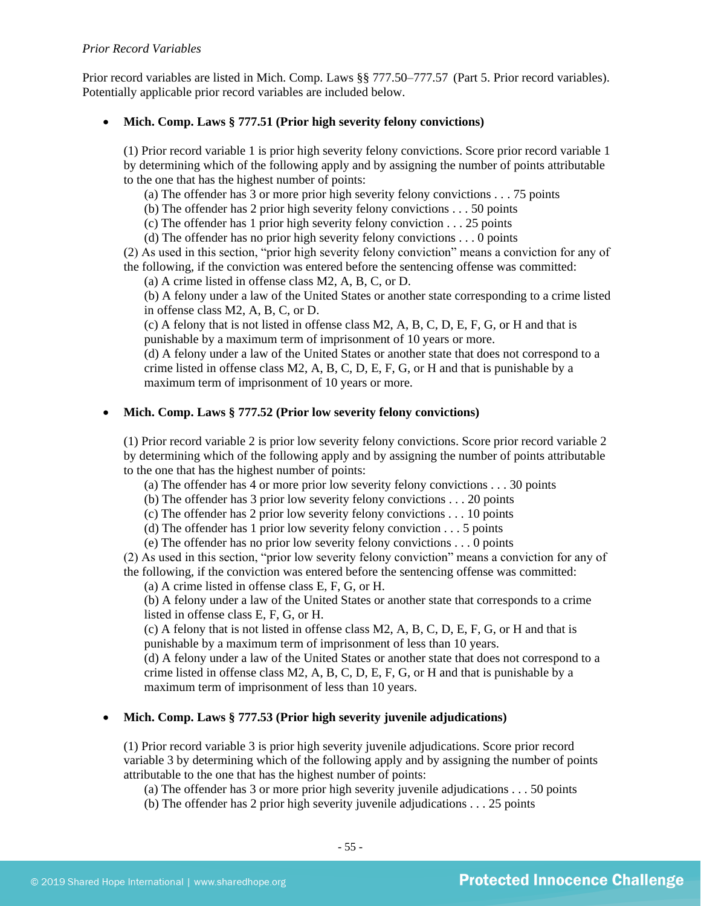### *Prior Record Variables*

Prior record variables are listed in Mich. Comp. Laws §§ 777.50–777.57 (Part 5. Prior record variables). Potentially applicable prior record variables are included below.

## • **Mich. Comp. Laws § 777.51 (Prior high severity felony convictions)**

(1) Prior record variable 1 is prior high severity felony convictions. Score prior record variable 1 by determining which of the following apply and by assigning the number of points attributable to the one that has the highest number of points:

(a) The offender has 3 or more prior high severity felony convictions . . . 75 points

(b) The offender has 2 prior high severity felony convictions . . . 50 points

(c) The offender has 1 prior high severity felony conviction . . . 25 points

(d) The offender has no prior high severity felony convictions . . . 0 points

(2) As used in this section, "prior high severity felony conviction" means a conviction for any of the following, if the conviction was entered before the sentencing offense was committed:

(a) A crime listed in offense class M2, A, B, C, or D.

(b) A felony under a law of the United States or another state corresponding to a crime listed in offense class M2, A, B, C, or D.

(c) A felony that is not listed in offense class M2, A, B, C, D, E, F, G, or H and that is punishable by a maximum term of imprisonment of 10 years or more.

(d) A felony under a law of the United States or another state that does not correspond to a crime listed in offense class  $M2$ , A, B, C, D, E, F, G, or H and that is punishable by a maximum term of imprisonment of 10 years or more.

## • **Mich. Comp. Laws § 777.52 (Prior low severity felony convictions)**

(1) Prior record variable 2 is prior low severity felony convictions. Score prior record variable 2 by determining which of the following apply and by assigning the number of points attributable to the one that has the highest number of points:

(a) The offender has 4 or more prior low severity felony convictions . . . 30 points

(b) The offender has 3 prior low severity felony convictions . . . 20 points

(c) The offender has 2 prior low severity felony convictions . . . 10 points

(d) The offender has 1 prior low severity felony conviction . . . 5 points

(e) The offender has no prior low severity felony convictions . . . 0 points

(2) As used in this section, "prior low severity felony conviction" means a conviction for any of the following, if the conviction was entered before the sentencing offense was committed:

(a) A crime listed in offense class E, F, G, or H.

(b) A felony under a law of the United States or another state that corresponds to a crime listed in offense class E, F, G, or H.

(c) A felony that is not listed in offense class M2, A, B, C, D, E, F, G, or H and that is punishable by a maximum term of imprisonment of less than 10 years.

(d) A felony under a law of the United States or another state that does not correspond to a crime listed in offense class M2, A, B, C, D, E, F, G, or H and that is punishable by a maximum term of imprisonment of less than 10 years.

## • **Mich. Comp. Laws § 777.53 (Prior high severity juvenile adjudications)**

(1) Prior record variable 3 is prior high severity juvenile adjudications. Score prior record variable 3 by determining which of the following apply and by assigning the number of points attributable to the one that has the highest number of points:

(a) The offender has 3 or more prior high severity juvenile adjudications . . . 50 points

(b) The offender has 2 prior high severity juvenile adjudications . . . 25 points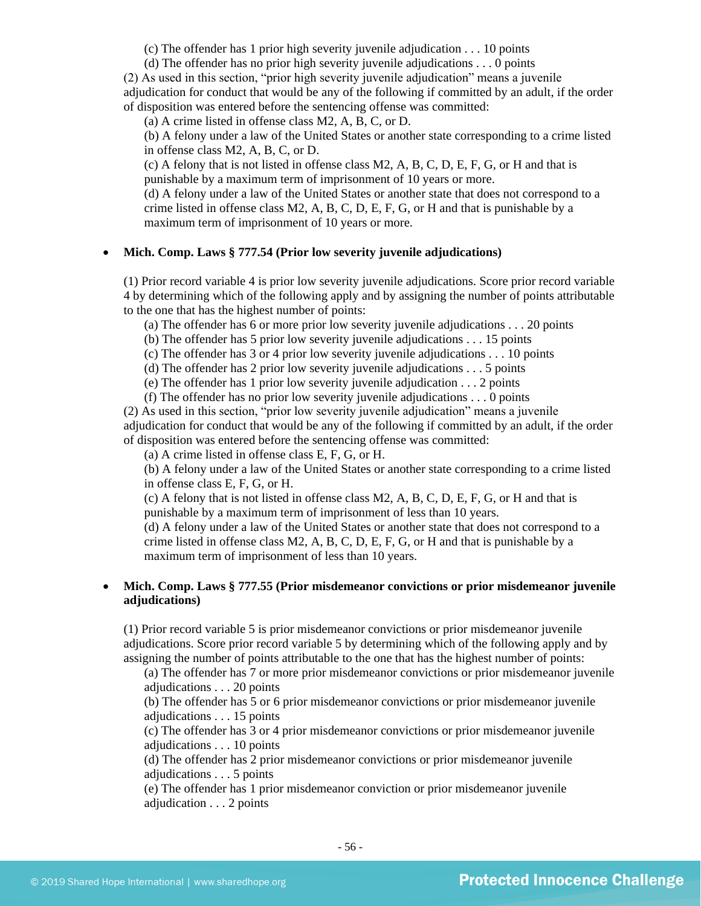(c) The offender has 1 prior high severity juvenile adjudication . . . 10 points

(d) The offender has no prior high severity juvenile adjudications . . . 0 points

(2) As used in this section, "prior high severity juvenile adjudication" means a juvenile adjudication for conduct that would be any of the following if committed by an adult, if the order of disposition was entered before the sentencing offense was committed:

(a) A crime listed in offense class M2, A, B, C, or D.

(b) A felony under a law of the United States or another state corresponding to a crime listed in offense class M2, A, B, C, or D.

(c) A felony that is not listed in offense class M2, A, B, C, D, E, F, G, or H and that is punishable by a maximum term of imprisonment of 10 years or more.

(d) A felony under a law of the United States or another state that does not correspond to a crime listed in offense class M2, A, B, C, D, E, F, G, or H and that is punishable by a maximum term of imprisonment of 10 years or more.

## • **Mich. Comp. Laws § 777.54 (Prior low severity juvenile adjudications)**

(1) Prior record variable 4 is prior low severity juvenile adjudications. Score prior record variable 4 by determining which of the following apply and by assigning the number of points attributable to the one that has the highest number of points:

(a) The offender has 6 or more prior low severity juvenile adjudications . . . 20 points

(b) The offender has 5 prior low severity juvenile adjudications . . . 15 points

(c) The offender has 3 or 4 prior low severity juvenile adjudications . . . 10 points

(d) The offender has 2 prior low severity juvenile adjudications . . . 5 points

(e) The offender has 1 prior low severity juvenile adjudication . . . 2 points

(f) The offender has no prior low severity juvenile adjudications . . . 0 points

(2) As used in this section, "prior low severity juvenile adjudication" means a juvenile adjudication for conduct that would be any of the following if committed by an adult, if the order of disposition was entered before the sentencing offense was committed:

(a) A crime listed in offense class E, F, G, or H.

(b) A felony under a law of the United States or another state corresponding to a crime listed in offense class E, F, G, or H.

(c) A felony that is not listed in offense class M2, A, B, C, D, E, F, G, or H and that is punishable by a maximum term of imprisonment of less than 10 years.

(d) A felony under a law of the United States or another state that does not correspond to a crime listed in offense class  $M2$ , A, B, C, D, E, F, G, or H and that is punishable by a maximum term of imprisonment of less than 10 years.

## • **Mich. Comp. Laws § 777.55 (Prior misdemeanor convictions or prior misdemeanor juvenile adjudications)**

(1) Prior record variable 5 is prior misdemeanor convictions or prior misdemeanor juvenile adjudications. Score prior record variable 5 by determining which of the following apply and by assigning the number of points attributable to the one that has the highest number of points:

(a) The offender has 7 or more prior misdemeanor convictions or prior misdemeanor juvenile adjudications . . . 20 points

(b) The offender has 5 or 6 prior misdemeanor convictions or prior misdemeanor juvenile adjudications . . . 15 points

(c) The offender has 3 or 4 prior misdemeanor convictions or prior misdemeanor juvenile adjudications . . . 10 points

(d) The offender has 2 prior misdemeanor convictions or prior misdemeanor juvenile adjudications . . . 5 points

(e) The offender has 1 prior misdemeanor conviction or prior misdemeanor juvenile adjudication . . . 2 points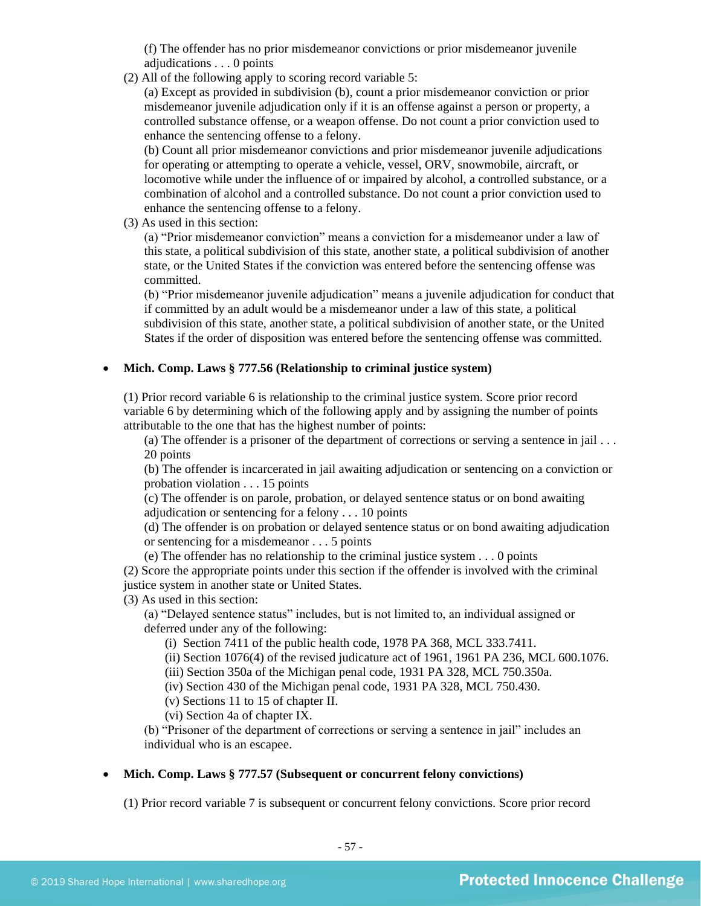(f) The offender has no prior misdemeanor convictions or prior misdemeanor juvenile adjudications . . . 0 points

(2) All of the following apply to scoring record variable 5:

(a) Except as provided in subdivision (b), count a prior misdemeanor conviction or prior misdemeanor juvenile adjudication only if it is an offense against a person or property, a controlled substance offense, or a weapon offense. Do not count a prior conviction used to enhance the sentencing offense to a felony.

(b) Count all prior misdemeanor convictions and prior misdemeanor juvenile adjudications for operating or attempting to operate a vehicle, vessel, ORV, snowmobile, aircraft, or locomotive while under the influence of or impaired by alcohol, a controlled substance, or a combination of alcohol and a controlled substance. Do not count a prior conviction used to enhance the sentencing offense to a felony.

(3) As used in this section:

(a) "Prior misdemeanor conviction" means a conviction for a misdemeanor under a law of this state, a political subdivision of this state, another state, a political subdivision of another state, or the United States if the conviction was entered before the sentencing offense was committed.

(b) "Prior misdemeanor juvenile adjudication" means a juvenile adjudication for conduct that if committed by an adult would be a misdemeanor under a law of this state, a political subdivision of this state, another state, a political subdivision of another state, or the United States if the order of disposition was entered before the sentencing offense was committed.

## • **Mich. Comp. Laws § 777.56 (Relationship to criminal justice system)**

(1) Prior record variable 6 is relationship to the criminal justice system. Score prior record variable 6 by determining which of the following apply and by assigning the number of points attributable to the one that has the highest number of points:

(a) The offender is a prisoner of the department of corrections or serving a sentence in jail . . . 20 points

(b) The offender is incarcerated in jail awaiting adjudication or sentencing on a conviction or probation violation . . . 15 points

(c) The offender is on parole, probation, or delayed sentence status or on bond awaiting adjudication or sentencing for a felony . . . 10 points

(d) The offender is on probation or delayed sentence status or on bond awaiting adjudication or sentencing for a misdemeanor . . . 5 points

(e) The offender has no relationship to the criminal justice system . . . 0 points

(2) Score the appropriate points under this section if the offender is involved with the criminal justice system in another state or United States.

(3) As used in this section:

(a) "Delayed sentence status" includes, but is not limited to, an individual assigned or deferred under any of the following:

(i) Section 7411 of the public health code, 1978 PA 368, MCL 333.7411.

(ii) Section 1076(4) of the revised judicature act of 1961, 1961 PA 236, MCL 600.1076.

(iii) Section 350a of the Michigan penal code, 1931 PA 328, MCL 750.350a.

(iv) Section 430 of the Michigan penal code, 1931 PA 328, MCL 750.430.

(v) Sections 11 to 15 of chapter II.

(vi) Section 4a of chapter IX.

(b) "Prisoner of the department of corrections or serving a sentence in jail" includes an individual who is an escapee.

## • **Mich. Comp. Laws § 777.57 (Subsequent or concurrent felony convictions)**

(1) Prior record variable 7 is subsequent or concurrent felony convictions. Score prior record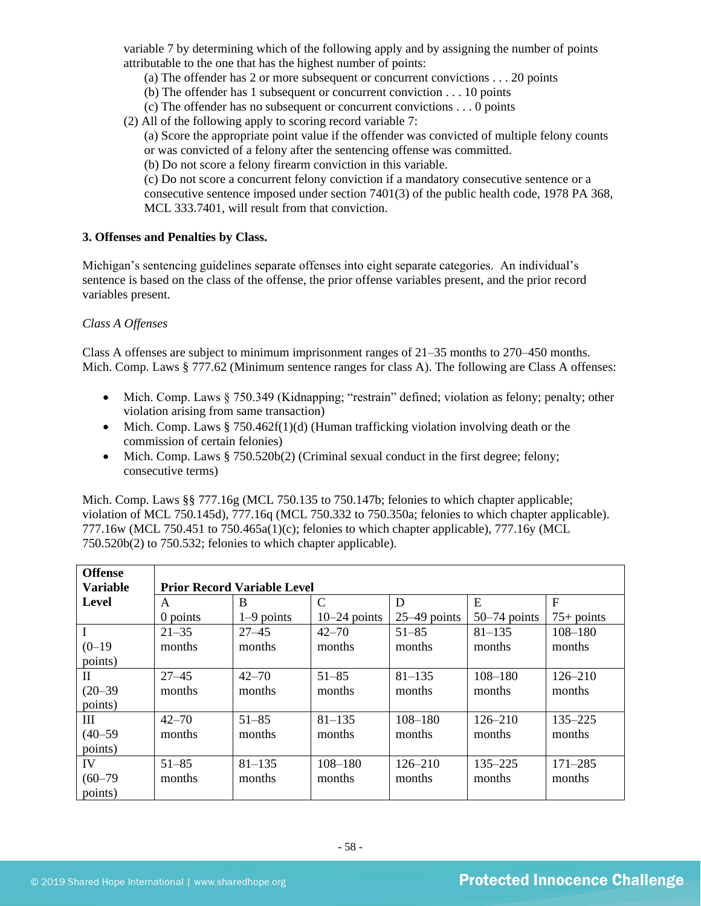variable 7 by determining which of the following apply and by assigning the number of points attributable to the one that has the highest number of points:

- (a) The offender has 2 or more subsequent or concurrent convictions . . . 20 points
- (b) The offender has 1 subsequent or concurrent conviction . . . 10 points
- (c) The offender has no subsequent or concurrent convictions . . . 0 points
- (2) All of the following apply to scoring record variable 7:
	- (a) Score the appropriate point value if the offender was convicted of multiple felony counts or was convicted of a felony after the sentencing offense was committed.
	- (b) Do not score a felony firearm conviction in this variable.

(c) Do not score a concurrent felony conviction if a mandatory consecutive sentence or a consecutive sentence imposed under section 7401(3) of the public health code, 1978 PA 368, MCL 333.7401, will result from that conviction.

### **3. Offenses and Penalties by Class.**

Michigan's sentencing guidelines separate offenses into eight separate categories. An individual's sentence is based on the class of the offense, the prior offense variables present, and the prior record variables present.

### *Class A Offenses*

Class A offenses are subject to minimum imprisonment ranges of 21–35 months to 270–450 months. Mich. Comp. Laws § 777.62 (Minimum sentence ranges for class A). The following are Class A offenses:

- Mich. Comp. Laws § 750.349 (Kidnapping; "restrain" defined; violation as felony; penalty; other violation arising from same transaction)
- Mich. Comp. Laws  $\S 750.462f(1)(d)$  (Human trafficking violation involving death or the commission of certain felonies)
- Mich. Comp. Laws  $\S 750.520b(2)$  (Criminal sexual conduct in the first degree; felony; consecutive terms)

Mich. Comp. Laws §§ 777.16g (MCL 750.135 to 750.147b; felonies to which chapter applicable; violation of MCL 750.145d), 777.16q (MCL 750.332 to 750.350a; felonies to which chapter applicable). 777.16w (MCL 750.451 to 750.465a(1)(c); felonies to which chapter applicable), 777.16y (MCL 750.520b(2) to 750.532; felonies to which chapter applicable).

| <b>Offense</b>  |                                    |              |                |                |                |              |  |  |
|-----------------|------------------------------------|--------------|----------------|----------------|----------------|--------------|--|--|
| <b>Variable</b> | <b>Prior Record Variable Level</b> |              |                |                |                |              |  |  |
| Level           | A                                  | B            | $\mathcal{C}$  | D              | E              | $\mathbf F$  |  |  |
|                 | 0 points                           | $1-9$ points | $10-24$ points | $25-49$ points | $50-74$ points | $75+$ points |  |  |
| $\mathbf I$     | $21 - 35$                          | $27 - 45$    | $42 - 70$      | $51 - 85$      | $81 - 135$     | $108 - 180$  |  |  |
| $(0-19)$        | months                             | months       | months         | months         | months         | months       |  |  |
| points)         |                                    |              |                |                |                |              |  |  |
| $\mathbf{I}$    | $27 - 45$                          | $42 - 70$    | $51 - 85$      | $81 - 135$     | $108 - 180$    | $126 - 210$  |  |  |
| $(20 - 39)$     | months                             | months       | months         | months         | months         | months       |  |  |
| points)         |                                    |              |                |                |                |              |  |  |
| Ш               | $42 - 70$                          | $51 - 85$    | $81 - 135$     | $108 - 180$    | $126 - 210$    | $135 - 225$  |  |  |
| $(40 - 59)$     | months                             | months       | months         | months         | months         | months       |  |  |
| points)         |                                    |              |                |                |                |              |  |  |
| IV              | $51 - 85$                          | $81 - 135$   | $108 - 180$    | $126 - 210$    | $135 - 225$    | $171 - 285$  |  |  |
| $(60 - 79)$     | months                             | months       | months         | months         | months         | months       |  |  |
| points)         |                                    |              |                |                |                |              |  |  |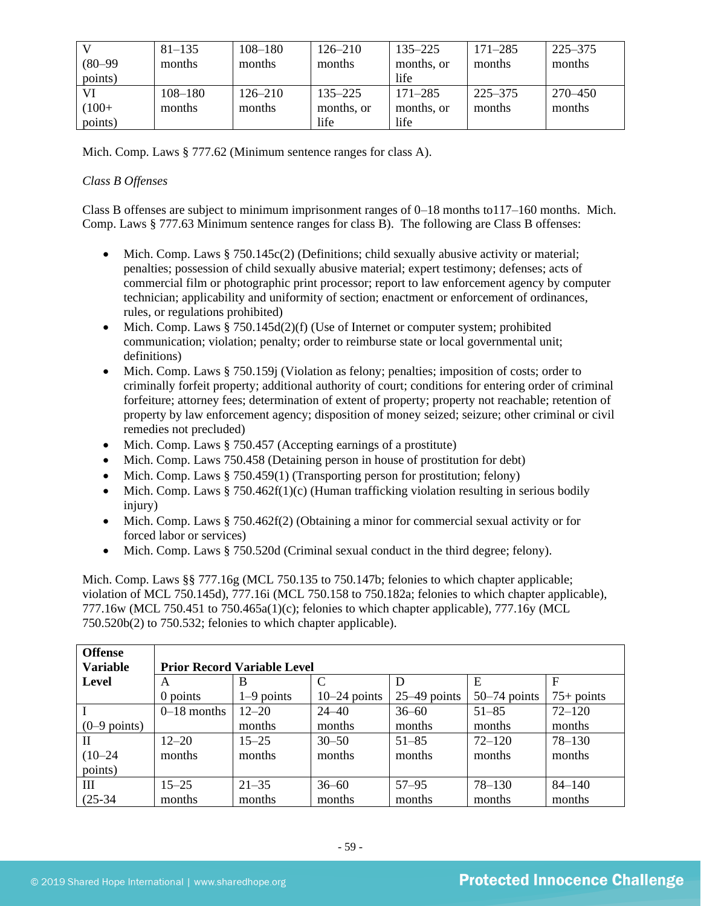|             | $81 - 135$  | $108 - 180$ | $126 - 210$ | $135 - 225$ | $171 - 285$ | 225–375 |
|-------------|-------------|-------------|-------------|-------------|-------------|---------|
| $(80 - 99)$ | months      | months      | months      | months, or  | months      | months  |
| points)     |             |             |             | life        |             |         |
| VI          | $108 - 180$ | $126 - 210$ | $135 - 225$ | $171 - 285$ | 225–375     | 270–450 |
| $(100+$     | months      | months      | months, or  | months, or  | months      | months  |
| points)     |             |             | life        | life        |             |         |

Mich. Comp. Laws § 777.62 (Minimum sentence ranges for class A).

## *Class B Offenses*

Class B offenses are subject to minimum imprisonment ranges of 0–18 months to117–160 months. Mich. Comp. Laws § 777.63 Minimum sentence ranges for class B). The following are Class B offenses:

- Mich. Comp. Laws  $\S 750.145c(2)$  (Definitions; child sexually abusive activity or material; penalties; possession of child sexually abusive material; expert testimony; defenses; acts of commercial film or photographic print processor; report to law enforcement agency by computer technician; applicability and uniformity of section; enactment or enforcement of ordinances, rules, or regulations prohibited)
- Mich. Comp. Laws  $§ 750.145d(2)(f)$  (Use of Internet or computer system; prohibited communication; violation; penalty; order to reimburse state or local governmental unit; definitions)
- Mich. Comp. Laws § 750.159j (Violation as felony; penalties; imposition of costs; order to criminally forfeit property; additional authority of court; conditions for entering order of criminal forfeiture; attorney fees; determination of extent of property; property not reachable; retention of property by law enforcement agency; disposition of money seized; seizure; other criminal or civil remedies not precluded)
- Mich. Comp. Laws § 750.457 (Accepting earnings of a prostitute)
- Mich. Comp. Laws 750.458 (Detaining person in house of prostitution for debt)
- Mich. Comp. Laws § 750.459(1) (Transporting person for prostitution; felony)
- Mich. Comp. Laws  $§ 750.462f(1)(c)$  (Human trafficking violation resulting in serious bodily injury)
- Mich. Comp. Laws § 750.462f(2) (Obtaining a minor for commercial sexual activity or for forced labor or services)
- Mich. Comp. Laws § 750.520d (Criminal sexual conduct in the third degree; felony).

Mich. Comp. Laws §§ 777.16g (MCL 750.135 to 750.147b; felonies to which chapter applicable; violation of MCL 750.145d), 777.16i (MCL 750.158 to 750.182a; felonies to which chapter applicable), 777.16w (MCL 750.451 to 750.465a(1)(c); felonies to which chapter applicable), 777.16y (MCL 750.520b(2) to 750.532; felonies to which chapter applicable).

| <b>Offense</b><br><b>Variable</b> | <b>Prior Record Variable Level</b> |              |                |                |                |              |
|-----------------------------------|------------------------------------|--------------|----------------|----------------|----------------|--------------|
| Level                             | A                                  | B            | $\mathcal{C}$  | D              | E              | F            |
|                                   | $0$ points                         | $1-9$ points | $10-24$ points | $25-49$ points | $50-74$ points | $75+$ points |
|                                   | $0-18$ months                      | $12 - 20$    | $24 - 40$      | $36 - 60$      | $51 - 85$      | $72 - 120$   |
| $(0-9$ points)                    |                                    | months       | months         | months         | months         | months       |
| H                                 | $12 - 20$                          | $15 - 25$    | $30 - 50$      | $51 - 85$      | $72 - 120$     | $78 - 130$   |
| $(10-24)$                         | months                             | months       | months         | months         | months         | months       |
| points)                           |                                    |              |                |                |                |              |
| Ш                                 | $15 - 25$                          | $21 - 35$    | $36 - 60$      | $57 - 95$      | $78 - 130$     | $84 - 140$   |
| $(25-34)$                         | months                             | months       | months         | months         | months         | months       |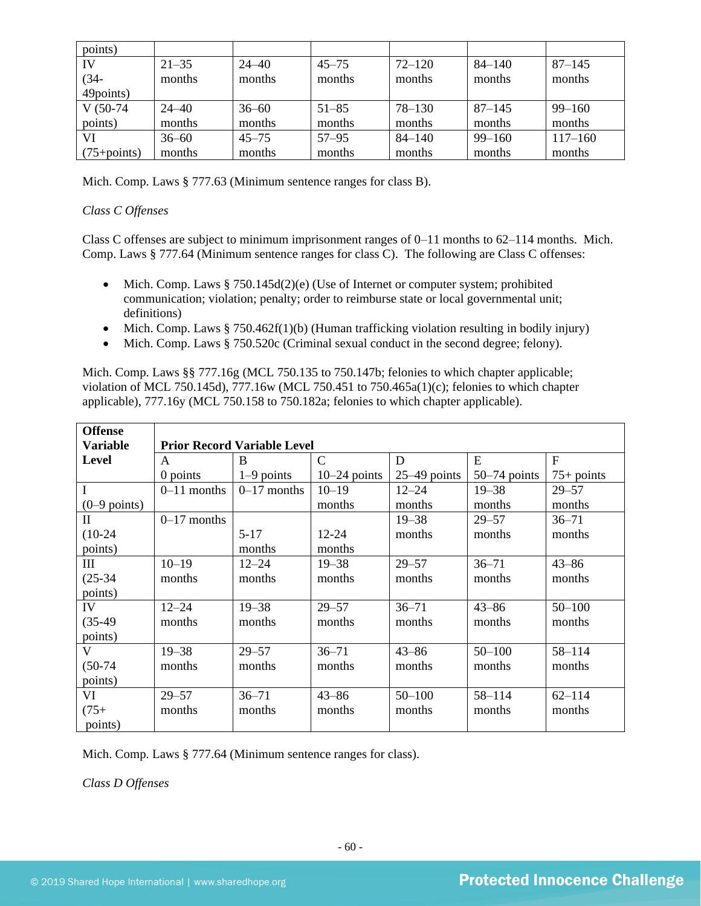| points)         |           |           |           |            |            |             |
|-----------------|-----------|-----------|-----------|------------|------------|-------------|
| IV              | $21 - 35$ | $24 - 40$ | $45 - 75$ | $72 - 120$ | $84 - 140$ | $87 - 145$  |
| $(34 -$         | months    | months    | months    | months     | months     | months      |
| 49 points)      |           |           |           |            |            |             |
| $V(50-74)$      | $24 - 40$ | $36 - 60$ | $51 - 85$ | $78 - 130$ | $87 - 145$ | $99 - 160$  |
| points)         | months    | months    | months    | months     | months     | months      |
| VI              | $36 - 60$ | $45 - 75$ | $57 - 95$ | $84 - 140$ | $99 - 160$ | $117 - 160$ |
| $(75 + points)$ | months    | months    | months    | months     | months     | months      |

Mich. Comp. Laws § 777.63 (Minimum sentence ranges for class B).

## *Class C Offenses*

Class C offenses are subject to minimum imprisonment ranges of 0–11 months to 62–114 months. Mich. Comp. Laws § 777.64 (Minimum sentence ranges for class C). The following are Class C offenses:

- Mich. Comp. Laws  $§ 750.145d(2)(e)$  (Use of Internet or computer system; prohibited communication; violation; penalty; order to reimburse state or local governmental unit; definitions)
- Mich. Comp. Laws § 750.462f(1)(b) (Human trafficking violation resulting in bodily injury)
- Mich. Comp. Laws § 750.520c (Criminal sexual conduct in the second degree; felony).

Mich. Comp. Laws §§ 777.16g (MCL 750.135 to 750.147b; felonies to which chapter applicable; violation of MCL 750.145d), 777.16w (MCL 750.451 to 750.465a(1)(c); felonies to which chapter applicable), 777.16y (MCL 750.158 to 750.182a; felonies to which chapter applicable).

| <b>Offense</b>  |               |                                    |                |                |                |              |  |  |  |
|-----------------|---------------|------------------------------------|----------------|----------------|----------------|--------------|--|--|--|
| <b>Variable</b> |               | <b>Prior Record Variable Level</b> |                |                |                |              |  |  |  |
| Level           | A             | B                                  | $\mathcal{C}$  | D              | E              | $\mathbf{F}$ |  |  |  |
|                 | $0$ points    | $1-9$ points                       | $10-24$ points | $25-49$ points | $50-74$ points | $75+$ points |  |  |  |
| $\mathbf I$     | $0-11$ months | $0-17$ months                      | $10 - 19$      | $12 - 24$      | $19 - 38$      | $29 - 57$    |  |  |  |
| $(0-9$ points)  |               |                                    | months         | months         | months         | months       |  |  |  |
| $\mathbf{I}$    | $0-17$ months |                                    |                | $19 - 38$      | $29 - 57$      | $36 - 71$    |  |  |  |
| $(10-24)$       |               | $5-17$                             | 12-24          | months         | months         | months       |  |  |  |
| points)         |               | months                             | months         |                |                |              |  |  |  |
| III             | $10 - 19$     | $12 - 24$                          | $19 - 38$      | $29 - 57$      | $36 - 71$      | $43 - 86$    |  |  |  |
| $(25-34)$       | months        | months                             | months         | months         | months         | months       |  |  |  |
| points)         |               |                                    |                |                |                |              |  |  |  |
| IV              | $12 - 24$     | $19 - 38$                          | $29 - 57$      | $36 - 71$      | $43 - 86$      | $50 - 100$   |  |  |  |
| $(35-49)$       | months        | months                             | months         | months         | months         | months       |  |  |  |
| points)         |               |                                    |                |                |                |              |  |  |  |
| V               | $19 - 38$     | $29 - 57$                          | $36 - 71$      | $43 - 86$      | $50 - 100$     | $58 - 114$   |  |  |  |
| $(50-74)$       | months        | months                             | months         | months         | months         | months       |  |  |  |
| points)         |               |                                    |                |                |                |              |  |  |  |
| VI              | $29 - 57$     | $36 - 71$                          | $43 - 86$      | $50 - 100$     | $58 - 114$     | $62 - 114$   |  |  |  |
| $(75+)$         | months        | months                             | months         | months         | months         | months       |  |  |  |
| points)         |               |                                    |                |                |                |              |  |  |  |

Mich. Comp. Laws § 777.64 (Minimum sentence ranges for class).

*Class D Offenses*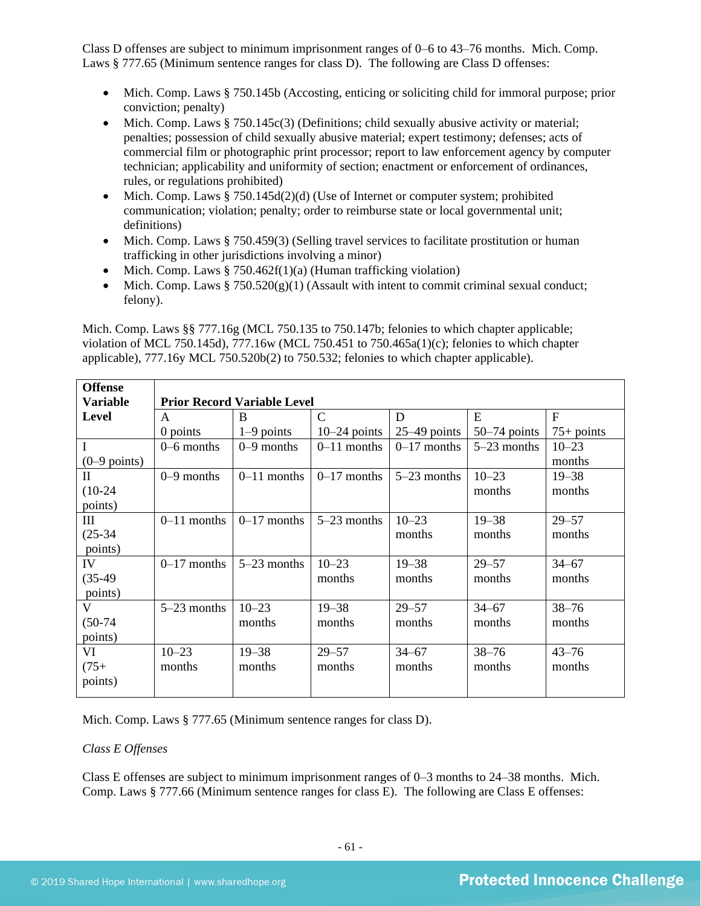Class D offenses are subject to minimum imprisonment ranges of 0–6 to 43–76 months. Mich. Comp. Laws § 777.65 (Minimum sentence ranges for class D). The following are Class D offenses:

- Mich. Comp. Laws § 750.145b (Accosting, enticing or soliciting child for immoral purpose; prior conviction; penalty)
- Mich. Comp. Laws  $\S 750.145c(3)$  (Definitions; child sexually abusive activity or material; penalties; possession of child sexually abusive material; expert testimony; defenses; acts of commercial film or photographic print processor; report to law enforcement agency by computer technician; applicability and uniformity of section; enactment or enforcement of ordinances, rules, or regulations prohibited)
- Mich. Comp. Laws § 750.145d(2)(d) (Use of Internet or computer system; prohibited communication; violation; penalty; order to reimburse state or local governmental unit; definitions)
- Mich. Comp. Laws § 750.459(3) (Selling travel services to facilitate prostitution or human trafficking in other jurisdictions involving a minor)
- Mich. Comp. Laws  $\S 750.462f(1)(a)$  (Human trafficking violation)
- Mich. Comp. Laws  $\S 750.520(g)(1)$  (Assault with intent to commit criminal sexual conduct; felony).

Mich. Comp. Laws §§ 777.16g (MCL 750.135 to 750.147b; felonies to which chapter applicable; violation of MCL 750.145d), 777.16w (MCL 750.451 to 750.465a(1)(c); felonies to which chapter applicable), 777.16y MCL 750.520b(2) to 750.532; felonies to which chapter applicable).

| <b>Offense</b>  |                                    |               |                |                |                |              |  |  |
|-----------------|------------------------------------|---------------|----------------|----------------|----------------|--------------|--|--|
| <b>Variable</b> | <b>Prior Record Variable Level</b> |               |                |                |                |              |  |  |
| <b>Level</b>    | A                                  | B             | $\mathcal{C}$  | D              | E              | $\mathbf{F}$ |  |  |
|                 | 0 points                           | $1-9$ points  | $10-24$ points | $25-49$ points | $50-74$ points | $75+$ points |  |  |
| $\mathbf I$     | $0 - 6$ months                     | $0-9$ months  | $0-11$ months  | $0-17$ months  | $5-23$ months  | $10 - 23$    |  |  |
| $(0-9$ points)  |                                    |               |                |                |                | months       |  |  |
| $\mathbf{I}$    | $0-9$ months                       | $0-11$ months | $0-17$ months  | $5-23$ months  | $10 - 23$      | $19 - 38$    |  |  |
| $(10-24)$       |                                    |               |                |                | months         | months       |  |  |
| points)         |                                    |               |                |                |                |              |  |  |
| III             | $0-11$ months                      | $0-17$ months | $5-23$ months  | $10 - 23$      | $19 - 38$      | $29 - 57$    |  |  |
| $(25-34)$       |                                    |               |                | months         | months         | months       |  |  |
| points)         |                                    |               |                |                |                |              |  |  |
| IV              | $0-17$ months                      | $5-23$ months | $10 - 23$      | $19 - 38$      | $29 - 57$      | $34 - 67$    |  |  |
| $(35-49)$       |                                    |               | months         | months         | months         | months       |  |  |
| points)         |                                    |               |                |                |                |              |  |  |
| V               | $5-23$ months                      | $10 - 23$     | $19 - 38$      | $29 - 57$      | $34 - 67$      | $38 - 76$    |  |  |
| $(50-74)$       |                                    | months        | months         | months         | months         | months       |  |  |
| points)         |                                    |               |                |                |                |              |  |  |
| VI              | $10 - 23$                          | $19 - 38$     | $29 - 57$      | $34 - 67$      | $38 - 76$      | $43 - 76$    |  |  |
| $(75+)$         | months                             | months        | months         | months         | months         | months       |  |  |
| points)         |                                    |               |                |                |                |              |  |  |
|                 |                                    |               |                |                |                |              |  |  |

Mich. Comp. Laws § 777.65 (Minimum sentence ranges for class D).

#### *Class E Offenses*

Class E offenses are subject to minimum imprisonment ranges of 0–3 months to 24–38 months. Mich. Comp. Laws § 777.66 (Minimum sentence ranges for class E). The following are Class E offenses: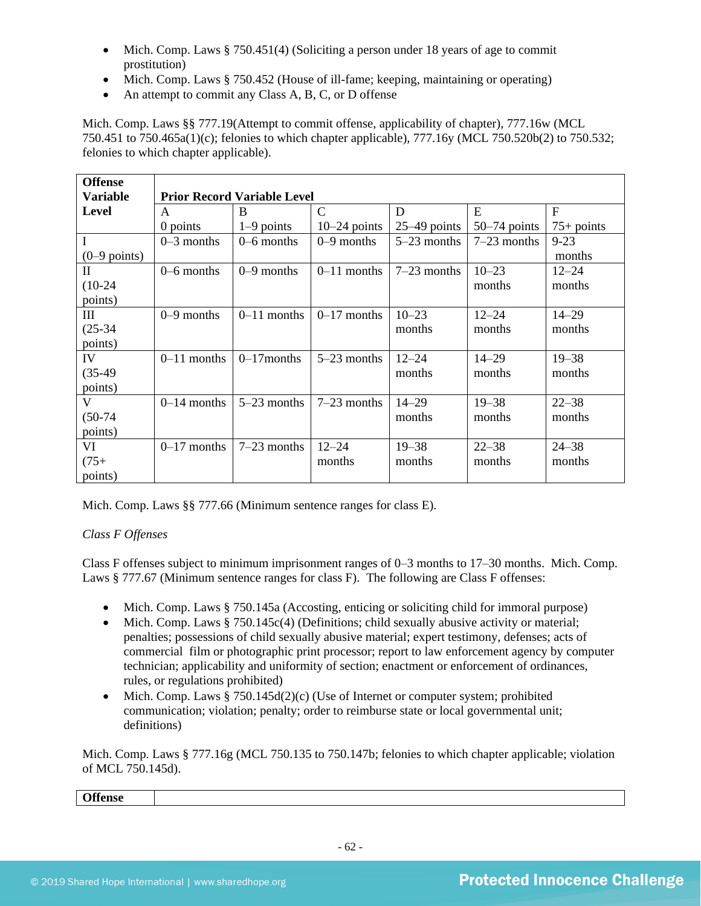- Mich. Comp. Laws § 750.451(4) (Soliciting a person under 18 years of age to commit prostitution)
- Mich. Comp. Laws § 750.452 (House of ill-fame; keeping, maintaining or operating)
- An attempt to commit any Class A, B, C, or D offense

Mich. Comp. Laws §§ 777.19(Attempt to commit offense, applicability of chapter), 777.16w (MCL 750.451 to 750.465a(1)(c); felonies to which chapter applicable), 777.16y (MCL 750.520b(2) to 750.532; felonies to which chapter applicable).

| <b>Offense</b> |               |                                    |                |                |                |              |  |  |  |
|----------------|---------------|------------------------------------|----------------|----------------|----------------|--------------|--|--|--|
| Variable       |               | <b>Prior Record Variable Level</b> |                |                |                |              |  |  |  |
| <b>Level</b>   | A             | B                                  | $\mathsf{C}$   | D              | E              | $\mathbf{F}$ |  |  |  |
|                | 0 points      | $1-9$ points                       | $10-24$ points | $25-49$ points | $50-74$ points | $75+$ points |  |  |  |
| $\mathbf I$    | $0-3$ months  | $0 - 6$ months                     | $0-9$ months   | $5-23$ months  | $7-23$ months  | $9 - 23$     |  |  |  |
| $(0-9$ points) |               |                                    |                |                |                | months       |  |  |  |
| $\mathbf{I}$   | $0-6$ months  | $0-9$ months                       | $0-11$ months  | $7-23$ months  | $10 - 23$      | $12 - 24$    |  |  |  |
| $(10-24)$      |               |                                    |                |                | months         | months       |  |  |  |
| points)        |               |                                    |                |                |                |              |  |  |  |
| III            | $0-9$ months  | $0-11$ months                      | $0-17$ months  | $10 - 23$      | $12 - 24$      | $14 - 29$    |  |  |  |
| $(25-34)$      |               |                                    |                | months         | months         | months       |  |  |  |
| points)        |               |                                    |                |                |                |              |  |  |  |
| IV             | $0-11$ months | $0-17$ months                      | $5-23$ months  | $12 - 24$      | $14 - 29$      | $19 - 38$    |  |  |  |
| $(35-49)$      |               |                                    |                | months         | months         | months       |  |  |  |
| points)        |               |                                    |                |                |                |              |  |  |  |
| V              | $0-14$ months | $5-23$ months                      | $7-23$ months  | $14 - 29$      | $19 - 38$      | $22 - 38$    |  |  |  |
| $(50-74)$      |               |                                    |                | months         | months         | months       |  |  |  |
| points)        |               |                                    |                |                |                |              |  |  |  |
| VI             | $0-17$ months | $7-23$ months                      | $12 - 24$      | $19 - 38$      | $22 - 38$      | $24 - 38$    |  |  |  |
| $(75+)$        |               |                                    | months         | months         | months         | months       |  |  |  |
| points)        |               |                                    |                |                |                |              |  |  |  |

Mich. Comp. Laws §§ 777.66 (Minimum sentence ranges for class E).

## *Class F Offenses*

Class F offenses subject to minimum imprisonment ranges of 0–3 months to 17–30 months. Mich. Comp. Laws § 777.67 (Minimum sentence ranges for class F). The following are Class F offenses:

- Mich. Comp. Laws § 750.145a (Accosting, enticing or soliciting child for immoral purpose)
- Mich. Comp. Laws  $§ 750.145c(4)$  (Definitions; child sexually abusive activity or material; penalties; possessions of child sexually abusive material; expert testimony, defenses; acts of commercial film or photographic print processor; report to law enforcement agency by computer technician; applicability and uniformity of section; enactment or enforcement of ordinances, rules, or regulations prohibited)
- Mich. Comp. Laws  $\S 750.145d(2)(c)$  (Use of Internet or computer system; prohibited communication; violation; penalty; order to reimburse state or local governmental unit; definitions)

Mich. Comp. Laws § 777.16g (MCL 750.135 to 750.147b; felonies to which chapter applicable; violation of MCL 750.145d).

**Offense**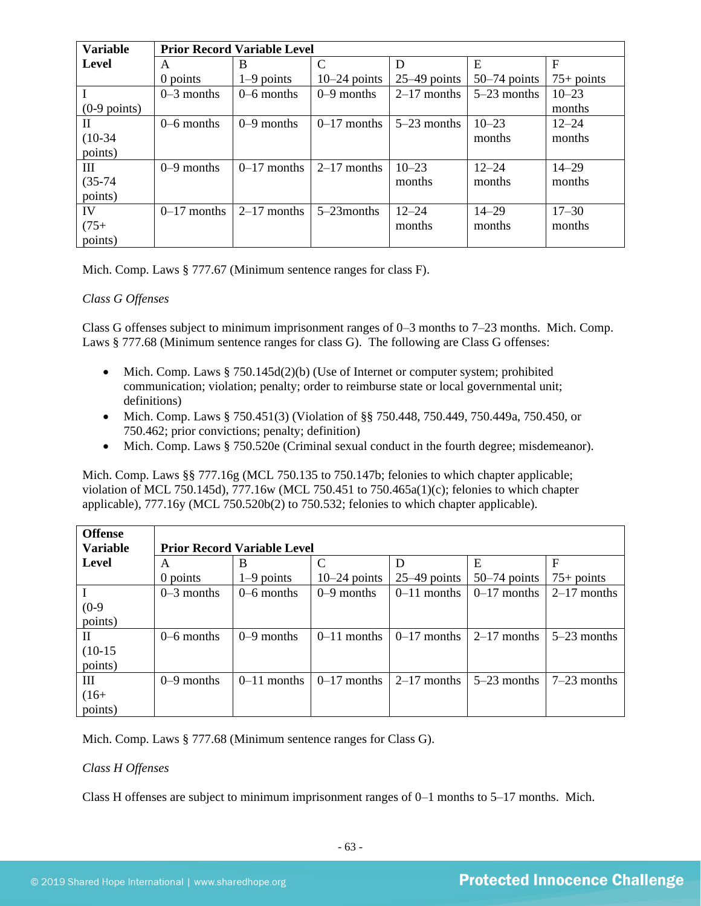| <b>Variable</b> | <b>Prior Record Variable Level</b> |               |                |                |                |              |  |
|-----------------|------------------------------------|---------------|----------------|----------------|----------------|--------------|--|
| <b>Level</b>    | A                                  | B             | C              | D              | E              | F            |  |
|                 | 0 points                           | $1-9$ points  | $10-24$ points | $25-49$ points | $50-74$ points | $75+$ points |  |
|                 | $0-3$ months                       | $0-6$ months  | $0-9$ months   | $2-17$ months  | $5-23$ months  | $10 - 23$    |  |
| $(0-9$ points)  |                                    |               |                |                |                | months       |  |
| П               | $0-6$ months                       | $0-9$ months  | $0-17$ months  | $5-23$ months  | $10 - 23$      | $12 - 24$    |  |
| $(10-34)$       |                                    |               |                |                | months         | months       |  |
| points)         |                                    |               |                |                |                |              |  |
| Ш               | $0-9$ months                       | $0-17$ months | $2-17$ months  | $10 - 23$      | $12 - 24$      | $14 - 29$    |  |
| $(35-74)$       |                                    |               |                | months         | months         | months       |  |
| points)         |                                    |               |                |                |                |              |  |
| IV              | $0-17$ months                      | $2-17$ months | $5-23$ months  | $12 - 24$      | $14 - 29$      | $17 - 30$    |  |
| $(75+)$         |                                    |               |                | months         | months         | months       |  |
| points)         |                                    |               |                |                |                |              |  |

Mich. Comp. Laws § 777.67 (Minimum sentence ranges for class F).

## *Class G Offenses*

Class G offenses subject to minimum imprisonment ranges of 0–3 months to 7–23 months. Mich. Comp. Laws § 777.68 (Minimum sentence ranges for class G). The following are Class G offenses:

- Mich. Comp. Laws  $§ 750.145d(2)(b)$  (Use of Internet or computer system; prohibited communication; violation; penalty; order to reimburse state or local governmental unit; definitions)
- Mich. Comp. Laws § 750.451(3) (Violation of §§ 750.448, 750.449, 750.449a, 750.450, or 750.462; prior convictions; penalty; definition)
- Mich. Comp. Laws § 750.520e (Criminal sexual conduct in the fourth degree; misdemeanor).

Mich. Comp. Laws §§ 777.16g (MCL 750.135 to 750.147b; felonies to which chapter applicable; violation of MCL 750.145d), 777.16w (MCL 750.451 to 750.465a(1)(c); felonies to which chapter applicable), 777.16y (MCL 750.520b(2) to 750.532; felonies to which chapter applicable).

| <b>Offense</b>  |                                    |               |                |                |                |               |  |
|-----------------|------------------------------------|---------------|----------------|----------------|----------------|---------------|--|
| <b>Variable</b> | <b>Prior Record Variable Level</b> |               |                |                |                |               |  |
| Level           | A                                  | B             | $\mathsf{C}$   | D              | Ε              |               |  |
|                 | 0 points                           | $1-9$ points  | $10-24$ points | $25-49$ points | $50-74$ points | $75+$ points  |  |
|                 | $0-3$ months                       | $0-6$ months  | $0-9$ months   | $0-11$ months  | $0-17$ months  | $2-17$ months |  |
| $(0-9)$         |                                    |               |                |                |                |               |  |
| points)         |                                    |               |                |                |                |               |  |
| H               | $0-6$ months                       | $0-9$ months  | $0-11$ months  | $0-17$ months  | $2-17$ months  | $5-23$ months |  |
| $(10-15)$       |                                    |               |                |                |                |               |  |
| points)         |                                    |               |                |                |                |               |  |
| Ш               | $0-9$ months                       | $0-11$ months | $0-17$ months  | $2-17$ months  | $5-23$ months  | $7-23$ months |  |
| $(16+$          |                                    |               |                |                |                |               |  |
| points)         |                                    |               |                |                |                |               |  |

Mich. Comp. Laws § 777.68 (Minimum sentence ranges for Class G).

## *Class H Offenses*

Class H offenses are subject to minimum imprisonment ranges of 0–1 months to 5–17 months. Mich.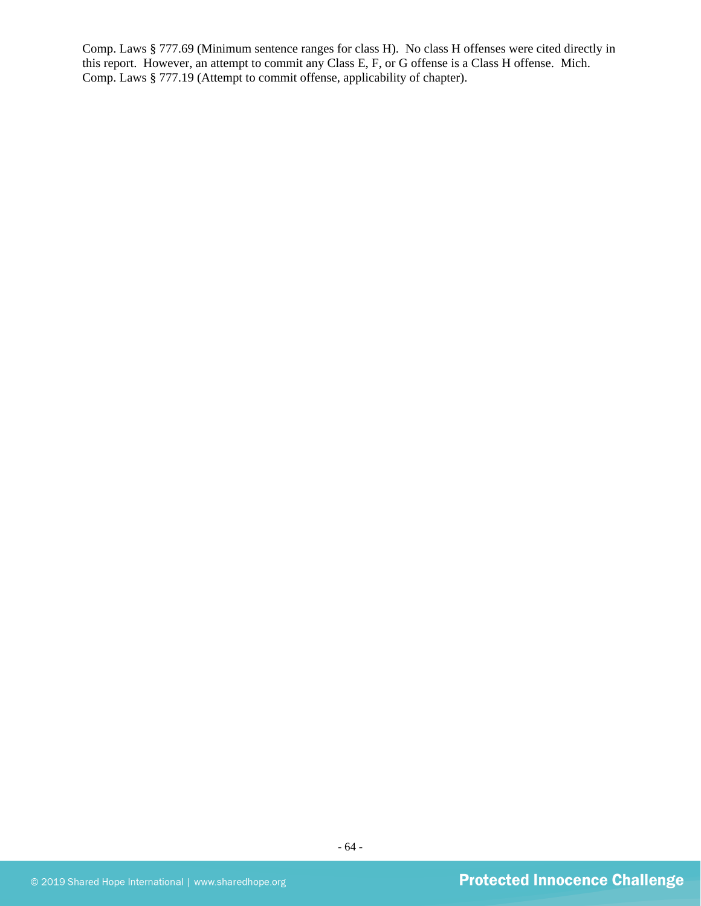Comp. Laws § 777.69 (Minimum sentence ranges for class H). No class H offenses were cited directly in this report. However, an attempt to commit any Class E, F, or G offense is a Class H offense. Mich. Comp. Laws § 777.19 (Attempt to commit offense, applicability of chapter).